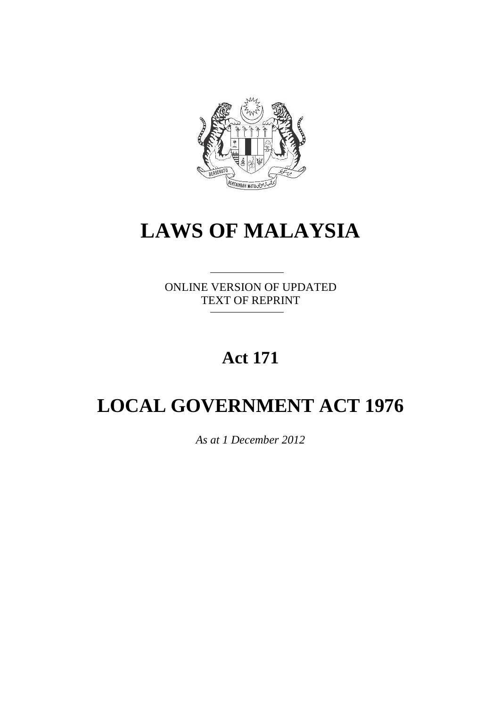

# **LAWS OF MALAYSIA**

ONLINE VERSION OF UPDATED TEXT OF REPRINT

# **Act 171**

# **LOCAL GOVERNMENT ACT 1976**

*As at 1 December 2012*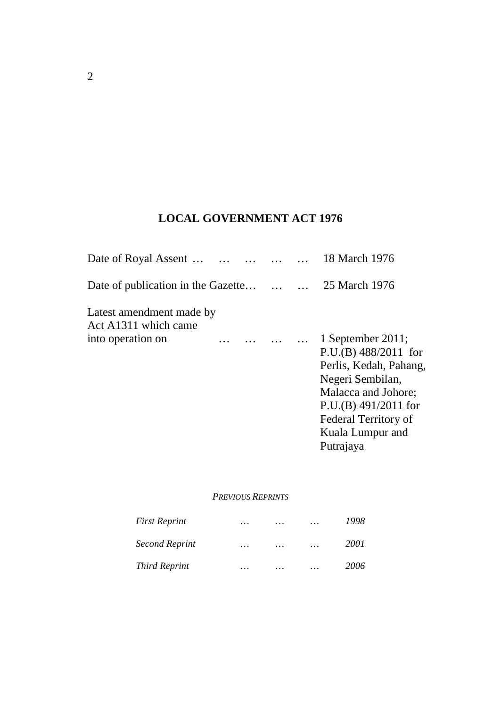# **LOCAL GOVERNMENT ACT 1976**

| Date of Royal Assent                               |  | 18 March 1976                                                                                                                                                                                       |
|----------------------------------------------------|--|-----------------------------------------------------------------------------------------------------------------------------------------------------------------------------------------------------|
| Date of publication in the Gazette   25 March 1976 |  |                                                                                                                                                                                                     |
| Latest amendment made by<br>Act A1311 which came   |  |                                                                                                                                                                                                     |
| into operation on                                  |  | 1 September 2011;<br>$P.U.(B) 488/2011$ for<br>Perlis, Kedah, Pahang,<br>Negeri Sembilan,<br>Malacca and Johore;<br>$P.U.(B) 491/2011$ for<br>Federal Territory of<br>Kuala Lumpur and<br>Putrajaya |

# *PREVIOUS REPRINTS*

| <b>First Reprint</b>  | $\cdots$ | .        | $\cdots$ | 1998 |
|-----------------------|----------|----------|----------|------|
| <b>Second Reprint</b> | $\cdots$ | $\cdots$ | $\cdots$ | 2001 |
| <b>Third Reprint</b>  | .        | .        | .        | 2006 |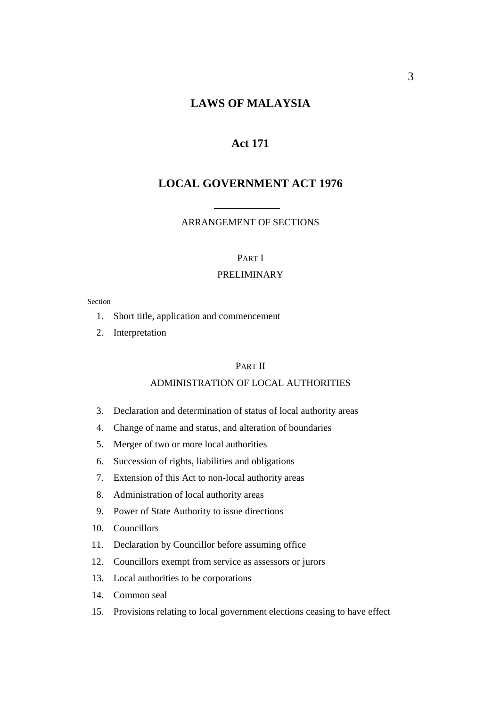# **LAWS OF MALAYSIA**

# **Act 171**

# **LOCAL GOVERNMENT ACT 1976**

#### ARRANGEMENT OF SECTIONS

#### PART I

### PRELIMINARY

#### Section

- 1. Short title, application and commencement
- 2. Interpretation

#### PART II

#### ADMINISTRATION OF LOCAL AUTHORITIES

- 3. Declaration and determination of status of local authority areas
- 4. Change of name and status, and alteration of boundaries
- 5. Merger of two or more local authorities
- 6. Succession of rights, liabilities and obligations
- 7. Extension of this Act to non-local authority areas
- 8. Administration of local authority areas
- 9. Power of State Authority to issue directions
- 10. Councillors
- 11. Declaration by Councillor before assuming office
- 12. Councillors exempt from service as assessors or jurors
- 13. Local authorities to be corporations
- 14. Common seal
- 15. Provisions relating to local government elections ceasing to have effect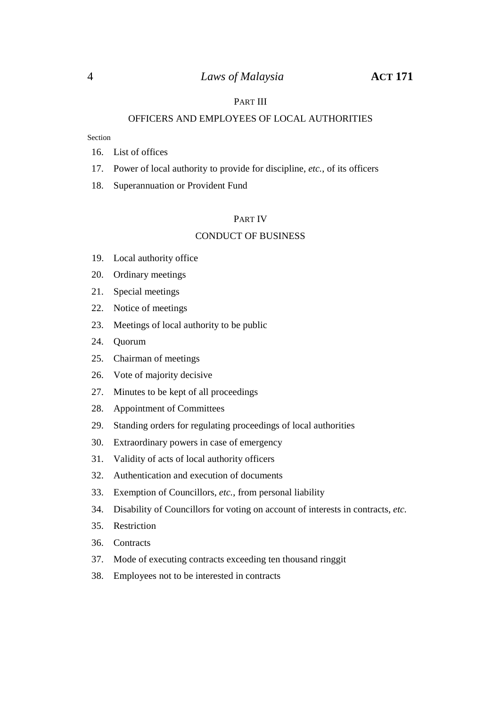### PART III

#### OFFICERS AND EMPLOYEES OF LOCAL AUTHORITIES

#### Section

- 16. List of offices
- 17. Power of local authority to provide for discipline, *etc.*, of its officers
- 18. Superannuation or Provident Fund

#### PART IV

#### CONDUCT OF BUSINESS

- 19. Local authority office
- 20. Ordinary meetings
- 21. Special meetings
- 22. Notice of meetings
- 23. Meetings of local authority to be public
- 24. Quorum
- 25. Chairman of meetings
- 26. Vote of majority decisive
- 27. Minutes to be kept of all proceedings
- 28. Appointment of Committees
- 29. Standing orders for regulating proceedings of local authorities
- 30. Extraordinary powers in case of emergency
- 31. Validity of acts of local authority officers
- 32. Authentication and execution of documents
- 33. Exemption of Councillors, *etc.*, from personal liability
- 34. Disability of Councillors for voting on account of interests in contracts, *etc.*
- 35. Restriction
- 36. Contracts
- 37. Mode of executing contracts exceeding ten thousand ringgit
- 38. Employees not to be interested in contracts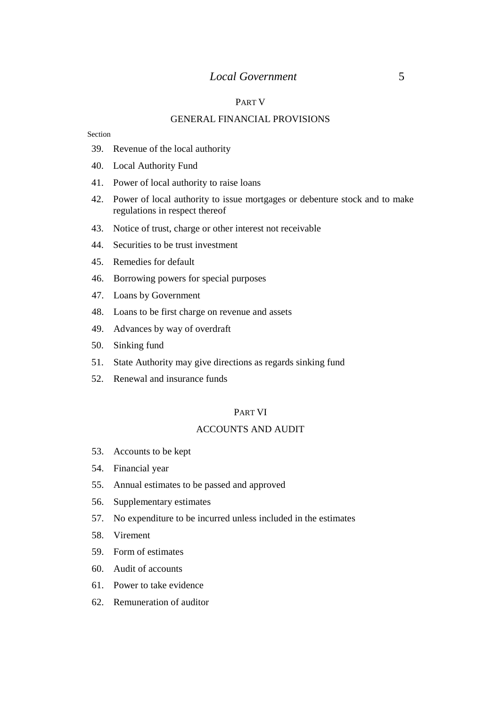## *Local Government* 5

### PART V

#### GENERAL FINANCIAL PROVISIONS

#### Section

- 39. Revenue of the local authority
- 40. Local Authority Fund
- 41. Power of local authority to raise loans
- 42. Power of local authority to issue mortgages or debenture stock and to make regulations in respect thereof
- 43. Notice of trust, charge or other interest not receivable
- 44. Securities to be trust investment
- 45. Remedies for default
- 46. Borrowing powers for special purposes
- 47. Loans by Government
- 48. Loans to be first charge on revenue and assets
- 49. Advances by way of overdraft
- 50. Sinking fund
- 51. State Authority may give directions as regards sinking fund
- 52. Renewal and insurance funds

#### PART VI

#### ACCOUNTS AND AUDIT

- 53. Accounts to be kept
- 54. Financial year
- 55. Annual estimates to be passed and approved
- 56. Supplementary estimates
- 57. No expenditure to be incurred unless included in the estimates
- 58. Virement
- 59. Form of estimates
- 60. Audit of accounts
- 61. Power to take evidence
- 62. Remuneration of auditor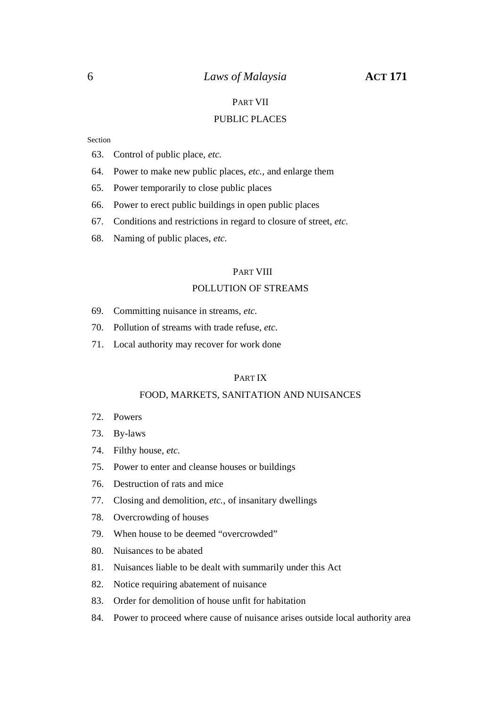### 6 *Laws of Malaysia* **ACT 171**

### PART VII

### PUBLIC PLACES

Section

- 63. Control of public place, *etc.*
- 64. Power to make new public places, *etc.*, and enlarge them
- 65. Power temporarily to close public places
- 66. Power to erect public buildings in open public places
- 67. Conditions and restrictions in regard to closure of street, *etc.*
- 68. Naming of public places, *etc.*

#### PART VIII

#### POLLUTION OF STREAMS

- 69. Committing nuisance in streams, *etc.*
- 70. Pollution of streams with trade refuse, *etc.*
- 71. Local authority may recover for work done

#### PART IX

#### FOOD, MARKETS, SANITATION AND NUISANCES

- 72. Powers
- 73. By-laws
- 74. Filthy house, *etc.*
- 75. Power to enter and cleanse houses or buildings
- 76. Destruction of rats and mice
- 77. Closing and demolition, *etc.*, of insanitary dwellings
- 78. Overcrowding of houses
- 79. When house to be deemed "overcrowded"
- 80. Nuisances to be abated
- 81. Nuisances liable to be dealt with summarily under this Act
- 82. Notice requiring abatement of nuisance
- 83. Order for demolition of house unfit for habitation
- 84. Power to proceed where cause of nuisance arises outside local authority area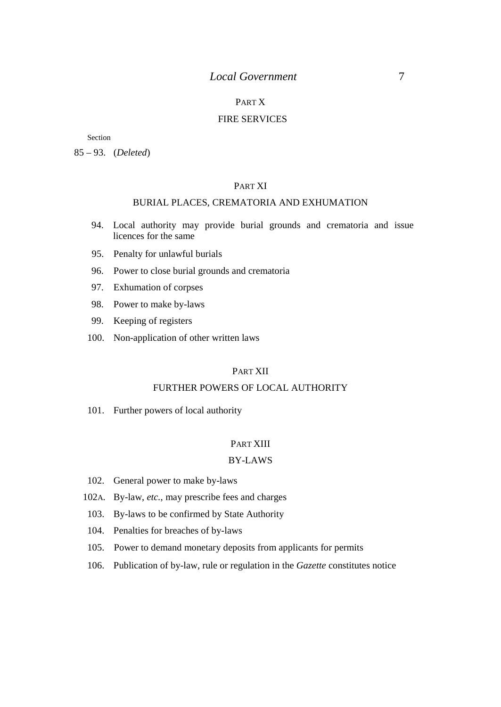# *Local Government* 7

# PART X

#### FIRE SERVICES

Section

85 – 93. (*Deleted*)

#### PART XI

# BURIAL PLACES, CREMATORIA AND EXHUMATION

- 94. Local authority may provide burial grounds and crematoria and issue licences for the same
- 95. Penalty for unlawful burials
- 96. Power to close burial grounds and crematoria
- 97. Exhumation of corpses
- 98. Power to make by-laws
- 99. Keeping of registers
- 100. Non-application of other written laws

## PART XII

#### FURTHER POWERS OF LOCAL AUTHORITY

101. Further powers of local authority

#### PART XIII

#### BY-LAWS

- 102. General power to make by-laws
- 102A. By-law, *etc.*, may prescribe fees and charges
- 103. By-laws to be confirmed by State Authority
- 104. Penalties for breaches of by-laws
- 105. Power to demand monetary deposits from applicants for permits
- 106. Publication of by-law, rule or regulation in the *Gazette* constitutes notice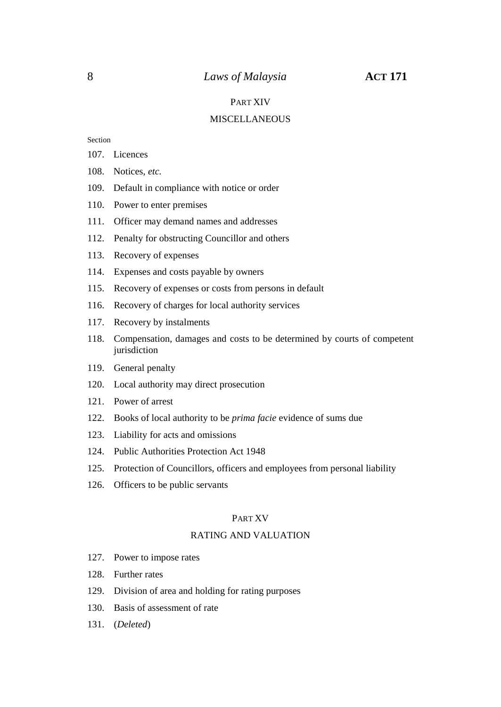#### PART XIV

#### **MISCELLANEOUS**

Section

- 107. Licences
- 108. Notices, *etc.*
- 109. Default in compliance with notice or order
- 110. Power to enter premises
- 111. Officer may demand names and addresses
- 112. Penalty for obstructing Councillor and others
- 113. Recovery of expenses
- 114. Expenses and costs payable by owners
- 115. Recovery of expenses or costs from persons in default
- 116. Recovery of charges for local authority services
- 117. Recovery by instalments
- 118. Compensation, damages and costs to be determined by courts of competent jurisdiction
- 119. General penalty
- 120. Local authority may direct prosecution
- 121. Power of arrest
- 122. Books of local authority to be *prima facie* evidence of sums due
- 123. Liability for acts and omissions
- 124. Public Authorities Protection Act 1948
- 125. Protection of Councillors, officers and employees from personal liability
- 126. Officers to be public servants

#### PART XV

#### RATING AND VALUATION

- 127. Power to impose rates
- 128. Further rates
- 129. Division of area and holding for rating purposes
- 130. Basis of assessment of rate
- 131. (*Deleted*)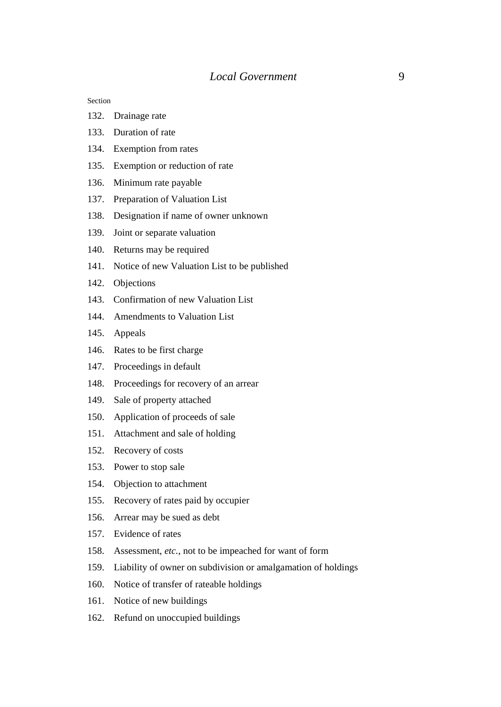Section

- 132. Drainage rate
- 133. Duration of rate
- 134. Exemption from rates
- 135. Exemption or reduction of rate
- 136. Minimum rate payable
- 137. Preparation of Valuation List
- 138. Designation if name of owner unknown
- 139. Joint or separate valuation
- 140. Returns may be required
- 141. Notice of new Valuation List to be published
- 142. Objections
- 143. Confirmation of new Valuation List
- 144. Amendments to Valuation List
- 145. Appeals
- 146. Rates to be first charge
- 147. Proceedings in default
- 148. Proceedings for recovery of an arrear
- 149. Sale of property attached
- 150. Application of proceeds of sale
- 151. Attachment and sale of holding
- 152. Recovery of costs
- 153. Power to stop sale
- 154. Objection to attachment
- 155. Recovery of rates paid by occupier
- 156. Arrear may be sued as debt
- 157. Evidence of rates
- 158. Assessment, *etc.*, not to be impeached for want of form
- 159. Liability of owner on subdivision or amalgamation of holdings
- 160. Notice of transfer of rateable holdings
- 161. Notice of new buildings
- 162. Refund on unoccupied buildings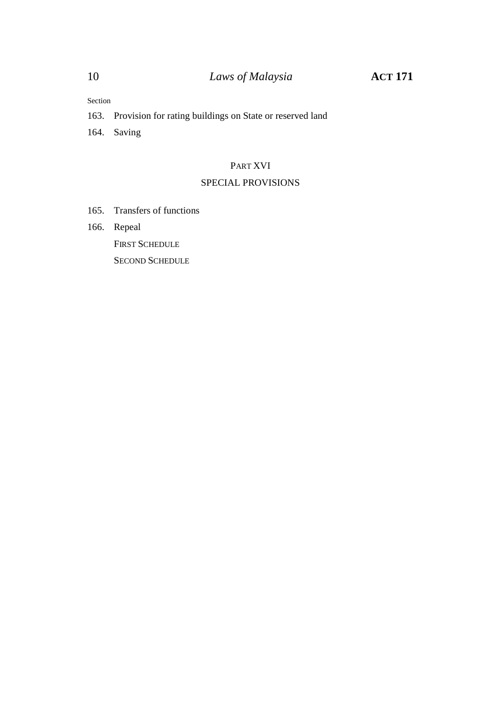Section

163. Provision for rating buildings on State or reserved land

164. Saving

#### PART XVI

# SPECIAL PROVISIONS

- 165. Transfers of functions
- 166. Repeal

FIRST SCHEDULE

SECOND SCHEDULE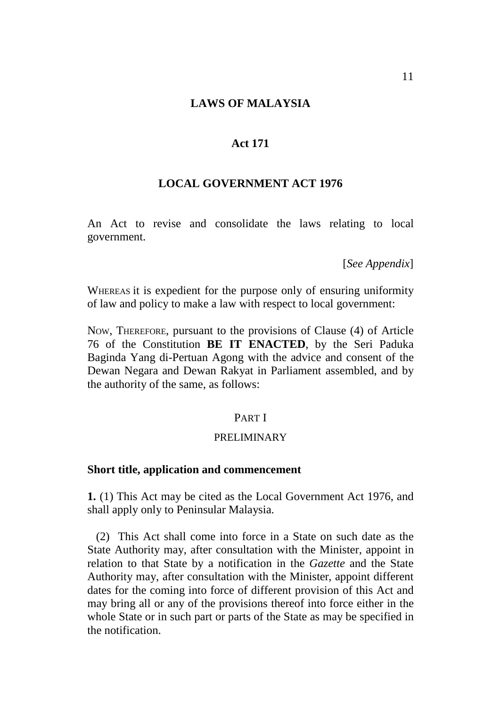#### **LAWS OF MALAYSIA**

# **Act 171**

# **LOCAL GOVERNMENT ACT 1976**

An Act to revise and consolidate the laws relating to local government.

[*See Appendix*]

WHEREAS it is expedient for the purpose only of ensuring uniformity of law and policy to make a law with respect to local government:

NOW, THEREFORE, pursuant to the provisions of Clause (4) of Article 76 of the Constitution **BE IT ENACTED**, by the Seri Paduka Baginda Yang di-Pertuan Agong with the advice and consent of the Dewan Negara and Dewan Rakyat in Parliament assembled, and by the authority of the same, as follows:

# PART I

#### PRELIMINARY

## **Short title, application and commencement**

**1.** (1) This Act may be cited as the Local Government Act 1976, and shall apply only to Peninsular Malaysia.

(2) This Act shall come into force in a State on such date as the State Authority may, after consultation with the Minister, appoint in relation to that State by a notification in the *Gazette* and the State Authority may, after consultation with the Minister, appoint different dates for the coming into force of different provision of this Act and may bring all or any of the provisions thereof into force either in the whole State or in such part or parts of the State as may be specified in the notification.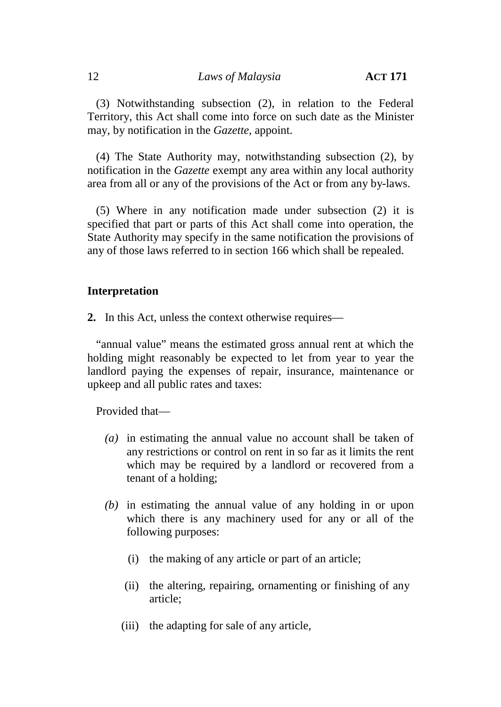(3) Notwithstanding subsection (2), in relation to the Federal Territory, this Act shall come into force on such date as the Minister may, by notification in the *Gazette*, appoint.

(4) The State Authority may, notwithstanding subsection (2), by notification in the *Gazette* exempt any area within any local authority area from all or any of the provisions of the Act or from any by-laws.

(5) Where in any notification made under subsection (2) it is specified that part or parts of this Act shall come into operation, the State Authority may specify in the same notification the provisions of any of those laws referred to in section 166 which shall be repealed.

# **Interpretation**

**2.** In this Act, unless the context otherwise requires—

"annual value" means the estimated gross annual rent at which the holding might reasonably be expected to let from year to year the landlord paying the expenses of repair, insurance, maintenance or upkeep and all public rates and taxes:

Provided that—

- *(a)* in estimating the annual value no account shall be taken of any restrictions or control on rent in so far as it limits the rent which may be required by a landlord or recovered from a tenant of a holding;
- *(b)* in estimating the annual value of any holding in or upon which there is any machinery used for any or all of the following purposes:
	- (i) the making of any article or part of an article;
	- (ii) the altering, repairing, ornamenting or finishing of any article;
	- (iii) the adapting for sale of any article,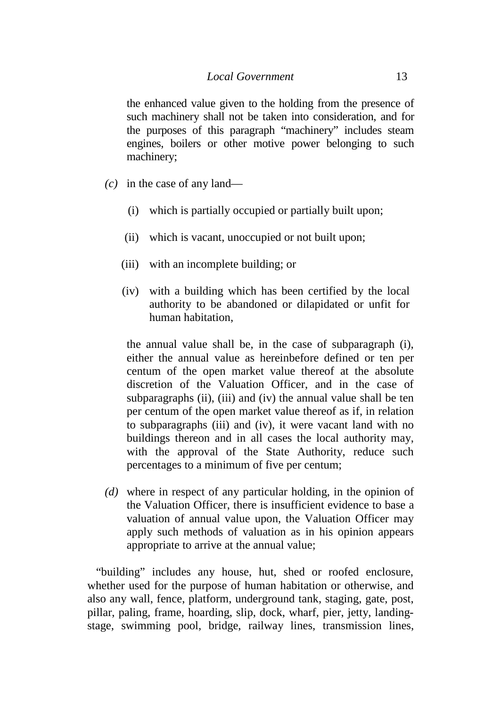the enhanced value given to the holding from the presence of such machinery shall not be taken into consideration, and for the purposes of this paragraph "machinery" includes steam engines, boilers or other motive power belonging to such machinery;

- *(c)* in the case of any land—
	- (i) which is partially occupied or partially built upon;
	- (ii) which is vacant, unoccupied or not built upon;
	- (iii) with an incomplete building; or
	- (iv) with a building which has been certified by the local authority to be abandoned or dilapidated or unfit for human habitation,

the annual value shall be, in the case of subparagraph (i), either the annual value as hereinbefore defined or ten per centum of the open market value thereof at the absolute discretion of the Valuation Officer, and in the case of subparagraphs (ii), (iii) and (iv) the annual value shall be ten per centum of the open market value thereof as if, in relation to subparagraphs (iii) and (iv), it were vacant land with no buildings thereon and in all cases the local authority may, with the approval of the State Authority, reduce such percentages to a minimum of five per centum;

*(d)* where in respect of any particular holding, in the opinion of the Valuation Officer, there is insufficient evidence to base a valuation of annual value upon, the Valuation Officer may apply such methods of valuation as in his opinion appears appropriate to arrive at the annual value;

"building" includes any house, hut, shed or roofed enclosure, whether used for the purpose of human habitation or otherwise, and also any wall, fence, platform, underground tank, staging, gate, post, pillar, paling, frame, hoarding, slip, dock, wharf, pier, jetty, landing stage, swimming pool, bridge, railway lines, transmission lines,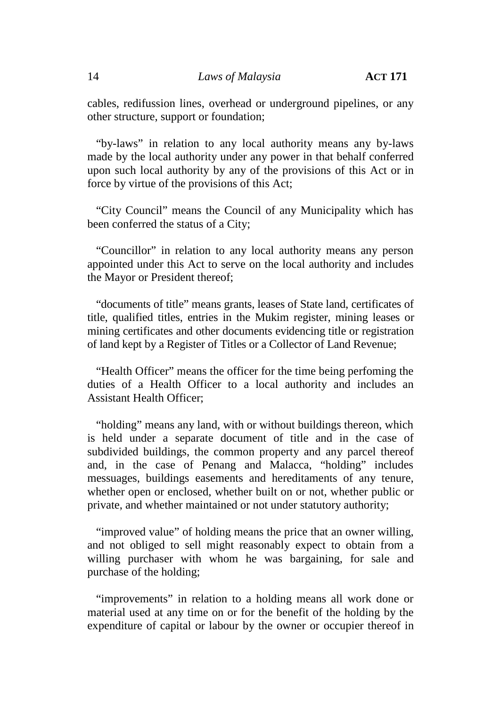cables, redifussion lines, overhead or underground pipelines, or any other structure, support or foundation;

"by-laws" in relation to any local authority means any by-laws made by the local authority under any power in that behalf conferred upon such local authority by any of the provisions of this Act or in force by virtue of the provisions of this Act;

"City Council" means the Council of any Municipality which has been conferred the status of a City;

"Councillor" in relation to any local authority means any person appointed under this Act to serve on the local authority and includes the Mayor or President thereof;

"documents of title" means grants, leases of State land, certificates of title, qualified titles, entries in the Mukim register, mining leases or mining certificates and other documents evidencing title or registration of land kept by a Register of Titles or a Collector of Land Revenue;

"Health Officer" means the officer for the time being perfoming the duties of a Health Officer to a local authority and includes an Assistant Health Officer;

"holding" means any land, with or without buildings thereon, which is held under a separate document of title and in the case of subdivided buildings, the common property and any parcel thereof and, in the case of Penang and Malacca, "holding" includes messuages, buildings easements and hereditaments of any tenure, whether open or enclosed, whether built on or not, whether public or private, and whether maintained or not under statutory authority;

"improved value" of holding means the price that an owner willing, and not obliged to sell might reasonably expect to obtain from a willing purchaser with whom he was bargaining, for sale and purchase of the holding;

"improvements" in relation to a holding means all work done or material used at any time on or for the benefit of the holding by the expenditure of capital or labour by the owner or occupier thereof in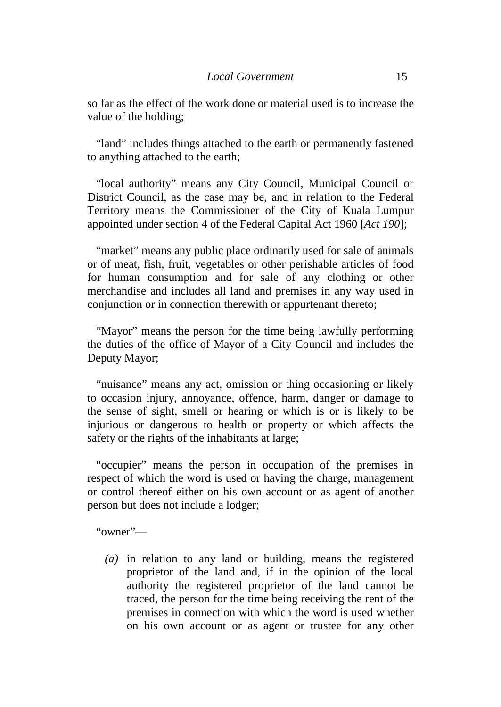so far as the effect of the work done or material used is to increase the value of the holding;

"land" includes things attached to the earth or permanently fastened to anything attached to the earth;

"local authority" means any City Council, Municipal Council or District Council, as the case may be, and in relation to the Federal Territory means the Commissioner of the City of Kuala Lumpur appointed under section 4 of the Federal Capital Act 1960 [*Act 190*];

"market" means any public place ordinarily used for sale of animals or of meat, fish, fruit, vegetables or other perishable articles of food for human consumption and for sale of any clothing or other merchandise and includes all land and premises in any way used in conjunction or in connection therewith or appurtenant thereto;

"Mayor" means the person for the time being lawfully performing the duties of the office of Mayor of a City Council and includes the Deputy Mayor;

"nuisance" means any act, omission or thing occasioning or likely to occasion injury, annoyance, offence, harm, danger or damage to the sense of sight, smell or hearing or which is or is likely to be injurious or dangerous to health or property or which affects the safety or the rights of the inhabitants at large;

"occupier" means the person in occupation of the premises in respect of which the word is used or having the charge, management or control thereof either on his own account or as agent of another person but does not include a lodger;

"owner"—

*(a)* in relation to any land or building, means the registered proprietor of the land and, if in the opinion of the local authority the registered proprietor of the land cannot be traced, the person for the time being receiving the rent of the premises in connection with which the word is used whether on his own account or as agent or trustee for any other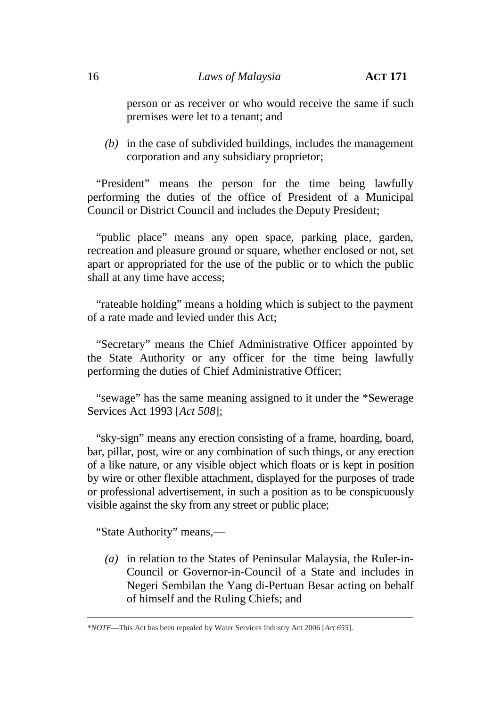person or as receiver or who would receive the same if such premises were let to a tenant; and

*(b)* in the case of subdivided buildings, includes the management corporation and any subsidiary proprietor;

"President" means the person for the time being lawfully performing the duties of the office of President of a Municipal Council or District Council and includes the Deputy President;

"public place" means any open space, parking place, garden, recreation and pleasure ground or square, whether enclosed or not, set apart or appropriated for the use of the public or to which the public shall at any time have access;

"rateable holding" means a holding which is subject to the payment of a rate made and levied under this Act;

"Secretary" means the Chief Administrative Officer appointed by the State Authority or any officer for the time being lawfully performing the duties of Chief Administrative Officer;

"sewage" has the same meaning assigned to it under the \*Sewerage Services Act 1993 [*Act 508*];

"sky-sign" means any erection consisting of a frame, hoarding, board, bar, pillar, post, wire or any combination of such things, or any erection of a like nature, or any visible object which floats or is kept in position by wire or other flexible attachment, displayed for the purposes of trade or professional advertisement, in such a position as to be conspicuously visible against the sky from any street or public place;

"State Authority" means,—

*(a)* in relation to the States of Peninsular Malaysia, the Ruler-in- Council or Governor-in-Council of a State and includes in Negeri Sembilan the Yang di-Pertuan Besar acting on behalf of himself and the Ruling Chiefs; and

\_\_\_\_\_\_\_\_\_\_\_\_\_\_\_\_\_\_\_\_\_\_\_\_\_\_\_\_\_\_\_\_\_\_\_\_\_\_\_\_\_\_\_\_\_\_\_\_\_\_\_\_\_\_\_\_

<sup>\*</sup>*NOTE*—This Act has been repealed by Water Services Industry Act 2006 [*Act 655*].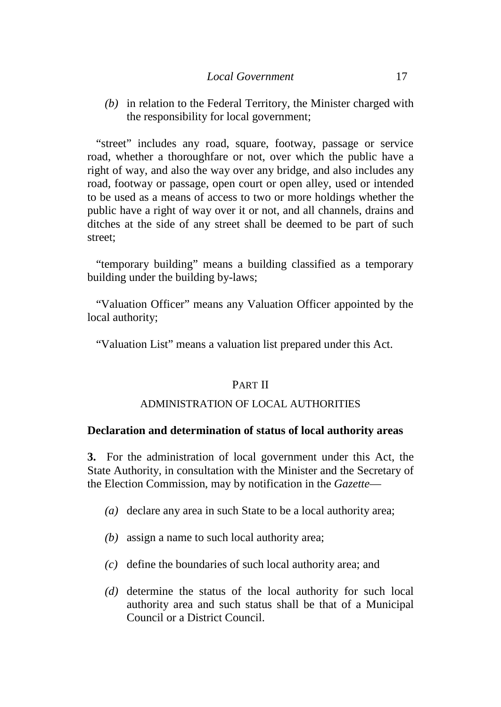*(b)* in relation to the Federal Territory, the Minister charged with the responsibility for local government;

"street" includes any road, square, footway, passage or service road, whether a thoroughfare or not, over which the public have a right of way, and also the way over any bridge, and also includes any road, footway or passage, open court or open alley, used or intended to be used as a means of access to two or more holdings whether the public have a right of way over it or not, and all channels, drains and ditches at the side of any street shall be deemed to be part of such street;

"temporary building" means a building classified as a temporary building under the building by-laws;

"Valuation Officer" means any Valuation Officer appointed by the local authority;

"Valuation List" means a valuation list prepared under this Act.

# PART II

# ADMINISTRATION OF LOCAL AUTHORITIES

# **Declaration and determination of status of local authority areas**

**3.** For the administration of local government under this Act, the State Authority, in consultation with the Minister and the Secretary of the Election Commission, may by notification in the *Gazette*—

- *(a)* declare any area in such State to be a local authority area;
- *(b)* assign a name to such local authority area;
- *(c)* define the boundaries of such local authority area; and
- *(d)* determine the status of the local authority for such local authority area and such status shall be that of a Municipal Council or a District Council.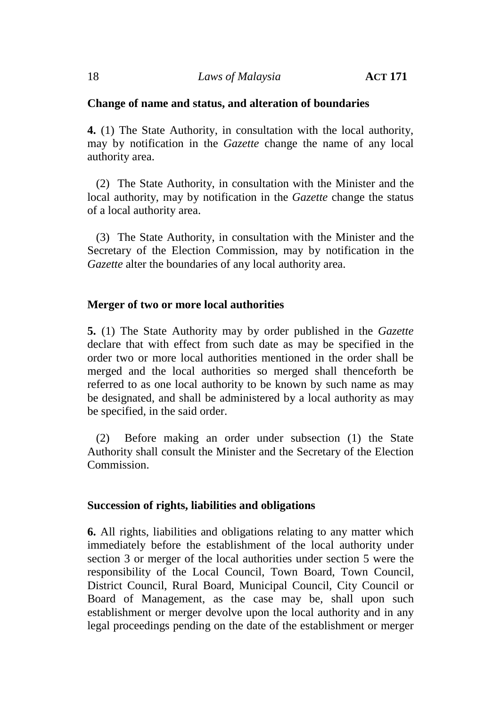# **Change of name and status, and alteration of boundaries**

**4.** (1) The State Authority, in consultation with the local authority, may by notification in the *Gazette* change the name of any local authority area.

(2) The State Authority, in consultation with the Minister and the local authority, may by notification in the *Gazette* change the status of a local authority area.

(3) The State Authority, in consultation with the Minister and the Secretary of the Election Commission, may by notification in the *Gazette* alter the boundaries of any local authority area.

# **Merger of two or more local authorities**

**5.** (1) The State Authority may by order published in the *Gazette* declare that with effect from such date as may be specified in the order two or more local authorities mentioned in the order shall be merged and the local authorities so merged shall thenceforth be referred to as one local authority to be known by such name as may be designated, and shall be administered by a local authority as may be specified, in the said order.

(2) Before making an order under subsection (1) the State Authority shall consult the Minister and the Secretary of the Election Commission.

# **Succession of rights, liabilities and obligations**

**6.** All rights, liabilities and obligations relating to any matter which immediately before the establishment of the local authority under section 3 or merger of the local authorities under section 5 were the responsibility of the Local Council, Town Board, Town Council, District Council, Rural Board, Municipal Council, City Council or Board of Management, as the case may be, shall upon such establishment or merger devolve upon the local authority and in any legal proceedings pending on the date of the establishment or merger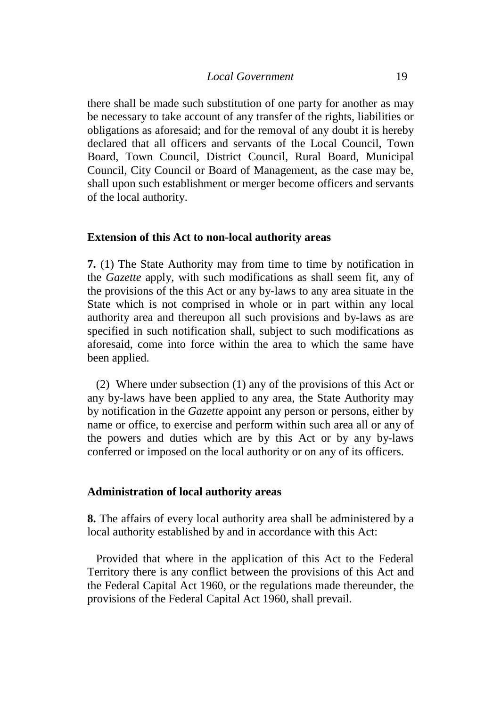there shall be made such substitution of one party for another as may be necessary to take account of any transfer of the rights, liabilities or obligations as aforesaid; and for the removal of any doubt it is hereby declared that all officers and servants of the Local Council, Town Board, Town Council, District Council, Rural Board, Municipal Council, City Council or Board of Management, as the case may be, shall upon such establishment or merger become officers and servants of the local authority.

# **Extension of this Act to non-local authority areas**

**7.** (1) The State Authority may from time to time by notification in the *Gazette* apply, with such modifications as shall seem fit, any of the provisions of the this Act or any by-laws to any area situate in the State which is not comprised in whole or in part within any local authority area and thereupon all such provisions and by-laws as are specified in such notification shall, subject to such modifications as aforesaid, come into force within the area to which the same have been applied.

(2) Where under subsection (1) any of the provisions of this Act or any by-laws have been applied to any area, the State Authority may by notification in the *Gazette* appoint any person or persons, either by name or office, to exercise and perform within such area all or any of the powers and duties which are by this Act or by any by-laws conferred or imposed on the local authority or on any of its officers.

# **Administration of local authority areas**

**8.** The affairs of every local authority area shall be administered by a local authority established by and in accordance with this Act:

Provided that where in the application of this Act to the Federal Territory there is any conflict between the provisions of this Act and the Federal Capital Act 1960, or the regulations made thereunder, the provisions of the Federal Capital Act 1960, shall prevail.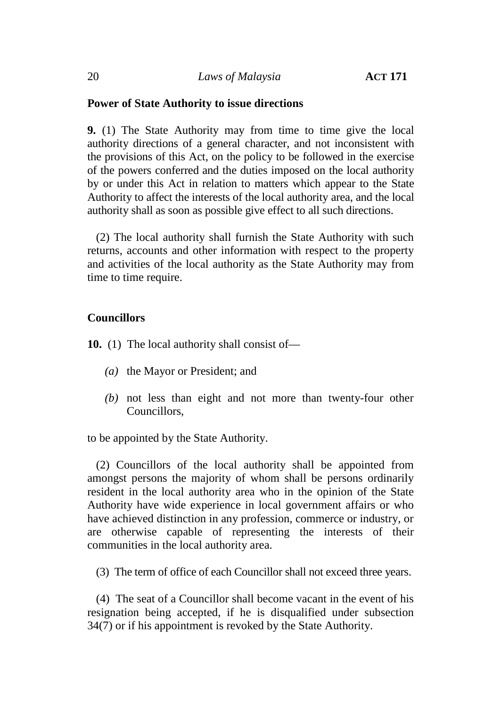# **Power of State Authority to issue directions**

**9.** (1) The State Authority may from time to time give the local authority directions of a general character, and not inconsistent with the provisions of this Act, on the policy to be followed in the exercise of the powers conferred and the duties imposed on the local authority by or under this Act in relation to matters which appear to the State Authority to affect the interests of the local authority area, and the local authority shall as soon as possible give effect to all such directions.

(2) The local authority shall furnish the State Authority with such returns, accounts and other information with respect to the property and activities of the local authority as the State Authority may from time to time require.

# **Councillors**

**10.** (1) The local authority shall consist of—

- *(a)* the Mayor or President; and
- *(b)* not less than eight and not more than twenty-four other Councillors,

to be appointed by the State Authority.

(2) Councillors of the local authority shall be appointed from amongst persons the majority of whom shall be persons ordinarily resident in the local authority area who in the opinion of the State Authority have wide experience in local government affairs or who have achieved distinction in any profession, commerce or industry, or are otherwise capable of representing the interests of their communities in the local authority area.

(3) The term of office of each Councillor shall not exceed three years.

(4) The seat of a Councillor shall become vacant in the event of his resignation being accepted, if he is disqualified under subsection 34(7) or if his appointment is revoked by the State Authority.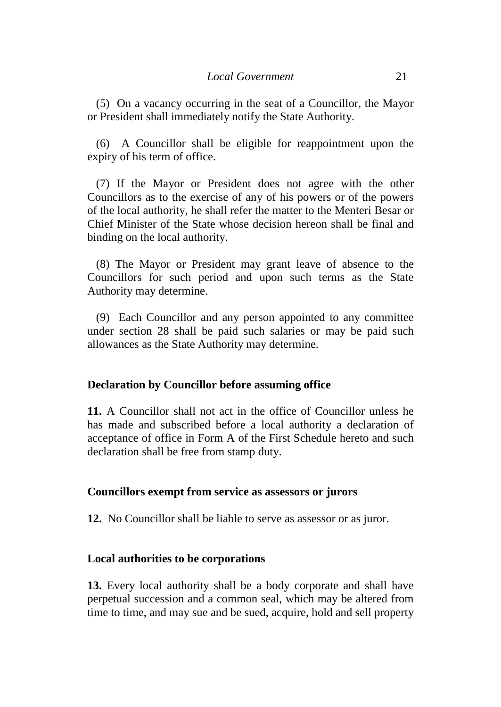(5) On a vacancy occurring in the seat of a Councillor, the Mayor or President shall immediately notify the State Authority.

(6) A Councillor shall be eligible for reappointment upon the expiry of his term of office.

(7) If the Mayor or President does not agree with the other Councillors as to the exercise of any of his powers or of the powers of the local authority, he shall refer the matter to the Menteri Besar or Chief Minister of the State whose decision hereon shall be final and binding on the local authority.

(8) The Mayor or President may grant leave of absence to the Councillors for such period and upon such terms as the State Authority may determine.

(9) Each Councillor and any person appointed to any committee under section 28 shall be paid such salaries or may be paid such allowances as the State Authority may determine.

# **Declaration by Councillor before assuming office**

**11.** A Councillor shall not act in the office of Councillor unless he has made and subscribed before a local authority a declaration of acceptance of office in Form A of the First Schedule hereto and such declaration shall be free from stamp duty.

# **Councillors exempt from service as assessors or jurors**

**12.** No Councillor shall be liable to serve as assessor or as juror.

# **Local authorities to be corporations**

**13.** Every local authority shall be a body corporate and shall have perpetual succession and a common seal, which may be altered from time to time, and may sue and be sued, acquire, hold and sell property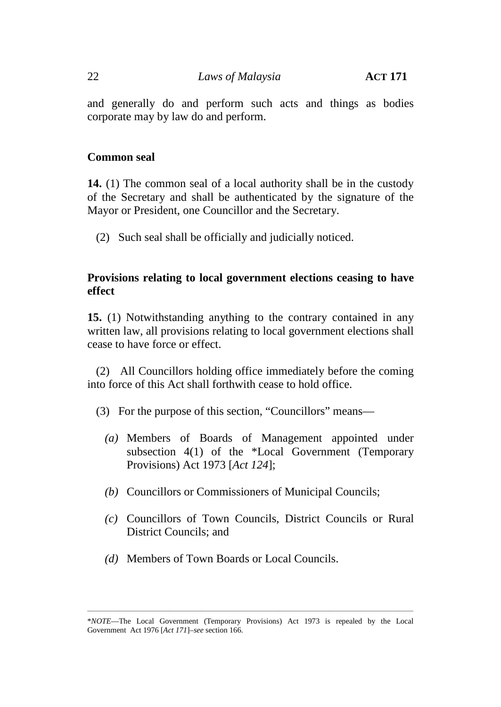# 22 *Laws of Malaysia* **ACT 171**

and generally do and perform such acts and things as bodies corporate may by law do and perform.

# **Common seal**

**14.** (1) The common seal of a local authority shall be in the custody of the Secretary and shall be authenticated by the signature of the Mayor or President, one Councillor and the Secretary.

(2) Such seal shall be officially and judicially noticed.

# **Provisions relating to local government elections ceasing to have effect**

**15.** (1) Notwithstanding anything to the contrary contained in any written law, all provisions relating to local government elections shall cease to have force or effect.

(2) All Councillors holding office immediately before the coming into force of this Act shall forthwith cease to hold office.

- (3) For the purpose of this section, "Councillors" means—
	- *(a)* Members of Boards of Management appointed under subsection 4(1) of the \*Local Government (Temporary Provisions) Act 1973 [*Act 124*];
	- *(b)* Councillors or Commissioners of Municipal Councils;
	- *(c)* Councillors of Town Councils, District Councils or Rural District Councils; and
	- *(d)* Members of Town Boards or Local Councils.

\_\_\_\_\_\_\_\_\_\_\_\_\_\_\_\_\_\_\_\_\_\_\_\_\_\_\_\_\_\_\_\_\_\_\_\_\_\_\_\_\_\_\_\_\_\_\_\_\_\_\_\_\_\_\_\_\_\_\_\_\_\_\_\_\_\_\_\_\_\_\_\_\_\_\_\_\_\_\_\_\_\_\_\_\_\_\_\_\_\_\_\_\_\_\_\_\_\_\_\_\_\_\_\_\_\_\_\_\_\_\_\_

<sup>\*</sup>*NOTE*—The Local Government (Temporary Provisions) Act 1973 is repealed by the Local Government Act 1976 [*Act 171*]–*see* section 166.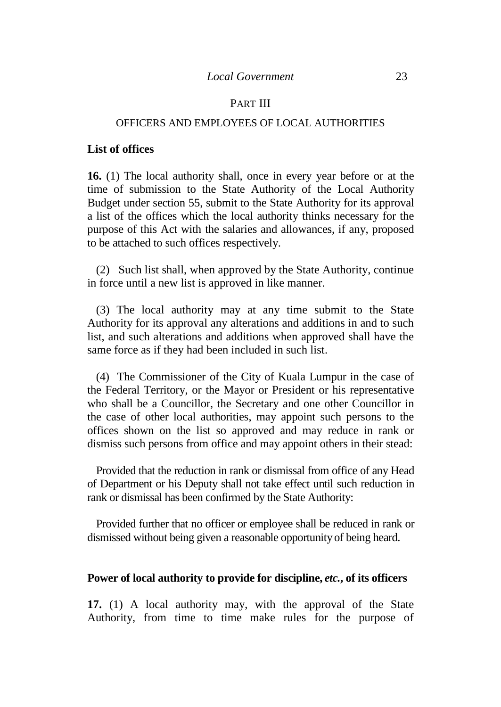## PART III

## OFFICERS AND EMPLOYEES OF LOCAL AUTHORITIES

#### **List of offices**

**16.** (1) The local authority shall, once in every year before or at the time of submission to the State Authority of the Local Authority Budget under section 55, submit to the State Authority for its approval a list of the offices which the local authority thinks necessary for the purpose of this Act with the salaries and allowances, if any, proposed to be attached to such offices respectively.

(2) Such list shall, when approved by the State Authority, continue in force until a new list is approved in like manner.

(3) The local authority may at any time submit to the State Authority for its approval any alterations and additions in and to such list, and such alterations and additions when approved shall have the same force as if they had been included in such list.

(4) The Commissioner of the City of Kuala Lumpur in the case of the Federal Territory, or the Mayor or President or his representative who shall be a Councillor, the Secretary and one other Councillor in the case of other local authorities, may appoint such persons to the offices shown on the list so approved and may reduce in rank or dismiss such persons from office and may appoint others in their stead:

Provided that the reduction in rank or dismissal from office of any Head of Department or his Deputy shall not take effect until such reduction in rank or dismissal has been confirmed by the State Authority:

Provided further that no officer or employee shall be reduced in rank or dismissed without being given a reasonable opportunity of being heard.

### **Power of local authority to provide for discipline,** *etc.***, of its officers**

**17.** (1) A local authority may, with the approval of the State Authority, from time to time make rules for the purpose of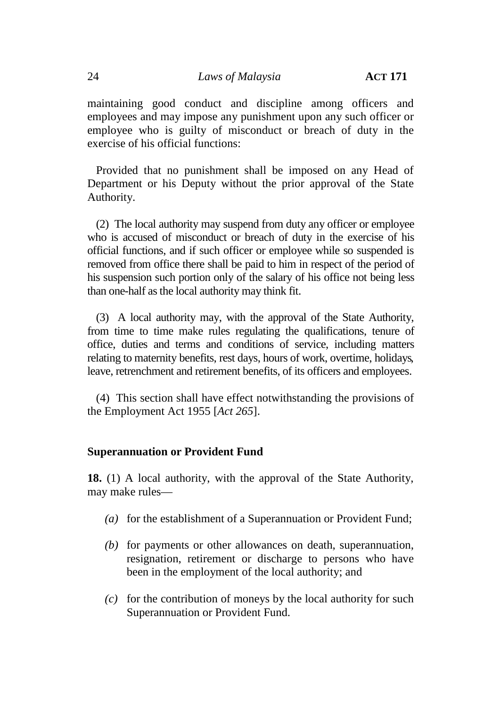maintaining good conduct and discipline among officers and employees and may impose any punishment upon any such officer or employee who is guilty of misconduct or breach of duty in the exercise of his official functions:

Provided that no punishment shall be imposed on any Head of Department or his Deputy without the prior approval of the State Authority.

(2) The local authority may suspend from duty any officer or employee who is accused of misconduct or breach of duty in the exercise of his official functions, and if such officer or employee while so suspended is removed from office there shall be paid to him in respect of the period of his suspension such portion only of the salary of his office not being less than one-half as the local authority may think fit.

(3) A local authority may, with the approval of the State Authority, from time to time make rules regulating the qualifications, tenure of office, duties and terms and conditions of service, including matters relating to maternity benefits, rest days, hours of work, overtime, holidays, leave, retrenchment and retirement benefits, of its officers and employees.

(4) This section shall have effect notwithstanding the provisions of the Employment Act 1955 [*Act 265*].

# **Superannuation or Provident Fund**

**18.** (1) A local authority, with the approval of the State Authority, may make rules—

- *(a)* for the establishment of a Superannuation or Provident Fund;
- *(b)* for payments or other allowances on death, superannuation, resignation, retirement or discharge to persons who have been in the employment of the local authority; and
- *(c)* for the contribution of moneys by the local authority for such Superannuation or Provident Fund.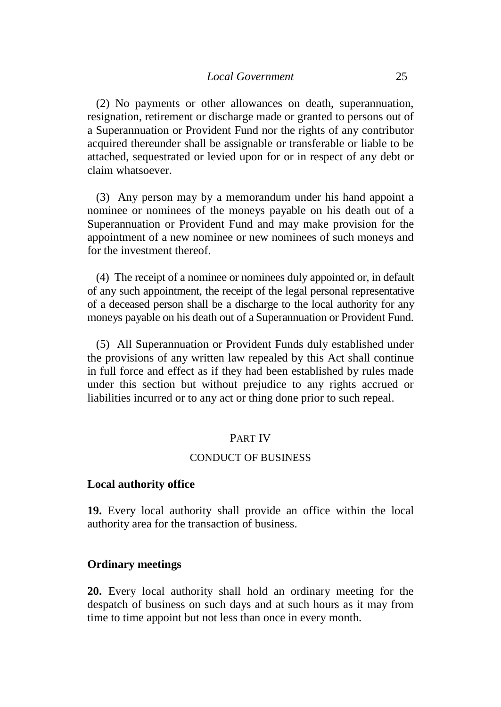(2) No payments or other allowances on death, superannuation, resignation, retirement or discharge made or granted to persons out of a Superannuation or Provident Fund nor the rights of any contributor acquired thereunder shall be assignable or transferable or liable to be attached, sequestrated or levied upon for or in respect of any debt or claim whatsoever.

(3) Any person may by a memorandum under his hand appoint a nominee or nominees of the moneys payable on his death out of a Superannuation or Provident Fund and may make provision for the appointment of a new nominee or new nominees of such moneys and for the investment thereof.

(4) The receipt of a nominee or nominees duly appointed or, in default of any such appointment, the receipt of the legal personal representative of a deceased person shall be a discharge to the local authority for any moneys payable on his death out of a Superannuation or Provident Fund.

(5) All Superannuation or Provident Funds duly established under the provisions of any written law repealed by this Act shall continue in full force and effect as if they had been established by rules made under this section but without prejudice to any rights accrued or liabilities incurred or to any act or thing done prior to such repeal.

# PART IV

## CONDUCT OF BUSINESS

#### **Local authority office**

**19.** Every local authority shall provide an office within the local authority area for the transaction of business.

### **Ordinary meetings**

**20.** Every local authority shall hold an ordinary meeting for the despatch of business on such days and at such hours as it may from time to time appoint but not less than once in every month.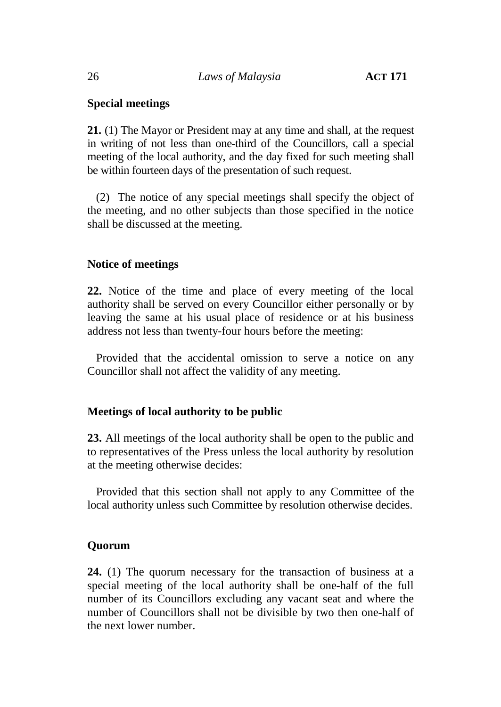# **Special meetings**

**21.** (1) The Mayor or President may at any time and shall, at the request in writing of not less than one-third of the Councillors, call a special meeting of the local authority, and the day fixed for such meeting shall be within fourteen days of the presentation of such request.

(2) The notice of any special meetings shall specify the object of the meeting, and no other subjects than those specified in the notice shall be discussed at the meeting.

# **Notice of meetings**

**22.** Notice of the time and place of every meeting of the local authority shall be served on every Councillor either personally or by leaving the same at his usual place of residence or at his business address not less than twenty-four hours before the meeting:

Provided that the accidental omission to serve a notice on any Councillor shall not affect the validity of any meeting.

# **Meetings of local authority to be public**

**23.** All meetings of the local authority shall be open to the public and to representatives of the Press unless the local authority by resolution at the meeting otherwise decides:

Provided that this section shall not apply to any Committee of the local authority unless such Committee by resolution otherwise decides.

# **Quorum**

**24.** (1) The quorum necessary for the transaction of business at a special meeting of the local authority shall be one-half of the full number of its Councillors excluding any vacant seat and where the number of Councillors shall not be divisible by two then one-half of the next lower number.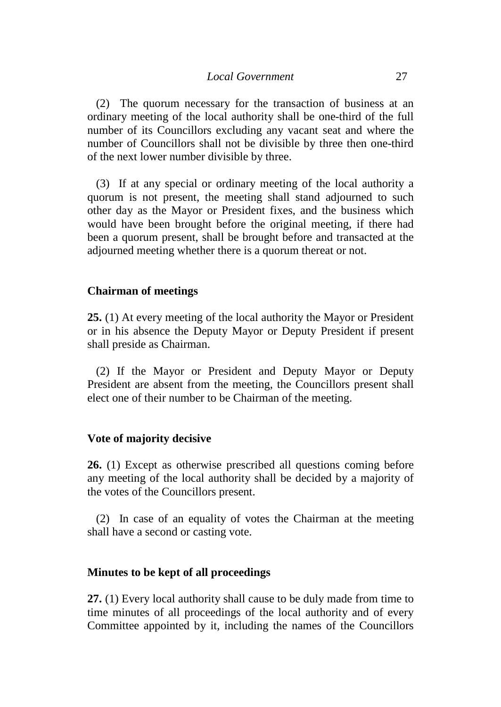(2) The quorum necessary for the transaction of business at an ordinary meeting of the local authority shall be one-third of the full number of its Councillors excluding any vacant seat and where the number of Councillors shall not be divisible by three then one-third of the next lower number divisible by three.

(3) If at any special or ordinary meeting of the local authority a quorum is not present, the meeting shall stand adjourned to such other day as the Mayor or President fixes, and the business which would have been brought before the original meeting, if there had been a quorum present, shall be brought before and transacted at the adjourned meeting whether there is a quorum thereat or not.

# **Chairman of meetings**

**25.** (1) At every meeting of the local authority the Mayor or President or in his absence the Deputy Mayor or Deputy President if present shall preside as Chairman.

(2) If the Mayor or President and Deputy Mayor or Deputy President are absent from the meeting, the Councillors present shall elect one of their number to be Chairman of the meeting.

# **Vote of majority decisive**

**26.** (1) Except as otherwise prescribed all questions coming before any meeting of the local authority shall be decided by a majority of the votes of the Councillors present.

(2) In case of an equality of votes the Chairman at the meeting shall have a second or casting vote.

# **Minutes to be kept of all proceedings**

**27.** (1) Every local authority shall cause to be duly made from time to time minutes of all proceedings of the local authority and of every Committee appointed by it, including the names of the Councillors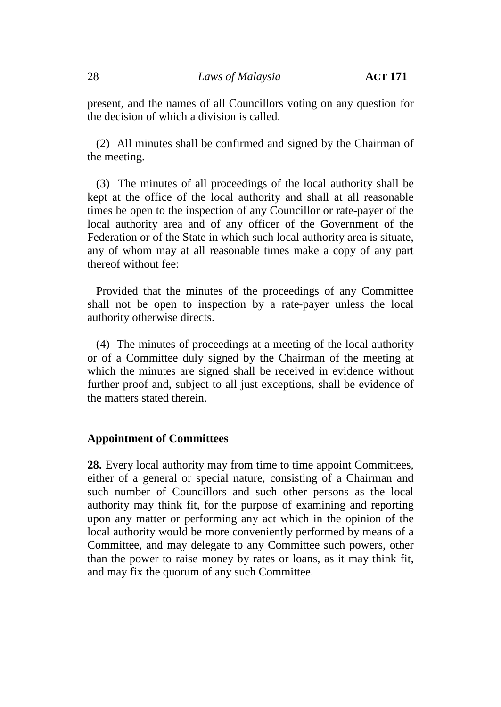present, and the names of all Councillors voting on any question for the decision of which a division is called.

(2) All minutes shall be confirmed and signed by the Chairman of the meeting.

(3) The minutes of all proceedings of the local authority shall be kept at the office of the local authority and shall at all reasonable times be open to the inspection of any Councillor or rate-payer of the local authority area and of any officer of the Government of the Federation or of the State in which such local authority area is situate, any of whom may at all reasonable times make a copy of any part thereof without fee:

Provided that the minutes of the proceedings of any Committee shall not be open to inspection by a rate-payer unless the local authority otherwise directs.

(4) The minutes of proceedings at a meeting of the local authority or of a Committee duly signed by the Chairman of the meeting at which the minutes are signed shall be received in evidence without further proof and, subject to all just exceptions, shall be evidence of the matters stated therein.

# **Appointment of Committees**

**28.** Every local authority may from time to time appoint Committees, either of a general or special nature, consisting of a Chairman and such number of Councillors and such other persons as the local authority may think fit, for the purpose of examining and reporting upon any matter or performing any act which in the opinion of the local authority would be more conveniently performed by means of a Committee, and may delegate to any Committee such powers, other than the power to raise money by rates or loans, as it may think fit, and may fix the quorum of any such Committee.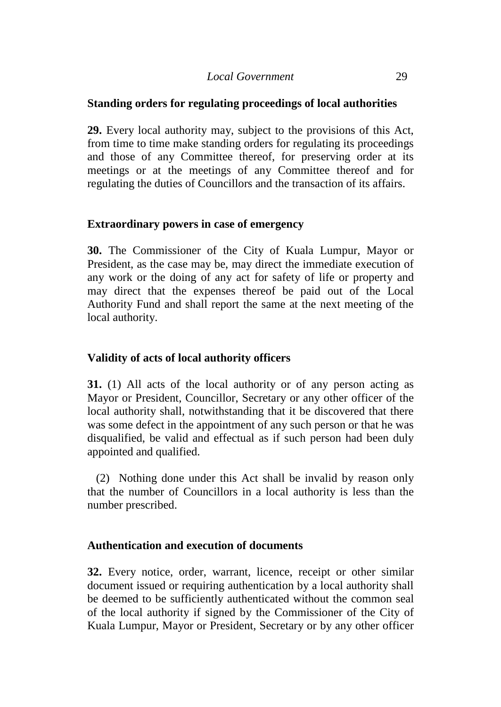# **Standing orders for regulating proceedings of local authorities**

**29.** Every local authority may, subject to the provisions of this Act, from time to time make standing orders for regulating its proceedings and those of any Committee thereof, for preserving order at its meetings or at the meetings of any Committee thereof and for regulating the duties of Councillors and the transaction of its affairs.

# **Extraordinary powers in case of emergency**

**30.** The Commissioner of the City of Kuala Lumpur, Mayor or President, as the case may be, may direct the immediate execution of any work or the doing of any act for safety of life or property and may direct that the expenses thereof be paid out of the Local Authority Fund and shall report the same at the next meeting of the local authority.

# **Validity of acts of local authority officers**

**31.** (1) All acts of the local authority or of any person acting as Mayor or President, Councillor, Secretary or any other officer of the local authority shall, notwithstanding that it be discovered that there was some defect in the appointment of any such person or that he was disqualified, be valid and effectual as if such person had been duly appointed and qualified.

(2) Nothing done under this Act shall be invalid by reason only that the number of Councillors in a local authority is less than the number prescribed.

# **Authentication and execution of documents**

**32.** Every notice, order, warrant, licence, receipt or other similar document issued or requiring authentication by a local authority shall be deemed to be sufficiently authenticated without the common seal of the local authority if signed by the Commissioner of the City of Kuala Lumpur, Mayor or President, Secretary or by any other officer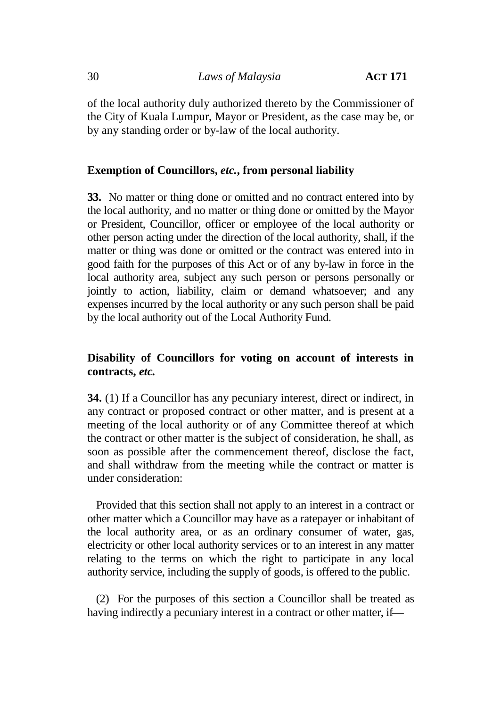of the local authority duly authorized thereto by the Commissioner of the City of Kuala Lumpur, Mayor or President, as the case may be, or by any standing order or by-law of the local authority.

# **Exemption of Councillors,** *etc.***, from personal liability**

**33.** No matter or thing done or omitted and no contract entered into by the local authority, and no matter or thing done or omitted by the Mayor or President, Councillor, officer or employee of the local authority or other person acting under the direction of the local authority, shall, if the matter or thing was done or omitted or the contract was entered into in good faith for the purposes of this Act or of any by-law in force in the local authority area, subject any such person or persons personally or jointly to action, liability, claim or demand whatsoever; and any expenses incurred by the local authority or any such person shall be paid by the local authority out of the Local Authority Fund.

# **Disability of Councillors for voting on account of interests in contracts,** *etc.*

**34.** (1) If a Councillor has any pecuniary interest, direct or indirect, in any contract or proposed contract or other matter, and is present at a meeting of the local authority or of any Committee thereof at which the contract or other matter is the subject of consideration, he shall, as soon as possible after the commencement thereof, disclose the fact, and shall withdraw from the meeting while the contract or matter is under consideration:

Provided that this section shall not apply to an interest in a contract or other matter which a Councillor may have as a ratepayer or inhabitant of the local authority area, or as an ordinary consumer of water, gas, electricity or other local authority services or to an interest in any matter relating to the terms on which the right to participate in any local authority service, including the supply of goods, is offered to the public.

(2) For the purposes of this section a Councillor shall be treated as having indirectly a pecuniary interest in a contract or other matter, if—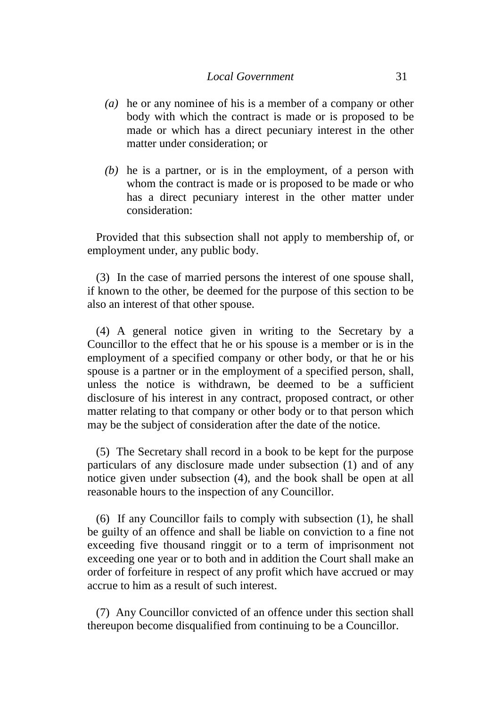- *(a)* he or any nominee of his is a member of a company or other body with which the contract is made or is proposed to be made or which has a direct pecuniary interest in the other matter under consideration; or
- *(b)* he is a partner, or is in the employment, of a person with whom the contract is made or is proposed to be made or who has a direct pecuniary interest in the other matter under consideration:

Provided that this subsection shall not apply to membership of, or employment under, any public body.

(3) In the case of married persons the interest of one spouse shall, if known to the other, be deemed for the purpose of this section to be also an interest of that other spouse.

(4) A general notice given in writing to the Secretary by a Councillor to the effect that he or his spouse is a member or is in the employment of a specified company or other body, or that he or his spouse is a partner or in the employment of a specified person, shall, unless the notice is withdrawn, be deemed to be a sufficient disclosure of his interest in any contract, proposed contract, or other matter relating to that company or other body or to that person which may be the subject of consideration after the date of the notice.

(5) The Secretary shall record in a book to be kept for the purpose particulars of any disclosure made under subsection (1) and of any notice given under subsection (4), and the book shall be open at all reasonable hours to the inspection of any Councillor.

(6) If any Councillor fails to comply with subsection (1), he shall be guilty of an offence and shall be liable on conviction to a fine not exceeding five thousand ringgit or to a term of imprisonment not exceeding one year or to both and in addition the Court shall make an order of forfeiture in respect of any profit which have accrued or may accrue to him as a result of such interest.

(7) Any Councillor convicted of an offence under this section shall thereupon become disqualified from continuing to be a Councillor.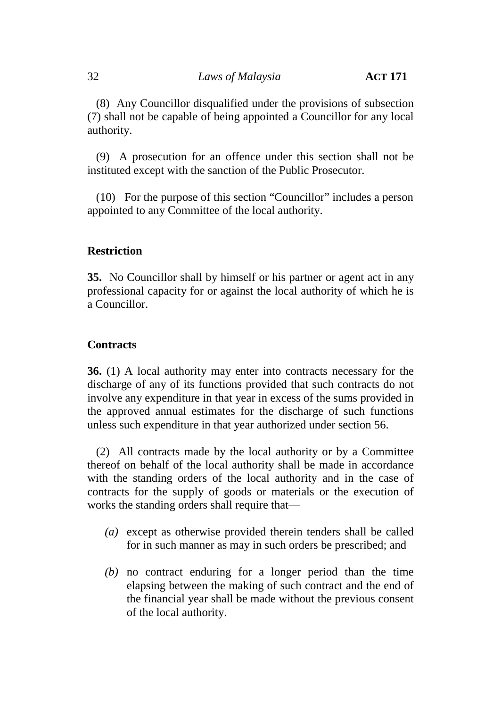(8) Any Councillor disqualified under the provisions of subsection (7) shall not be capable of being appointed a Councillor for any local authority.

(9) A prosecution for an offence under this section shall not be instituted except with the sanction of the Public Prosecutor.

(10) For the purpose of this section "Councillor" includes a person appointed to any Committee of the local authority.

# **Restriction**

**35.** No Councillor shall by himself or his partner or agent act in any professional capacity for or against the local authority of which he is a Councillor.

# **Contracts**

**36.** (1) A local authority may enter into contracts necessary for the discharge of any of its functions provided that such contracts do not involve any expenditure in that year in excess of the sums provided in the approved annual estimates for the discharge of such functions unless such expenditure in that year authorized under section 56.

(2) All contracts made by the local authority or by a Committee thereof on behalf of the local authority shall be made in accordance with the standing orders of the local authority and in the case of contracts for the supply of goods or materials or the execution of works the standing orders shall require that—

- *(a)* except as otherwise provided therein tenders shall be called for in such manner as may in such orders be prescribed; and
- *(b)* no contract enduring for a longer period than the time elapsing between the making of such contract and the end of the financial year shall be made without the previous consent of the local authority.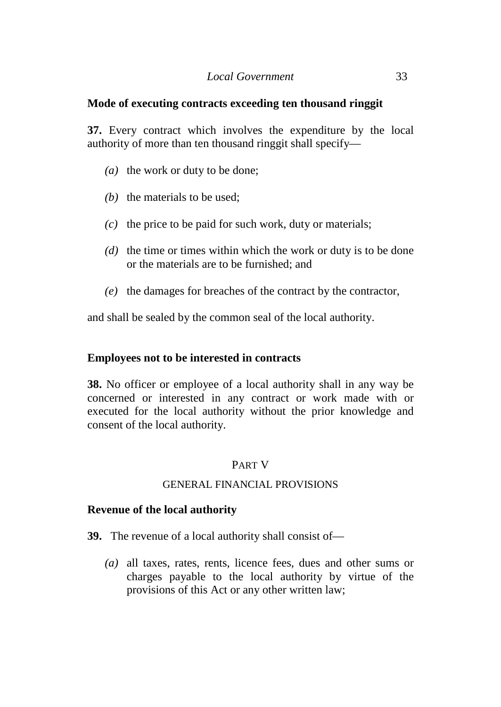# *Local Government* 33

# **Mode of executing contracts exceeding ten thousand ringgit**

**37.** Every contract which involves the expenditure by the local authority of more than ten thousand ringgit shall specify—

- *(a)* the work or duty to be done;
- *(b)* the materials to be used;
- *(c)* the price to be paid for such work, duty or materials;
- *(d)* the time or times within which the work or duty is to be done or the materials are to be furnished; and
- *(e)* the damages for breaches of the contract by the contractor,

and shall be sealed by the common seal of the local authority.

# **Employees not to be interested in contracts**

**38.** No officer or employee of a local authority shall in any way be concerned or interested in any contract or work made with or executed for the local authority without the prior knowledge and consent of the local authority.

# PART V

#### GENERAL FINANCIAL PROVISIONS

# **Revenue of the local authority**

- **39.** The revenue of a local authority shall consist of—
	- *(a)* all taxes, rates, rents, licence fees, dues and other sums or charges payable to the local authority by virtue of the provisions of this Act or any other written law;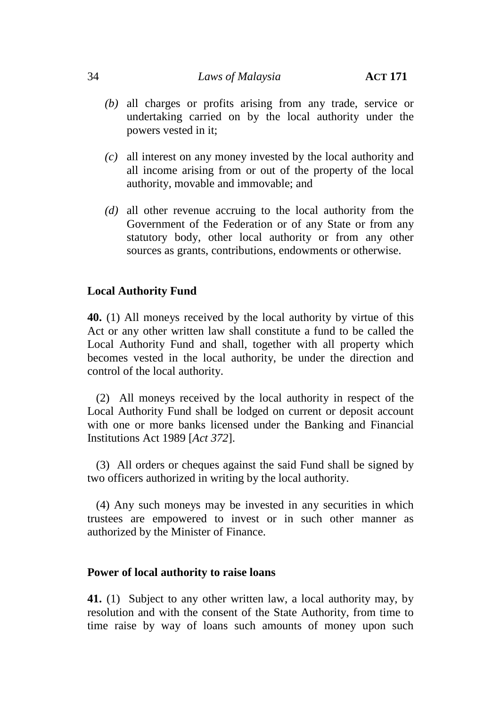# 34 *Laws of Malaysia* **ACT 171**

- *(b)* all charges or profits arising from any trade, service or undertaking carried on by the local authority under the powers vested in it;
- *(c)* all interest on any money invested by the local authority and all income arising from or out of the property of the local authority, movable and immovable; and
- *(d)* all other revenue accruing to the local authority from the Government of the Federation or of any State or from any statutory body, other local authority or from any other sources as grants, contributions, endowments or otherwise.

# **Local Authority Fund**

**40.** (1) All moneys received by the local authority by virtue of this Act or any other written law shall constitute a fund to be called the Local Authority Fund and shall, together with all property which becomes vested in the local authority, be under the direction and control of the local authority.

(2) All moneys received by the local authority in respect of the Local Authority Fund shall be lodged on current or deposit account with one or more banks licensed under the Banking and Financial Institutions Act 1989 [*Act 372*].

(3) All orders or cheques against the said Fund shall be signed by two officers authorized in writing by the local authority.

(4) Any such moneys may be invested in any securities in which trustees are empowered to invest or in such other manner as authorized by the Minister of Finance.

# **Power of local authority to raise loans**

**41.** (1) Subject to any other written law, a local authority may, by resolution and with the consent of the State Authority, from time to time raise by way of loans such amounts of money upon such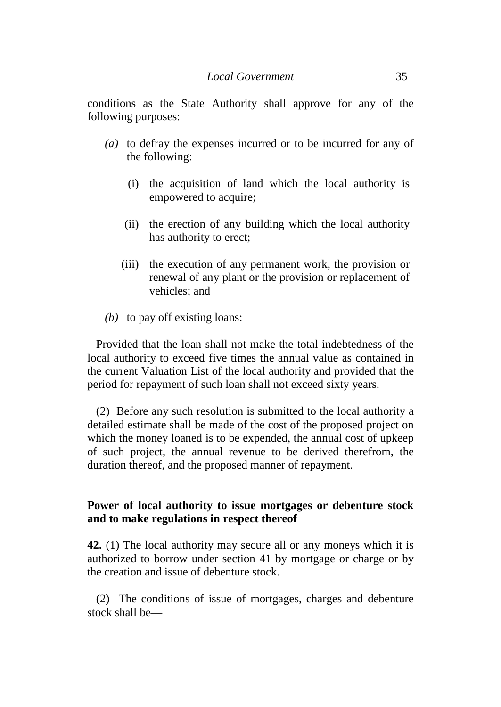conditions as the State Authority shall approve for any of the following purposes:

- *(a)* to defray the expenses incurred or to be incurred for any of the following:
	- (i) the acquisition of land which the local authority is empowered to acquire;
	- (ii) the erection of any building which the local authority has authority to erect;
	- (iii) the execution of any permanent work, the provision or renewal of any plant or the provision or replacement of vehicles; and
- *(b)* to pay off existing loans:

Provided that the loan shall not make the total indebtedness of the local authority to exceed five times the annual value as contained in the current Valuation List of the local authority and provided that the period for repayment of such loan shall not exceed sixty years.

(2) Before any such resolution is submitted to the local authority a detailed estimate shall be made of the cost of the proposed project on which the money loaned is to be expended, the annual cost of upkeep of such project, the annual revenue to be derived therefrom, the duration thereof, and the proposed manner of repayment.

# **Power of local authority to issue mortgages or debenture stock and to make regulations in respect thereof**

**42.** (1) The local authority may secure all or any moneys which it is authorized to borrow under section 41 by mortgage or charge or by the creation and issue of debenture stock.

(2) The conditions of issue of mortgages, charges and debenture stock shall be—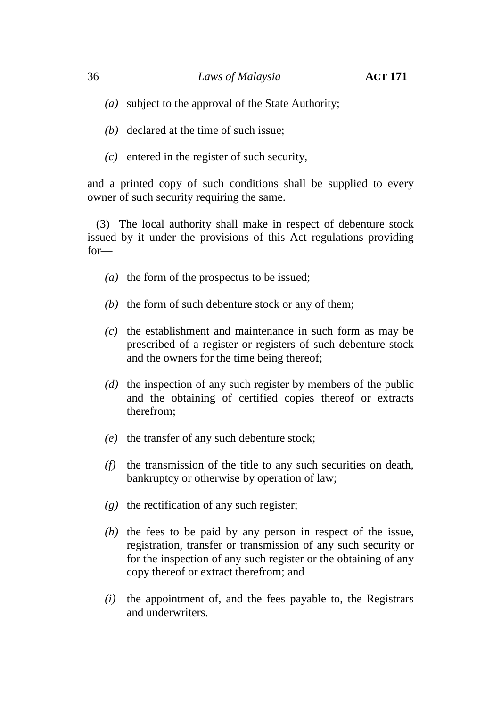- *(a)* subject to the approval of the State Authority;
- *(b)* declared at the time of such issue;
- *(c)* entered in the register of such security,

and a printed copy of such conditions shall be supplied to every owner of such security requiring the same.

(3) The local authority shall make in respect of debenture stock issued by it under the provisions of this Act regulations providing for—

- *(a)* the form of the prospectus to be issued;
- *(b)* the form of such debenture stock or any of them;
- *(c)* the establishment and maintenance in such form as may be prescribed of a register or registers of such debenture stock and the owners for the time being thereof;
- *(d)* the inspection of any such register by members of the public and the obtaining of certified copies thereof or extracts therefrom;
- *(e)* the transfer of any such debenture stock;
- *(f)* the transmission of the title to any such securities on death, bankruptcy or otherwise by operation of law;
- *(g)* the rectification of any such register;
- *(h)* the fees to be paid by any person in respect of the issue, registration, transfer or transmission of any such security or for the inspection of any such register or the obtaining of any copy thereof or extract therefrom; and
- *(i)* the appointment of, and the fees payable to, the Registrars and underwriters.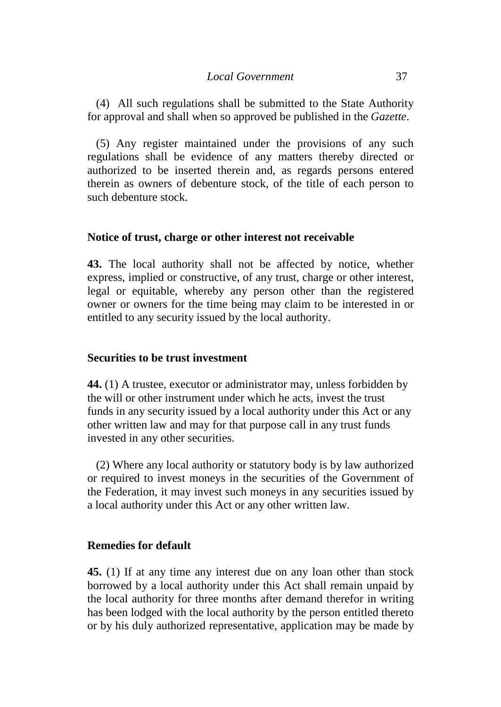(4) All such regulations shall be submitted to the State Authority for approval and shall when so approved be published in the *Gazette*.

(5) Any register maintained under the provisions of any such regulations shall be evidence of any matters thereby directed or authorized to be inserted therein and, as regards persons entered therein as owners of debenture stock, of the title of each person to such debenture stock.

### **Notice of trust, charge or other interest not receivable**

**43.** The local authority shall not be affected by notice, whether express, implied or constructive, of any trust, charge or other interest, legal or equitable, whereby any person other than the registered owner or owners for the time being may claim to be interested in or entitled to any security issued by the local authority.

### **Securities to be trust investment**

**44.** (1) A trustee, executor or administrator may, unless forbidden by the will or other instrument under which he acts, invest the trust funds in any security issued by a local authority under this Act or any other written law and may for that purpose call in any trust funds invested in any other securities.

(2) Where any local authority or statutory body is by law authorized or required to invest moneys in the securities of the Government of the Federation, it may invest such moneys in any securities issued by a local authority under this Act or any other written law.

#### **Remedies for default**

**45.** (1) If at any time any interest due on any loan other than stock borrowed by a local authority under this Act shall remain unpaid by the local authority for three months after demand therefor in writing has been lodged with the local authority by the person entitled thereto or by his duly authorized representative, application may be made by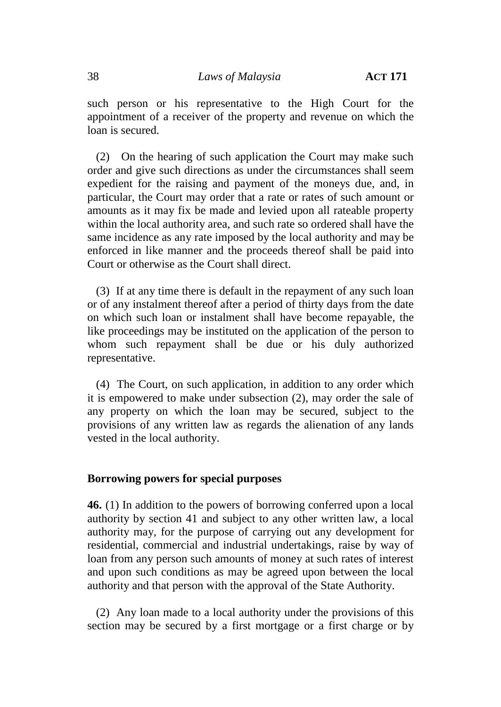such person or his representative to the High Court for the appointment of a receiver of the property and revenue on which the loan is secured.

(2) On the hearing of such application the Court may make such order and give such directions as under the circumstances shall seem expedient for the raising and payment of the moneys due, and, in particular, the Court may order that a rate or rates of such amount or amounts as it may fix be made and levied upon all rateable property within the local authority area, and such rate so ordered shall have the same incidence as any rate imposed by the local authority and may be enforced in like manner and the proceeds thereof shall be paid into Court or otherwise as the Court shall direct.

(3) If at any time there is default in the repayment of any such loan or of any instalment thereof after a period of thirty days from the date on which such loan or instalment shall have become repayable, the like proceedings may be instituted on the application of the person to whom such repayment shall be due or his duly authorized representative.

(4) The Court, on such application, in addition to any order which it is empowered to make under subsection (2), may order the sale of any property on which the loan may be secured, subject to the provisions of any written law as regards the alienation of any lands vested in the local authority.

## **Borrowing powers for special purposes**

**46.** (1) In addition to the powers of borrowing conferred upon a local authority by section 41 and subject to any other written law, a local authority may, for the purpose of carrying out any development for residential, commercial and industrial undertakings, raise by way of loan from any person such amounts of money at such rates of interest and upon such conditions as may be agreed upon between the local authority and that person with the approval of the State Authority.

(2) Any loan made to a local authority under the provisions of this section may be secured by a first mortgage or a first charge or by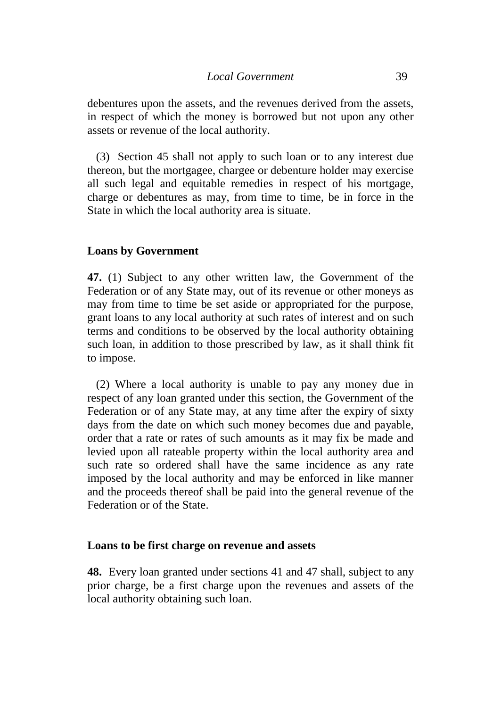debentures upon the assets, and the revenues derived from the assets, in respect of which the money is borrowed but not upon any other assets or revenue of the local authority.

(3) Section 45 shall not apply to such loan or to any interest due thereon, but the mortgagee, chargee or debenture holder may exercise all such legal and equitable remedies in respect of his mortgage, charge or debentures as may, from time to time, be in force in the State in which the local authority area is situate.

### **Loans by Government**

**47.** (1) Subject to any other written law, the Government of the Federation or of any State may, out of its revenue or other moneys as may from time to time be set aside or appropriated for the purpose, grant loans to any local authority at such rates of interest and on such terms and conditions to be observed by the local authority obtaining such loan, in addition to those prescribed by law, as it shall think fit to impose.

(2) Where a local authority is unable to pay any money due in respect of any loan granted under this section, the Government of the Federation or of any State may, at any time after the expiry of sixty days from the date on which such money becomes due and payable, order that a rate or rates of such amounts as it may fix be made and levied upon all rateable property within the local authority area and such rate so ordered shall have the same incidence as any rate imposed by the local authority and may be enforced in like manner and the proceeds thereof shall be paid into the general revenue of the Federation or of the State.

### **Loans to be first charge on revenue and assets**

**48.** Every loan granted under sections 41 and 47 shall, subject to any prior charge, be a first charge upon the revenues and assets of the local authority obtaining such loan.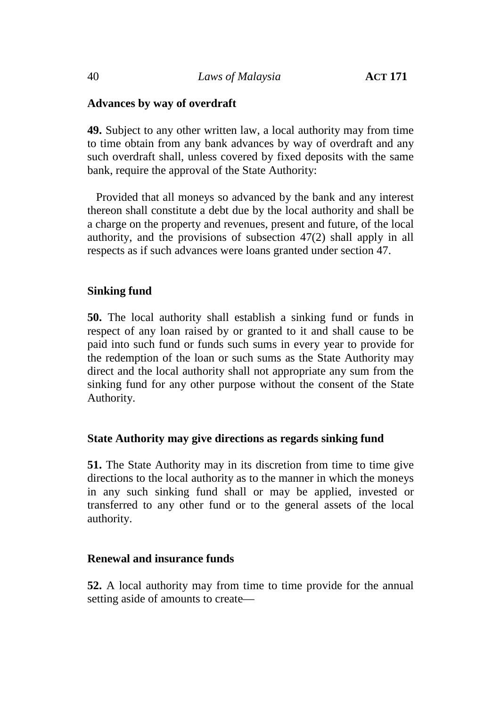## **Advances by way of overdraft**

**49.** Subject to any other written law, a local authority may from time to time obtain from any bank advances by way of overdraft and any such overdraft shall, unless covered by fixed deposits with the same bank, require the approval of the State Authority:

Provided that all moneys so advanced by the bank and any interest thereon shall constitute a debt due by the local authority and shall be a charge on the property and revenues, present and future, of the local authority, and the provisions of subsection 47(2) shall apply in all respects as if such advances were loans granted under section 47.

## **Sinking fund**

**50.** The local authority shall establish a sinking fund or funds in respect of any loan raised by or granted to it and shall cause to be paid into such fund or funds such sums in every year to provide for the redemption of the loan or such sums as the State Authority may direct and the local authority shall not appropriate any sum from the sinking fund for any other purpose without the consent of the State Authority.

## **State Authority may give directions as regards sinking fund**

**51.** The State Authority may in its discretion from time to time give directions to the local authority as to the manner in which the moneys in any such sinking fund shall or may be applied, invested or transferred to any other fund or to the general assets of the local authority.

## **Renewal and insurance funds**

**52.** A local authority may from time to time provide for the annual setting aside of amounts to create—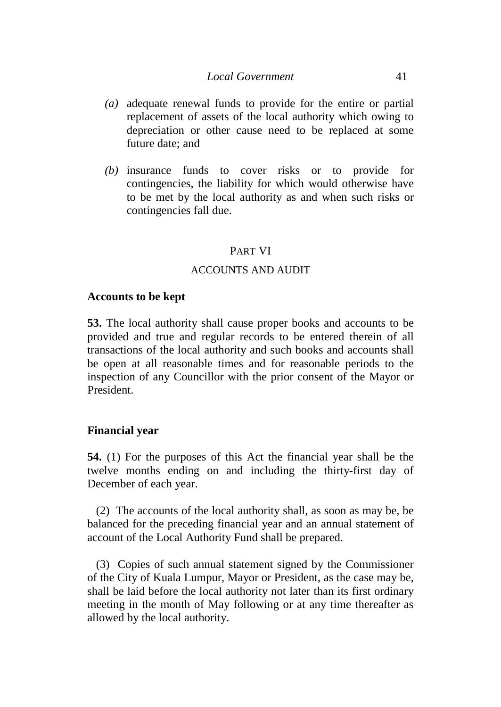### *Local Government* 41

- *(a)* adequate renewal funds to provide for the entire or partial replacement of assets of the local authority which owing to depreciation or other cause need to be replaced at some future date; and
- *(b)* insurance funds to cover risks or to provide for contingencies, the liability for which would otherwise have to be met by the local authority as and when such risks or contingencies fall due.

#### PART VI

## ACCOUNTS AND AUDIT

#### **Accounts to be kept**

**53.** The local authority shall cause proper books and accounts to be provided and true and regular records to be entered therein of all transactions of the local authority and such books and accounts shall be open at all reasonable times and for reasonable periods to the inspection of any Councillor with the prior consent of the Mayor or President.

#### **Financial year**

**54.** (1) For the purposes of this Act the financial year shall be the twelve months ending on and including the thirty-first day of December of each year.

(2) The accounts of the local authority shall, as soon as may be, be balanced for the preceding financial year and an annual statement of account of the Local Authority Fund shall be prepared.

(3) Copies of such annual statement signed by the Commissioner of the City of Kuala Lumpur, Mayor or President, as the case may be, shall be laid before the local authority not later than its first ordinary meeting in the month of May following or at any time thereafter as allowed by the local authority.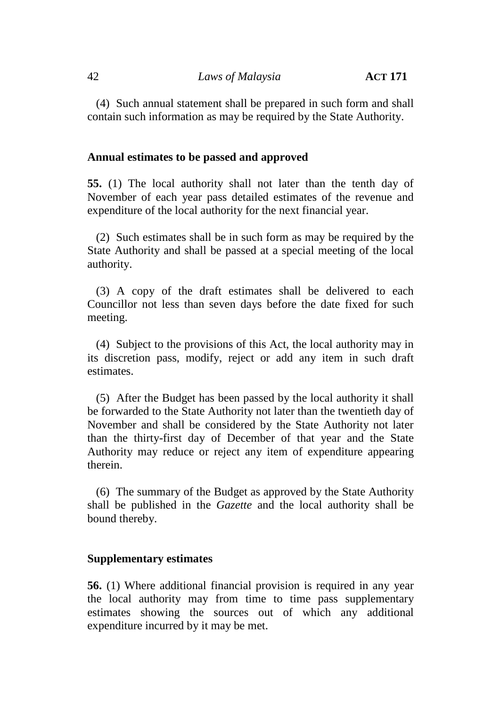(4) Such annual statement shall be prepared in such form and shall contain such information as may be required by the State Authority.

#### **Annual estimates to be passed and approved**

**55.** (1) The local authority shall not later than the tenth day of November of each year pass detailed estimates of the revenue and expenditure of the local authority for the next financial year.

(2) Such estimates shall be in such form as may be required by the State Authority and shall be passed at a special meeting of the local authority.

(3) A copy of the draft estimates shall be delivered to each Councillor not less than seven days before the date fixed for such meeting.

(4) Subject to the provisions of this Act, the local authority may in its discretion pass, modify, reject or add any item in such draft estimates.

(5) After the Budget has been passed by the local authority it shall be forwarded to the State Authority not later than the twentieth day of November and shall be considered by the State Authority not later than the thirty-first day of December of that year and the State Authority may reduce or reject any item of expenditure appearing therein.

(6) The summary of the Budget as approved by the State Authority shall be published in the *Gazette* and the local authority shall be bound thereby.

#### **Supplementary estimates**

**56.** (1) Where additional financial provision is required in any year the local authority may from time to time pass supplementary estimates showing the sources out of which any additional expenditure incurred by it may be met.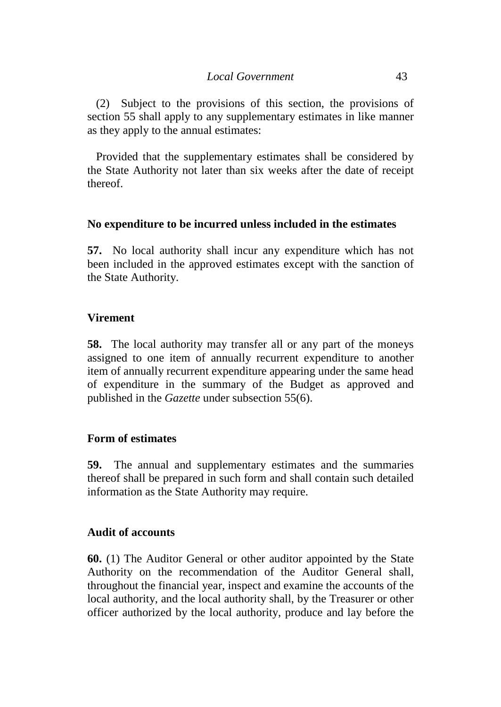(2) Subject to the provisions of this section, the provisions of section 55 shall apply to any supplementary estimates in like manner as they apply to the annual estimates:

Provided that the supplementary estimates shall be considered by the State Authority not later than six weeks after the date of receipt thereof.

## **No expenditure to be incurred unless included in the estimates**

**57.** No local authority shall incur any expenditure which has not been included in the approved estimates except with the sanction of the State Authority.

## **Virement**

**58.** The local authority may transfer all or any part of the moneys assigned to one item of annually recurrent expenditure to another item of annually recurrent expenditure appearing under the same head of expenditure in the summary of the Budget as approved and published in the *Gazette* under subsection 55(6).

## **Form of estimates**

**59.** The annual and supplementary estimates and the summaries thereof shall be prepared in such form and shall contain such detailed information as the State Authority may require.

## **Audit of accounts**

**60.** (1) The Auditor General or other auditor appointed by the State Authority on the recommendation of the Auditor General shall, throughout the financial year, inspect and examine the accounts of the local authority, and the local authority shall, by the Treasurer or other officer authorized by the local authority, produce and lay before the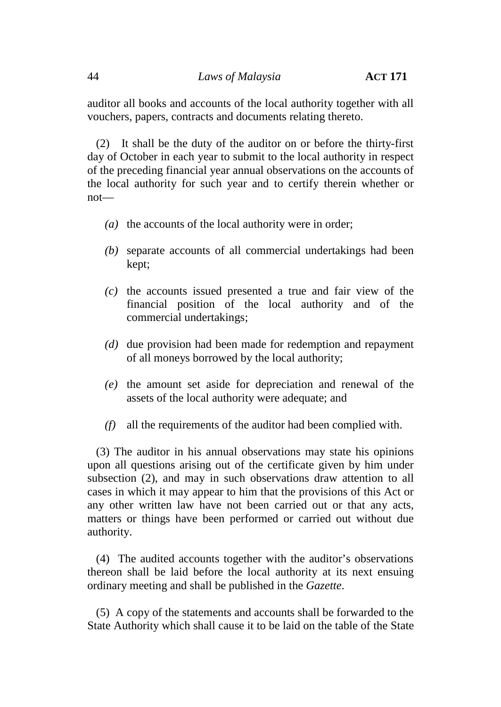auditor all books and accounts of the local authority together with all vouchers, papers, contracts and documents relating thereto.

(2) It shall be the duty of the auditor on or before the thirty-first day of October in each year to submit to the local authority in respect of the preceding financial year annual observations on the accounts of the local authority for such year and to certify therein whether or not—

- *(a)* the accounts of the local authority were in order;
- *(b)* separate accounts of all commercial undertakings had been kept;
- *(c)* the accounts issued presented a true and fair view of the financial position of the local authority and of the commercial undertakings;
- *(d)* due provision had been made for redemption and repayment of all moneys borrowed by the local authority;
- *(e)* the amount set aside for depreciation and renewal of the assets of the local authority were adequate; and
- *(f)* all the requirements of the auditor had been complied with.

(3) The auditor in his annual observations may state his opinions upon all questions arising out of the certificate given by him under subsection (2), and may in such observations draw attention to all cases in which it may appear to him that the provisions of this Act or any other written law have not been carried out or that any acts, matters or things have been performed or carried out without due authority.

(4) The audited accounts together with the auditor's observations thereon shall be laid before the local authority at its next ensuing ordinary meeting and shall be published in the *Gazette*.

(5) A copy of the statements and accounts shall be forwarded to the State Authority which shall cause it to be laid on the table of the State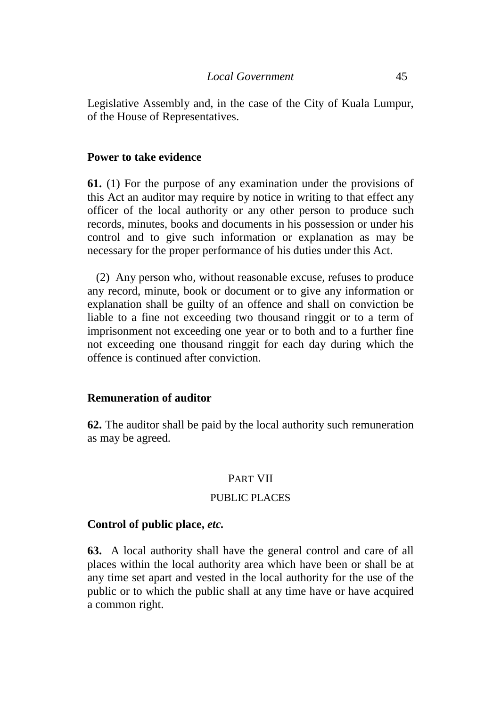Legislative Assembly and, in the case of the City of Kuala Lumpur, of the House of Representatives.

#### **Power to take evidence**

**61.** (1) For the purpose of any examination under the provisions of this Act an auditor may require by notice in writing to that effect any officer of the local authority or any other person to produce such records, minutes, books and documents in his possession or under his control and to give such information or explanation as may be necessary for the proper performance of his duties under this Act.

(2) Any person who, without reasonable excuse, refuses to produce any record, minute, book or document or to give any information or explanation shall be guilty of an offence and shall on conviction be liable to a fine not exceeding two thousand ringgit or to a term of imprisonment not exceeding one year or to both and to a further fine not exceeding one thousand ringgit for each day during which the offence is continued after conviction.

#### **Remuneration of auditor**

**62.** The auditor shall be paid by the local authority such remuneration as may be agreed.

#### PART VII

### PUBLIC PLACES

#### **Control of public place,** *etc.*

**63.** A local authority shall have the general control and care of all places within the local authority area which have been or shall be at any time set apart and vested in the local authority for the use of the public or to which the public shall at any time have or have acquired a common right.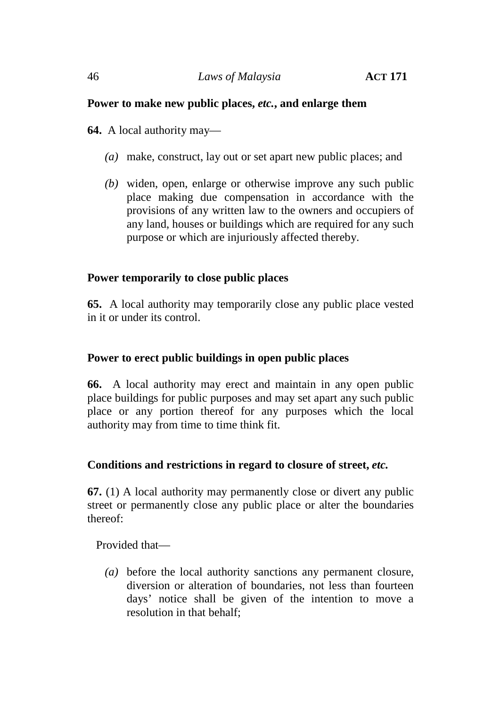## **Power to make new public places,** *etc.***, and enlarge them**

**64.** A local authority may—

- *(a)* make, construct, lay out or set apart new public places; and
- *(b)* widen, open, enlarge or otherwise improve any such public place making due compensation in accordance with the provisions of any written law to the owners and occupiers of any land, houses or buildings which are required for any such purpose or which are injuriously affected thereby.

# **Power temporarily to close public places**

**65.** A local authority may temporarily close any public place vested in it or under its control.

# **Power to erect public buildings in open public places**

**66.** A local authority may erect and maintain in any open public place buildings for public purposes and may set apart any such public place or any portion thereof for any purposes which the local authority may from time to time think fit.

# **Conditions and restrictions in regard to closure of street,** *etc.*

**67.** (1) A local authority may permanently close or divert any public street or permanently close any public place or alter the boundaries thereof:

Provided that—

*(a)* before the local authority sanctions any permanent closure, diversion or alteration of boundaries, not less than fourteen days' notice shall be given of the intention to move a resolution in that behalf;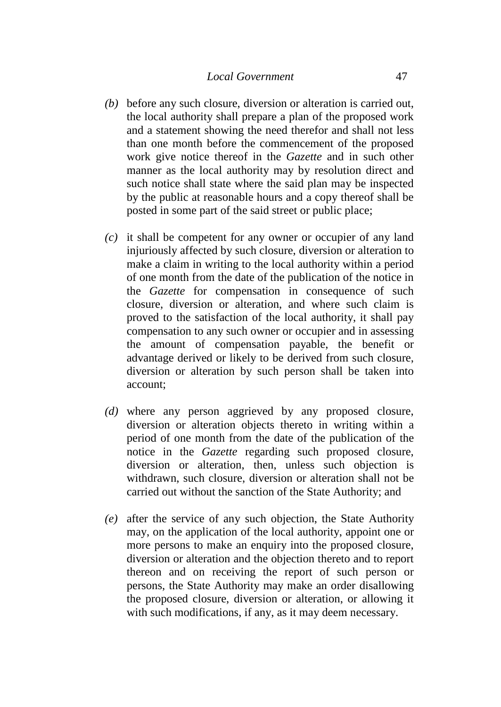- *(b)* before any such closure, diversion or alteration is carried out, the local authority shall prepare a plan of the proposed work and a statement showing the need therefor and shall not less than one month before the commencement of the proposed work give notice thereof in the *Gazette* and in such other manner as the local authority may by resolution direct and such notice shall state where the said plan may be inspected by the public at reasonable hours and a copy thereof shall be posted in some part of the said street or public place;
- *(c)* it shall be competent for any owner or occupier of any land injuriously affected by such closure, diversion or alteration to make a claim in writing to the local authority within a period of one month from the date of the publication of the notice in the *Gazette* for compensation in consequence of such closure, diversion or alteration, and where such claim is proved to the satisfaction of the local authority, it shall pay compensation to any such owner or occupier and in assessing the amount of compensation payable, the benefit or advantage derived or likely to be derived from such closure, diversion or alteration by such person shall be taken into account;
- *(d)* where any person aggrieved by any proposed closure, diversion or alteration objects thereto in writing within a period of one month from the date of the publication of the notice in the *Gazette* regarding such proposed closure, diversion or alteration, then, unless such objection is withdrawn, such closure, diversion or alteration shall not be carried out without the sanction of the State Authority; and
- *(e)* after the service of any such objection, the State Authority may, on the application of the local authority, appoint one or more persons to make an enquiry into the proposed closure, diversion or alteration and the objection thereto and to report thereon and on receiving the report of such person or persons, the State Authority may make an order disallowing the proposed closure, diversion or alteration, or allowing it with such modifications, if any, as it may deem necessary.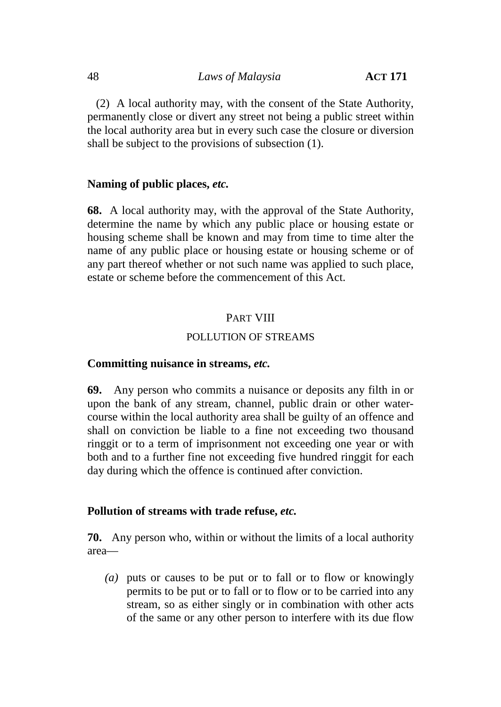(2) A local authority may, with the consent of the State Authority, permanently close or divert any street not being a public street within the local authority area but in every such case the closure or diversion shall be subject to the provisions of subsection (1).

## **Naming of public places,** *etc.*

**68.** A local authority may, with the approval of the State Authority, determine the name by which any public place or housing estate or housing scheme shall be known and may from time to time alter the name of any public place or housing estate or housing scheme or of any part thereof whether or not such name was applied to such place, estate or scheme before the commencement of this Act.

### PART VIII

#### POLLUTION OF STREAMS

#### **Committing nuisance in streams,** *etc.*

**69.** Any person who commits a nuisance or deposits any filth in or upon the bank of any stream, channel, public drain or other water course within the local authority area shall be guilty of an offence and shall on conviction be liable to a fine not exceeding two thousand ringgit or to a term of imprisonment not exceeding one year or with both and to a further fine not exceeding five hundred ringgit for each day during which the offence is continued after conviction.

#### **Pollution of streams with trade refuse,** *etc.*

**70.** Any person who, within or without the limits of a local authority area—

*(a)* puts or causes to be put or to fall or to flow or knowingly permits to be put or to fall or to flow or to be carried into any stream, so as either singly or in combination with other acts of the same or any other person to interfere with its due flow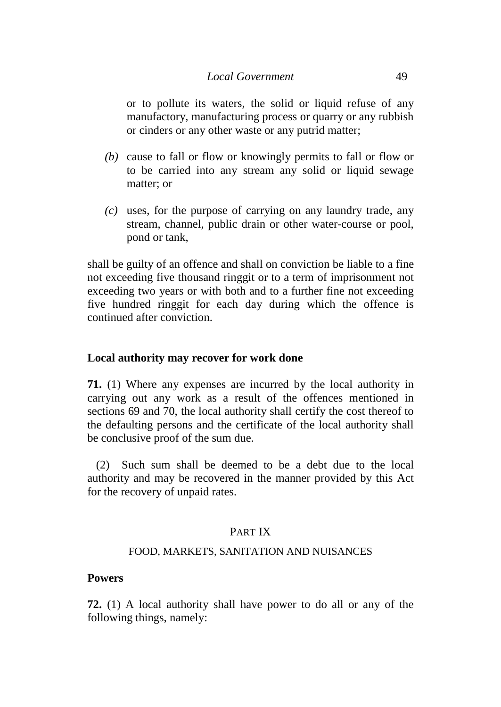### *Local Government* 49

or to pollute its waters, the solid or liquid refuse of any manufactory, manufacturing process or quarry or any rubbish or cinders or any other waste or any putrid matter;

- *(b)* cause to fall or flow or knowingly permits to fall or flow or to be carried into any stream any solid or liquid sewage matter; or
- *(c)* uses, for the purpose of carrying on any laundry trade, any stream, channel, public drain or other water-course or pool, pond or tank,

shall be guilty of an offence and shall on conviction be liable to a fine not exceeding five thousand ringgit or to a term of imprisonment not exceeding two years or with both and to a further fine not exceeding five hundred ringgit for each day during which the offence is continued after conviction.

## **Local authority may recover for work done**

**71.** (1) Where any expenses are incurred by the local authority in carrying out any work as a result of the offences mentioned in sections 69 and 70, the local authority shall certify the cost thereof to the defaulting persons and the certificate of the local authority shall be conclusive proof of the sum due.

(2) Such sum shall be deemed to be a debt due to the local authority and may be recovered in the manner provided by this Act for the recovery of unpaid rates.

## PART IX

#### FOOD, MARKETS, SANITATION AND NUISANCES

### **Powers**

**72.** (1) A local authority shall have power to do all or any of the following things, namely: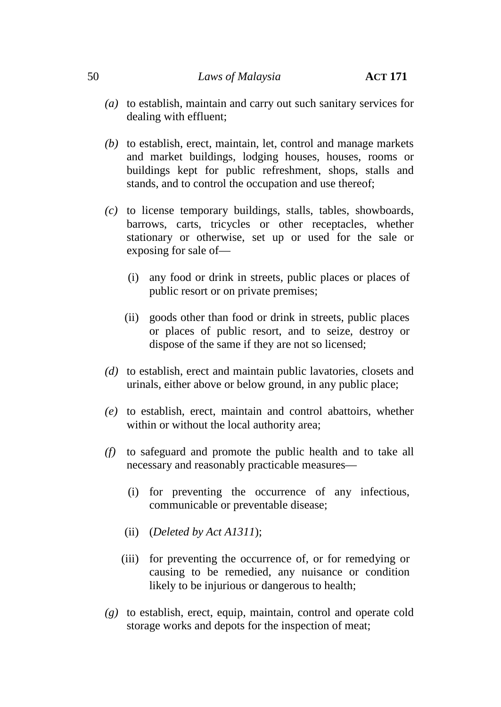- *(a)* to establish, maintain and carry out such sanitary services for dealing with effluent;
- *(b)* to establish, erect, maintain, let, control and manage markets and market buildings, lodging houses, houses, rooms or buildings kept for public refreshment, shops, stalls and stands, and to control the occupation and use thereof;
- *(c)* to license temporary buildings, stalls, tables, showboards, barrows, carts, tricycles or other receptacles, whether stationary or otherwise, set up or used for the sale or exposing for sale of—
	- (i) any food or drink in streets, public places or places of public resort or on private premises;
	- (ii) goods other than food or drink in streets, public places or places of public resort, and to seize, destroy or dispose of the same if they are not so licensed;
- *(d)* to establish, erect and maintain public lavatories, closets and urinals, either above or below ground, in any public place;
- *(e)* to establish, erect, maintain and control abattoirs, whether within or without the local authority area;
- *(f)* to safeguard and promote the public health and to take all necessary and reasonably practicable measures—
	- (i) for preventing the occurrence of any infectious, communicable or preventable disease;
	- (ii) (*Deleted by Act A1311*);
	- (iii) for preventing the occurrence of, or for remedying or causing to be remedied, any nuisance or condition likely to be injurious or dangerous to health;
- *(g)* to establish, erect, equip, maintain, control and operate cold storage works and depots for the inspection of meat;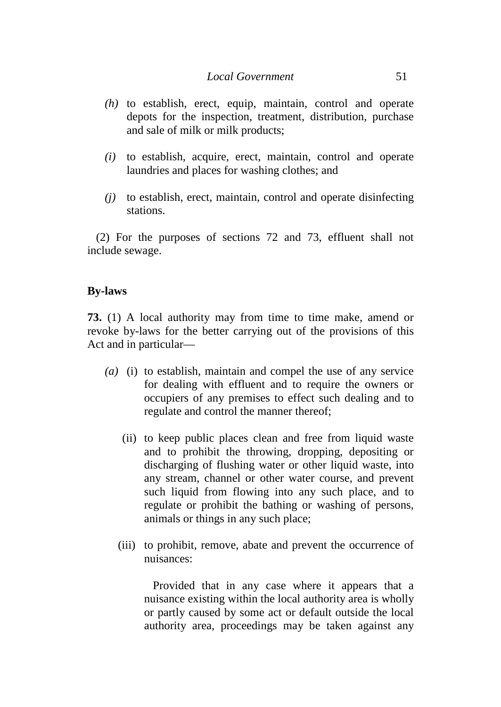- *(h)* to establish, erect, equip, maintain, control and operate depots for the inspection, treatment, distribution, purchase and sale of milk or milk products;
- *(i)* to establish, acquire, erect, maintain, control and operate laundries and places for washing clothes; and
- *(j)* to establish, erect, maintain, control and operate disinfecting stations.

(2) For the purposes of sections 72 and 73, effluent shall not include sewage.

## **By-laws**

**73.** (1) A local authority may from time to time make, amend or revoke by-laws for the better carrying out of the provisions of this Act and in particular—

- *(a)* (i) to establish, maintain and compel the use of any service for dealing with effluent and to require the owners or occupiers of any premises to effect such dealing and to regulate and control the manner thereof;
	- (ii) to keep public places clean and free from liquid waste and to prohibit the throwing, dropping, depositing or discharging of flushing water or other liquid waste, into any stream, channel or other water course, and prevent such liquid from flowing into any such place, and to regulate or prohibit the bathing or washing of persons, animals or things in any such place;
	- (iii) to prohibit, remove, abate and prevent the occurrence of nuisances:

Provided that in any case where it appears that a nuisance existing within the local authority area is wholly or partly caused by some act or default outside the local authority area, proceedings may be taken against any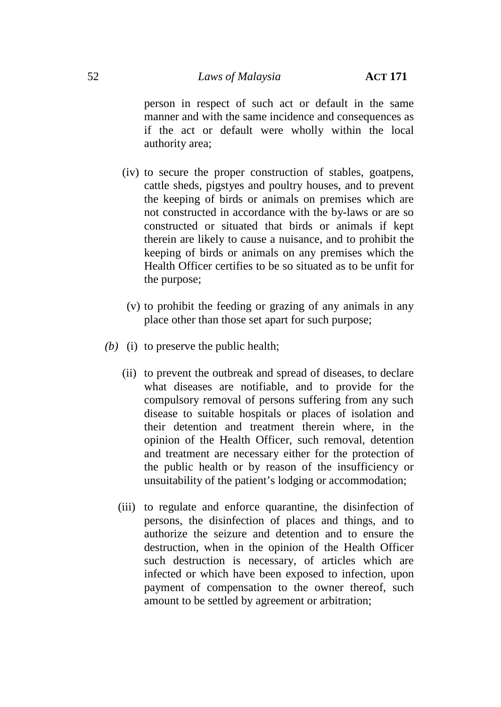person in respect of such act or default in the same manner and with the same incidence and consequences as if the act or default were wholly within the local authority area;

- (iv) to secure the proper construction of stables, goatpens, cattle sheds, pigstyes and poultry houses, and to prevent the keeping of birds or animals on premises which are not constructed in accordance with the by-laws or are so constructed or situated that birds or animals if kept therein are likely to cause a nuisance, and to prohibit the keeping of birds or animals on any premises which the Health Officer certifies to be so situated as to be unfit for the purpose;
	- (v) to prohibit the feeding or grazing of any animals in any place other than those set apart for such purpose;
- *(b)* (i) to preserve the public health;
	- (ii) to prevent the outbreak and spread of diseases, to declare what diseases are notifiable, and to provide for the compulsory removal of persons suffering from any such disease to suitable hospitals or places of isolation and their detention and treatment therein where, in the opinion of the Health Officer, such removal, detention and treatment are necessary either for the protection of the public health or by reason of the insufficiency or unsuitability of the patient's lodging or accommodation;
	- (iii) to regulate and enforce quarantine, the disinfection of persons, the disinfection of places and things, and to authorize the seizure and detention and to ensure the destruction, when in the opinion of the Health Officer such destruction is necessary, of articles which are infected or which have been exposed to infection, upon payment of compensation to the owner thereof, such amount to be settled by agreement or arbitration;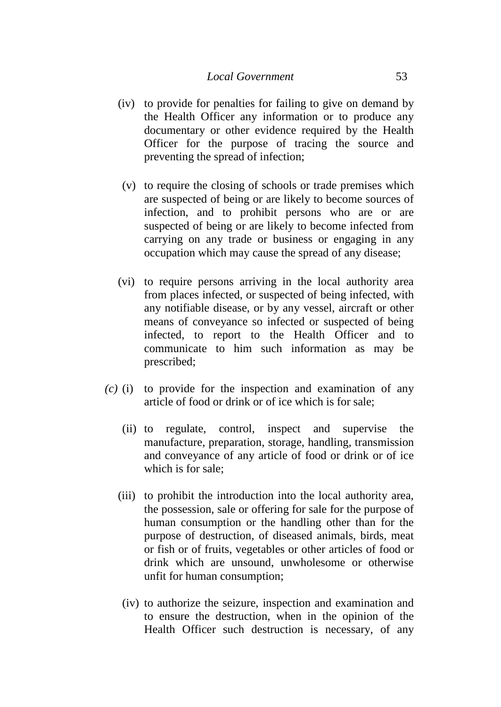- (iv) to provide for penalties for failing to give on demand by the Health Officer any information or to produce any documentary or other evidence required by the Health Officer for the purpose of tracing the source and preventing the spread of infection;
- (v) to require the closing of schools or trade premises which are suspected of being or are likely to become sources of infection, and to prohibit persons who are or are suspected of being or are likely to become infected from carrying on any trade or business or engaging in any occupation which may cause the spread of any disease;
- (vi) to require persons arriving in the local authority area from places infected, or suspected of being infected, with any notifiable disease, or by any vessel, aircraft or other means of conveyance so infected or suspected of being infected, to report to the Health Officer and to communicate to him such information as may be prescribed;
- *(c)* (i) to provide for the inspection and examination of any article of food or drink or of ice which is for sale;
	- (ii) to regulate, control, inspect and supervise the manufacture, preparation, storage, handling, transmission and conveyance of any article of food or drink or of ice which is for sale;
	- (iii) to prohibit the introduction into the local authority area, the possession, sale or offering for sale for the purpose of human consumption or the handling other than for the purpose of destruction, of diseased animals, birds, meat or fish or of fruits, vegetables or other articles of food or drink which are unsound, unwholesome or otherwise unfit for human consumption;
	- (iv) to authorize the seizure, inspection and examination and to ensure the destruction, when in the opinion of the Health Officer such destruction is necessary, of any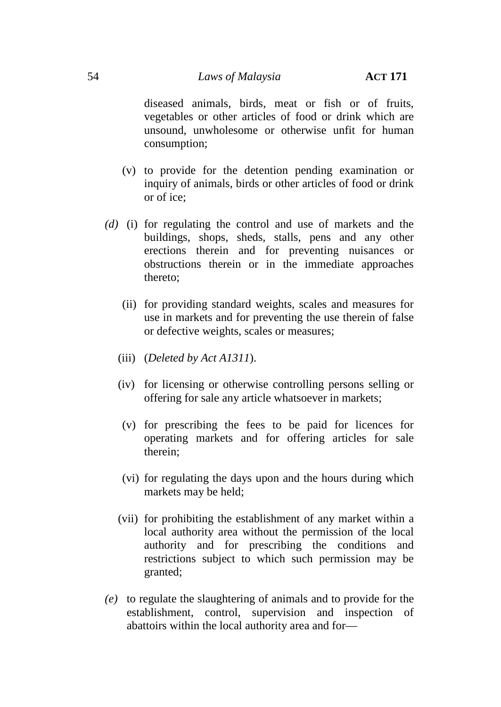### 54 *Laws of Malaysia* **ACT 171**

diseased animals, birds, meat or fish or of fruits, vegetables or other articles of food or drink which are unsound, unwholesome or otherwise unfit for human consumption;

- (v) to provide for the detention pending examination or inquiry of animals, birds or other articles of food or drink or of ice;
- *(d)* (i) for regulating the control and use of markets and the buildings, shops, sheds, stalls, pens and any other erections therein and for preventing nuisances or obstructions therein or in the immediate approaches thereto;
	- (ii) for providing standard weights, scales and measures for use in markets and for preventing the use therein of false or defective weights, scales or measures;
	- (iii) (*Deleted by Act A1311*).
	- (iv) for licensing or otherwise controlling persons selling or offering for sale any article whatsoever in markets;
	- (v) for prescribing the fees to be paid for licences for operating markets and for offering articles for sale therein;
	- (vi) for regulating the days upon and the hours during which markets may be held;
	- (vii) for prohibiting the establishment of any market within a local authority area without the permission of the local authority and for prescribing the conditions and restrictions subject to which such permission may be granted;
- *(e)* to regulate the slaughtering of animals and to provide for the establishment, control, supervision and inspection of abattoirs within the local authority area and for—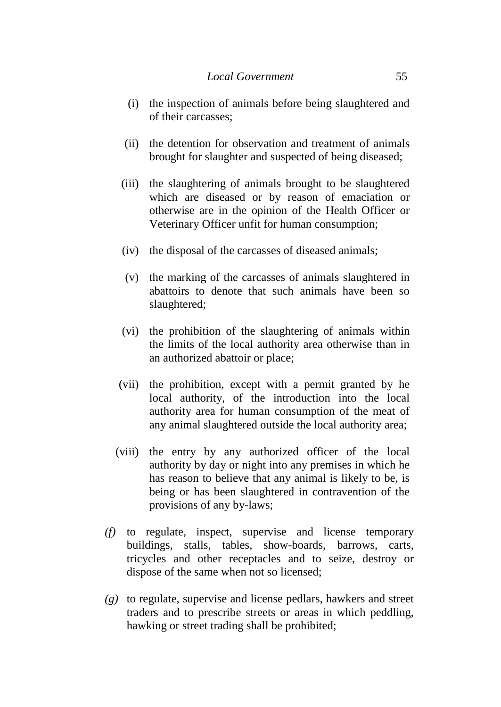- (i) the inspection of animals before being slaughtered and of their carcasses;
- (ii) the detention for observation and treatment of animals brought for slaughter and suspected of being diseased;
- (iii) the slaughtering of animals brought to be slaughtered which are diseased or by reason of emaciation or otherwise are in the opinion of the Health Officer or Veterinary Officer unfit for human consumption;
- (iv) the disposal of the carcasses of diseased animals;
- (v) the marking of the carcasses of animals slaughtered in abattoirs to denote that such animals have been so slaughtered;
- (vi) the prohibition of the slaughtering of animals within the limits of the local authority area otherwise than in an authorized abattoir or place;
- (vii) the prohibition, except with a permit granted by he local authority, of the introduction into the local authority area for human consumption of the meat of any animal slaughtered outside the local authority area;
- (viii) the entry by any authorized officer of the local authority by day or night into any premises in which he has reason to believe that any animal is likely to be, is being or has been slaughtered in contravention of the provisions of any by-laws;
- *(f)* to regulate, inspect, supervise and license temporary buildings, stalls, tables, show-boards, barrows, carts, tricycles and other receptacles and to seize, destroy or dispose of the same when not so licensed;
- *(g)* to regulate, supervise and license pedlars, hawkers and street traders and to prescribe streets or areas in which peddling, hawking or street trading shall be prohibited;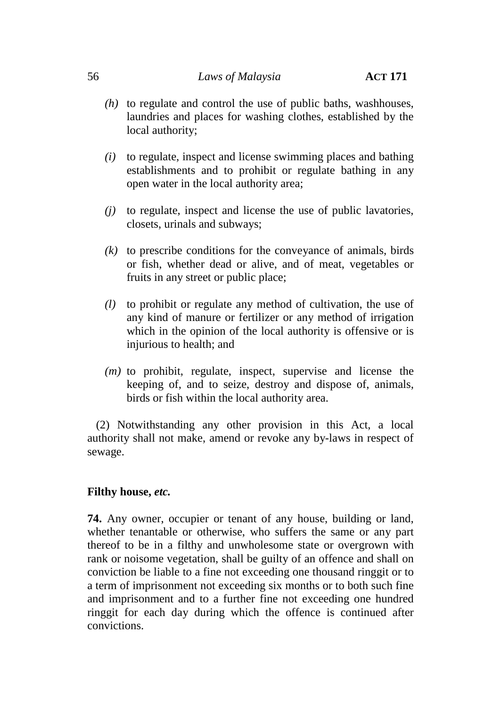### 56 *Laws of Malaysia* **ACT 171**

- *(h)* to regulate and control the use of public baths, washhouses, laundries and places for washing clothes, established by the local authority;
- *(i)* to regulate, inspect and license swimming places and bathing establishments and to prohibit or regulate bathing in any open water in the local authority area;
- *(j)* to regulate, inspect and license the use of public lavatories, closets, urinals and subways;
- *(k)* to prescribe conditions for the conveyance of animals, birds or fish, whether dead or alive, and of meat, vegetables or fruits in any street or public place;
- *(l)* to prohibit or regulate any method of cultivation, the use of any kind of manure or fertilizer or any method of irrigation which in the opinion of the local authority is offensive or is injurious to health; and
- *(m)* to prohibit, regulate, inspect, supervise and license the keeping of, and to seize, destroy and dispose of, animals, birds or fish within the local authority area.

(2) Notwithstanding any other provision in this Act, a local authority shall not make, amend or revoke any by-laws in respect of sewage.

## **Filthy house,** *etc.*

**74.** Any owner, occupier or tenant of any house, building or land, whether tenantable or otherwise, who suffers the same or any part thereof to be in a filthy and unwholesome state or overgrown with rank or noisome vegetation, shall be guilty of an offence and shall on conviction be liable to a fine not exceeding one thousand ringgit or to a term of imprisonment not exceeding six months or to both such fine and imprisonment and to a further fine not exceeding one hundred ringgit for each day during which the offence is continued after convictions.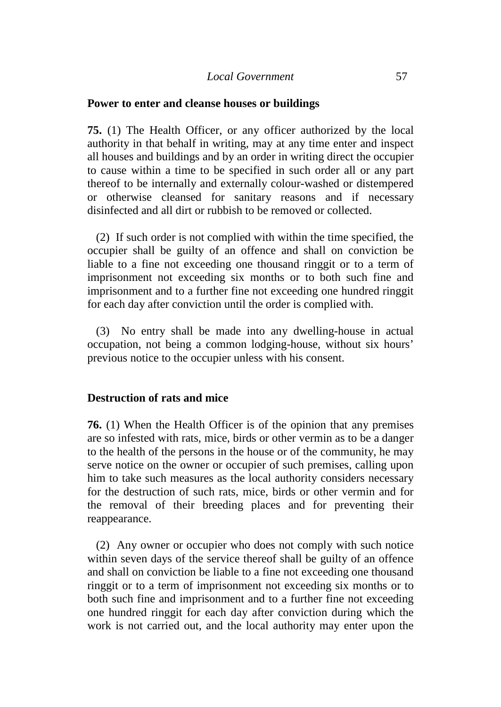#### **Power to enter and cleanse houses or buildings**

**75.** (1) The Health Officer, or any officer authorized by the local authority in that behalf in writing, may at any time enter and inspect all houses and buildings and by an order in writing direct the occupier to cause within a time to be specified in such order all or any part thereof to be internally and externally colour-washed or distempered or otherwise cleansed for sanitary reasons and if necessary disinfected and all dirt or rubbish to be removed or collected.

(2) If such order is not complied with within the time specified, the occupier shall be guilty of an offence and shall on conviction be liable to a fine not exceeding one thousand ringgit or to a term of imprisonment not exceeding six months or to both such fine and imprisonment and to a further fine not exceeding one hundred ringgit for each day after conviction until the order is complied with.

(3) No entry shall be made into any dwelling-house in actual occupation, not being a common lodging-house, without six hours' previous notice to the occupier unless with his consent.

#### **Destruction of rats and mice**

**76.** (1) When the Health Officer is of the opinion that any premises are so infested with rats, mice, birds or other vermin as to be a danger to the health of the persons in the house or of the community, he may serve notice on the owner or occupier of such premises, calling upon him to take such measures as the local authority considers necessary for the destruction of such rats, mice, birds or other vermin and for the removal of their breeding places and for preventing their reappearance.

(2) Any owner or occupier who does not comply with such notice within seven days of the service thereof shall be guilty of an offence and shall on conviction be liable to a fine not exceeding one thousand ringgit or to a term of imprisonment not exceeding six months or to both such fine and imprisonment and to a further fine not exceeding one hundred ringgit for each day after conviction during which the work is not carried out, and the local authority may enter upon the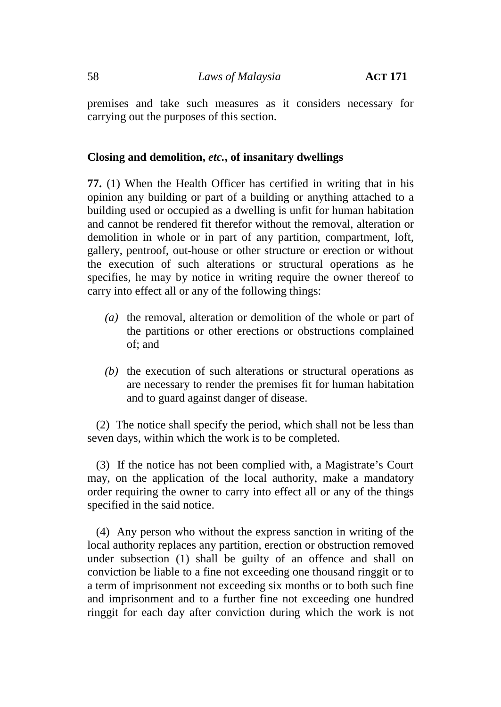premises and take such measures as it considers necessary for carrying out the purposes of this section.

### **Closing and demolition,** *etc.***, of insanitary dwellings**

**77.** (1) When the Health Officer has certified in writing that in his opinion any building or part of a building or anything attached to a building used or occupied as a dwelling is unfit for human habitation and cannot be rendered fit therefor without the removal, alteration or demolition in whole or in part of any partition, compartment, loft, gallery, pentroof, out-house or other structure or erection or without the execution of such alterations or structural operations as he specifies, he may by notice in writing require the owner thereof to carry into effect all or any of the following things:

- *(a)* the removal, alteration or demolition of the whole or part of the partitions or other erections or obstructions complained of; and
- *(b)* the execution of such alterations or structural operations as are necessary to render the premises fit for human habitation and to guard against danger of disease.

(2) The notice shall specify the period, which shall not be less than seven days, within which the work is to be completed.

(3) If the notice has not been complied with, a Magistrate's Court may, on the application of the local authority, make a mandatory order requiring the owner to carry into effect all or any of the things specified in the said notice.

(4) Any person who without the express sanction in writing of the local authority replaces any partition, erection or obstruction removed under subsection (1) shall be guilty of an offence and shall on conviction be liable to a fine not exceeding one thousand ringgit or to a term of imprisonment not exceeding six months or to both such fine and imprisonment and to a further fine not exceeding one hundred ringgit for each day after conviction during which the work is not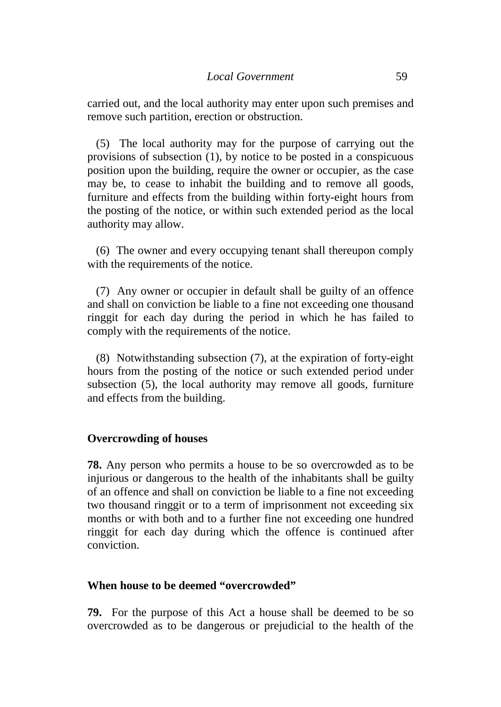carried out, and the local authority may enter upon such premises and remove such partition, erection or obstruction.

(5) The local authority may for the purpose of carrying out the provisions of subsection (1), by notice to be posted in a conspicuous position upon the building, require the owner or occupier, as the case may be, to cease to inhabit the building and to remove all goods, furniture and effects from the building within forty-eight hours from the posting of the notice, or within such extended period as the local authority may allow.

(6) The owner and every occupying tenant shall thereupon comply with the requirements of the notice.

(7) Any owner or occupier in default shall be guilty of an offence and shall on conviction be liable to a fine not exceeding one thousand ringgit for each day during the period in which he has failed to comply with the requirements of the notice.

(8) Notwithstanding subsection (7), at the expiration of forty-eight hours from the posting of the notice or such extended period under subsection (5), the local authority may remove all goods, furniture and effects from the building.

#### **Overcrowding of houses**

**78.** Any person who permits a house to be so overcrowded as to be injurious or dangerous to the health of the inhabitants shall be guilty of an offence and shall on conviction be liable to a fine not exceeding two thousand ringgit or to a term of imprisonment not exceeding six months or with both and to a further fine not exceeding one hundred ringgit for each day during which the offence is continued after conviction.

#### **When house to be deemed "overcrowded"**

**79.** For the purpose of this Act a house shall be deemed to be so overcrowded as to be dangerous or prejudicial to the health of the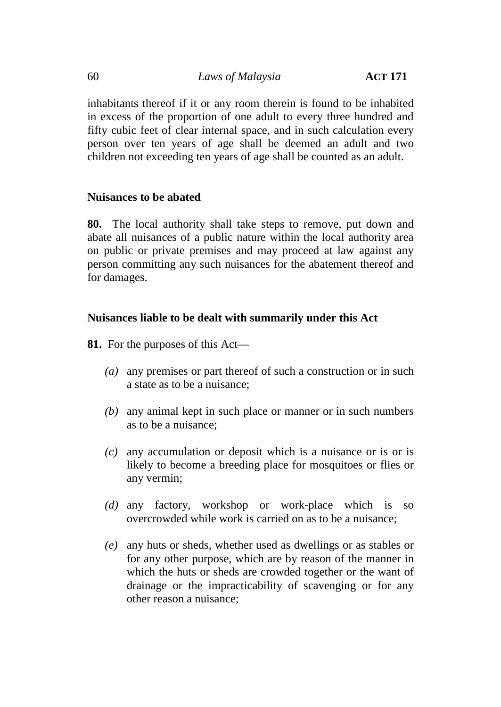inhabitants thereof if it or any room therein is found to be inhabited in excess of the proportion of one adult to every three hundred and fifty cubic feet of clear internal space, and in such calculation every person over ten years of age shall be deemed an adult and two children not exceeding ten years of age shall be counted as an adult.

# **Nuisances to be abated**

**80.** The local authority shall take steps to remove, put down and abate all nuisances of a public nature within the local authority area on public or private premises and may proceed at law against any person committing any such nuisances for the abatement thereof and for damages.

# **Nuisances liable to be dealt with summarily under this Act**

**81.** For the purposes of this Act—

- *(a)* any premises or part thereof of such a construction or in such a state as to be a nuisance;
- *(b)* any animal kept in such place or manner or in such numbers as to be a nuisance;
- *(c)* any accumulation or deposit which is a nuisance or is or is likely to become a breeding place for mosquitoes or flies or any vermin;
- *(d)* any factory, workshop or work-place which is so overcrowded while work is carried on as to be a nuisance;
- *(e)* any huts or sheds, whether used as dwellings or as stables or for any other purpose, which are by reason of the manner in which the huts or sheds are crowded together or the want of drainage or the impracticability of scavenging or for any other reason a nuisance;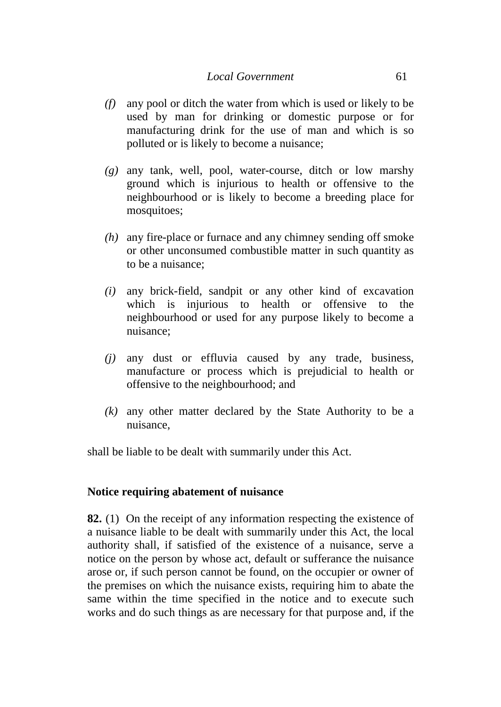- *(f)* any pool or ditch the water from which is used or likely to be used by man for drinking or domestic purpose or for manufacturing drink for the use of man and which is so polluted or is likely to become a nuisance;
- *(g)* any tank, well, pool, water-course, ditch or low marshy ground which is injurious to health or offensive to the neighbourhood or is likely to become a breeding place for mosquitoes;
- *(h)* any fire-place or furnace and any chimney sending off smoke or other unconsumed combustible matter in such quantity as to be a nuisance;
- *(i)* any brick-field, sandpit or any other kind of excavation which is injurious to health or offensive to the neighbourhood or used for any purpose likely to become a nuisance;
- *(j)* any dust or effluvia caused by any trade, business, manufacture or process which is prejudicial to health or offensive to the neighbourhood; and
- *(k)* any other matter declared by the State Authority to be a nuisance,

shall be liable to be dealt with summarily under this Act.

## **Notice requiring abatement of nuisance**

**82.** (1) On the receipt of any information respecting the existence of a nuisance liable to be dealt with summarily under this Act, the local authority shall, if satisfied of the existence of a nuisance, serve a notice on the person by whose act, default or sufferance the nuisance arose or, if such person cannot be found, on the occupier or owner of the premises on which the nuisance exists, requiring him to abate the same within the time specified in the notice and to execute such works and do such things as are necessary for that purpose and, if the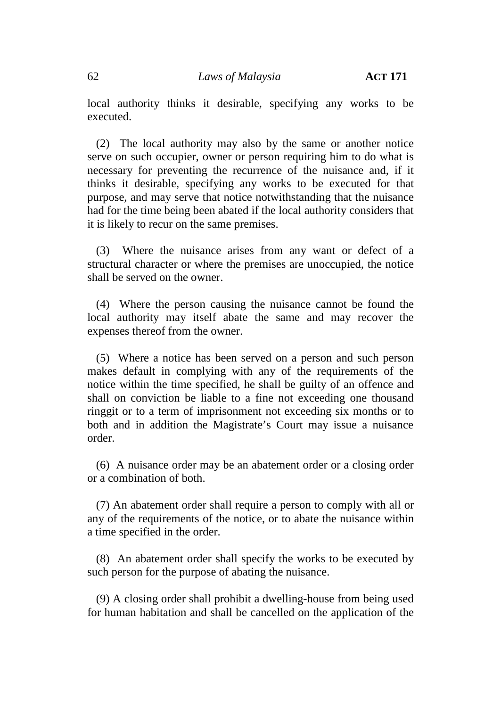62 *Laws of Malaysia* **ACT 171**

local authority thinks it desirable, specifying any works to be executed.

(2) The local authority may also by the same or another notice serve on such occupier, owner or person requiring him to do what is necessary for preventing the recurrence of the nuisance and, if it thinks it desirable, specifying any works to be executed for that purpose, and may serve that notice notwithstanding that the nuisance had for the time being been abated if the local authority considers that it is likely to recur on the same premises.

(3) Where the nuisance arises from any want or defect of a structural character or where the premises are unoccupied, the notice shall be served on the owner.

(4) Where the person causing the nuisance cannot be found the local authority may itself abate the same and may recover the expenses thereof from the owner.

(5) Where a notice has been served on a person and such person makes default in complying with any of the requirements of the notice within the time specified, he shall be guilty of an offence and shall on conviction be liable to a fine not exceeding one thousand ringgit or to a term of imprisonment not exceeding six months or to both and in addition the Magistrate's Court may issue a nuisance order.

(6) A nuisance order may be an abatement order or a closing order or a combination of both.

(7) An abatement order shall require a person to comply with all or any of the requirements of the notice, or to abate the nuisance within a time specified in the order.

(8) An abatement order shall specify the works to be executed by such person for the purpose of abating the nuisance.

(9) A closing order shall prohibit a dwelling-house from being used for human habitation and shall be cancelled on the application of the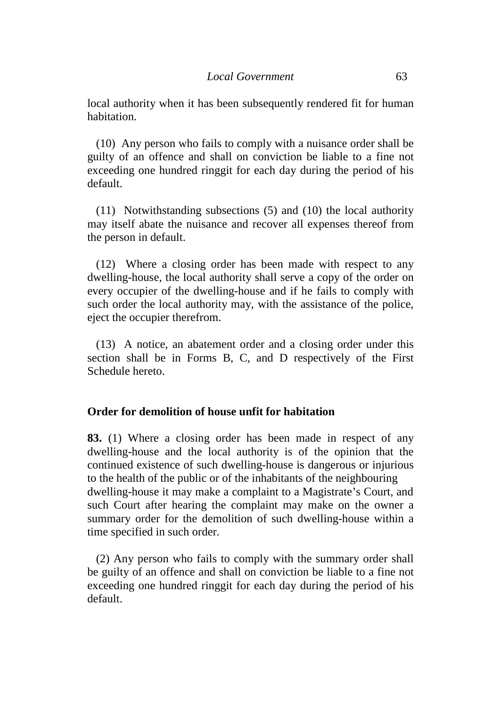local authority when it has been subsequently rendered fit for human habitation.

(10) Any person who fails to comply with a nuisance order shall be guilty of an offence and shall on conviction be liable to a fine not exceeding one hundred ringgit for each day during the period of his default.

(11) Notwithstanding subsections (5) and (10) the local authority may itself abate the nuisance and recover all expenses thereof from the person in default.

(12) Where a closing order has been made with respect to any dwelling-house, the local authority shall serve a copy of the order on every occupier of the dwelling-house and if he fails to comply with such order the local authority may, with the assistance of the police, eject the occupier therefrom.

(13) A notice, an abatement order and a closing order under this section shall be in Forms B, C, and D respectively of the First Schedule hereto.

#### **Order for demolition of house unfit for habitation**

**83.** (1) Where a closing order has been made in respect of any dwelling-house and the local authority is of the opinion that the continued existence of such dwelling-house is dangerous or injurious to the health of the public or of the inhabitants of the neighbouring dwelling-house it may make a complaint to a Magistrate's Court, and such Court after hearing the complaint may make on the owner a summary order for the demolition of such dwelling-house within a time specified in such order.

(2) Any person who fails to comply with the summary order shall be guilty of an offence and shall on conviction be liable to a fine not exceeding one hundred ringgit for each day during the period of his default.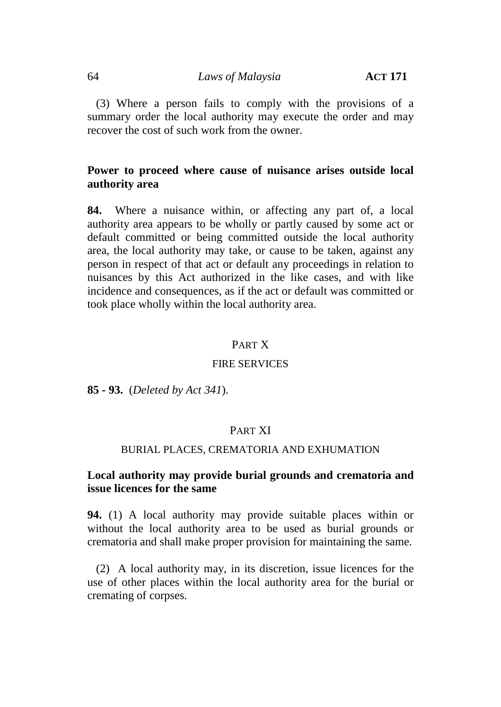64 *Laws of Malaysia* **ACT 171**

(3) Where a person fails to comply with the provisions of a summary order the local authority may execute the order and may recover the cost of such work from the owner.

## **Power to proceed where cause of nuisance arises outside local authority area**

**84.** Where a nuisance within, or affecting any part of, a local authority area appears to be wholly or partly caused by some act or default committed or being committed outside the local authority area, the local authority may take, or cause to be taken, against any person in respect of that act or default any proceedings in relation to nuisances by this Act authorized in the like cases, and with like incidence and consequences, as if the act or default was committed or took place wholly within the local authority area.

#### PART X

#### FIRE SERVICES

**85 - 93.** (*Deleted by Act 341*).

## PART XI

#### BURIAL PLACES, CREMATORIA AND EXHUMATION

### **Local authority may provide burial grounds and crematoria and issue licences for the same**

**94.** (1) A local authority may provide suitable places within or without the local authority area to be used as burial grounds or crematoria and shall make proper provision for maintaining the same.

(2) A local authority may, in its discretion, issue licences for the use of other places within the local authority area for the burial or cremating of corpses.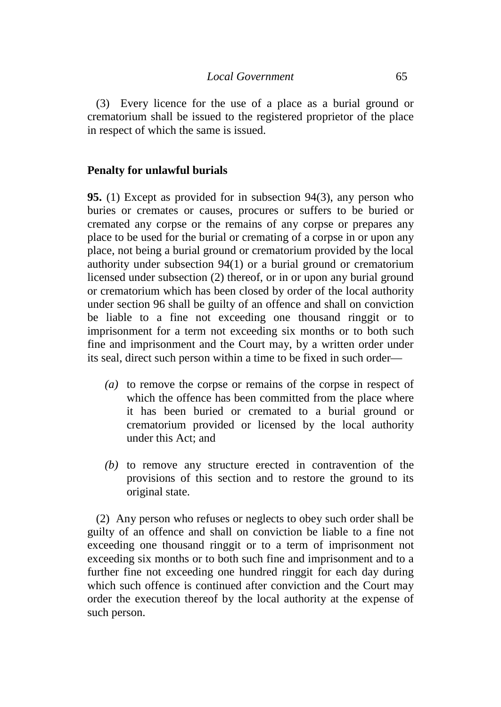(3) Every licence for the use of a place as a burial ground or crematorium shall be issued to the registered proprietor of the place in respect of which the same is issued.

### **Penalty for unlawful burials**

**95.** (1) Except as provided for in subsection 94(3), any person who buries or cremates or causes, procures or suffers to be buried or cremated any corpse or the remains of any corpse or prepares any place to be used for the burial or cremating of a corpse in or upon any place, not being a burial ground or crematorium provided by the local authority under subsection 94(1) or a burial ground or crematorium licensed under subsection (2) thereof, or in or upon any burial ground or crematorium which has been closed by order of the local authority under section 96 shall be guilty of an offence and shall on conviction be liable to a fine not exceeding one thousand ringgit or to imprisonment for a term not exceeding six months or to both such fine and imprisonment and the Court may, by a written order under its seal, direct such person within a time to be fixed in such order—

- *(a)* to remove the corpse or remains of the corpse in respect of which the offence has been committed from the place where it has been buried or cremated to a burial ground or crematorium provided or licensed by the local authority under this Act; and
- *(b)* to remove any structure erected in contravention of the provisions of this section and to restore the ground to its original state.

(2) Any person who refuses or neglects to obey such order shall be guilty of an offence and shall on conviction be liable to a fine not exceeding one thousand ringgit or to a term of imprisonment not exceeding six months or to both such fine and imprisonment and to a further fine not exceeding one hundred ringgit for each day during which such offence is continued after conviction and the Court may order the execution thereof by the local authority at the expense of such person.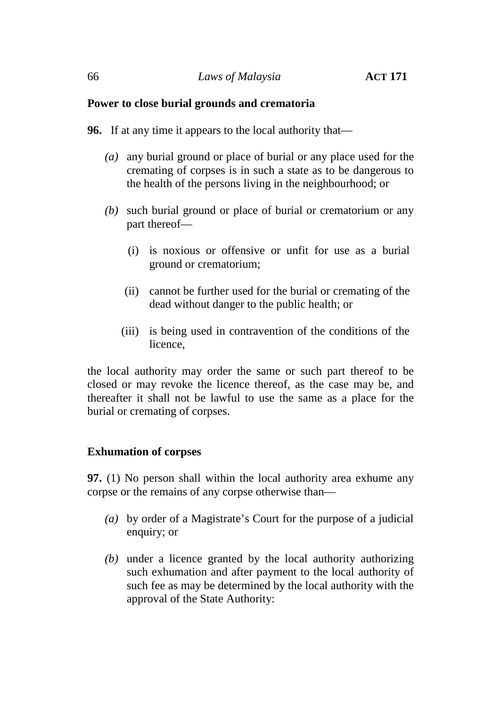### **Power to close burial grounds and crematoria**

- **96.** If at any time it appears to the local authority that—
	- *(a)* any burial ground or place of burial or any place used for the cremating of corpses is in such a state as to be dangerous to the health of the persons living in the neighbourhood; or
	- *(b)* such burial ground or place of burial or crematorium or any part thereof—
		- (i) is noxious or offensive or unfit for use as a burial ground or crematorium;
		- (ii) cannot be further used for the burial or cremating of the dead without danger to the public health; or
		- (iii) is being used in contravention of the conditions of the licence,

the local authority may order the same or such part thereof to be closed or may revoke the licence thereof, as the case may be, and thereafter it shall not be lawful to use the same as a place for the burial or cremating of corpses.

## **Exhumation of corpses**

**97.** (1) No person shall within the local authority area exhume any corpse or the remains of any corpse otherwise than—

- *(a)* by order of a Magistrate's Court for the purpose of a judicial enquiry; or
- *(b)* under a licence granted by the local authority authorizing such exhumation and after payment to the local authority of such fee as may be determined by the local authority with the approval of the State Authority: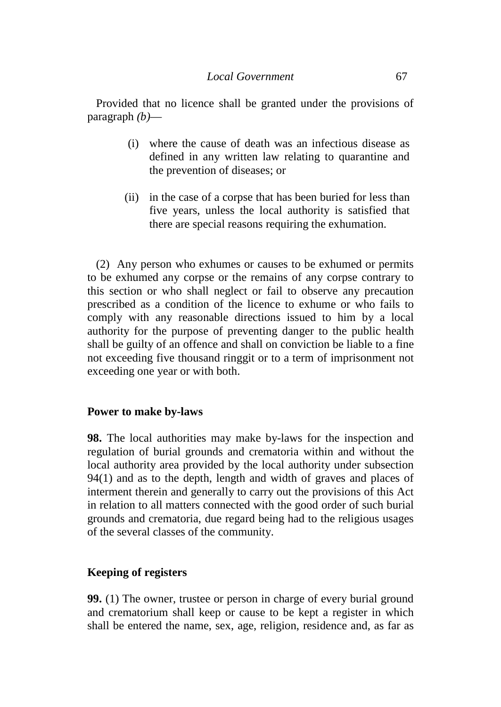Provided that no licence shall be granted under the provisions of paragraph *(b)*—

- (i) where the cause of death was an infectious disease as defined in any written law relating to quarantine and the prevention of diseases; or
- (ii) in the case of a corpse that has been buried for less than five years, unless the local authority is satisfied that there are special reasons requiring the exhumation.

(2) Any person who exhumes or causes to be exhumed or permits to be exhumed any corpse or the remains of any corpse contrary to this section or who shall neglect or fail to observe any precaution prescribed as a condition of the licence to exhume or who fails to comply with any reasonable directions issued to him by a local authority for the purpose of preventing danger to the public health shall be guilty of an offence and shall on conviction be liable to a fine not exceeding five thousand ringgit or to a term of imprisonment not exceeding one year or with both.

### **Power to make by-laws**

**98.** The local authorities may make by-laws for the inspection and regulation of burial grounds and crematoria within and without the local authority area provided by the local authority under subsection 94(1) and as to the depth, length and width of graves and places of interment therein and generally to carry out the provisions of this Act in relation to all matters connected with the good order of such burial grounds and crematoria, due regard being had to the religious usages of the several classes of the community.

## **Keeping of registers**

**99.** (1) The owner, trustee or person in charge of every burial ground and crematorium shall keep or cause to be kept a register in which shall be entered the name, sex, age, religion, residence and, as far as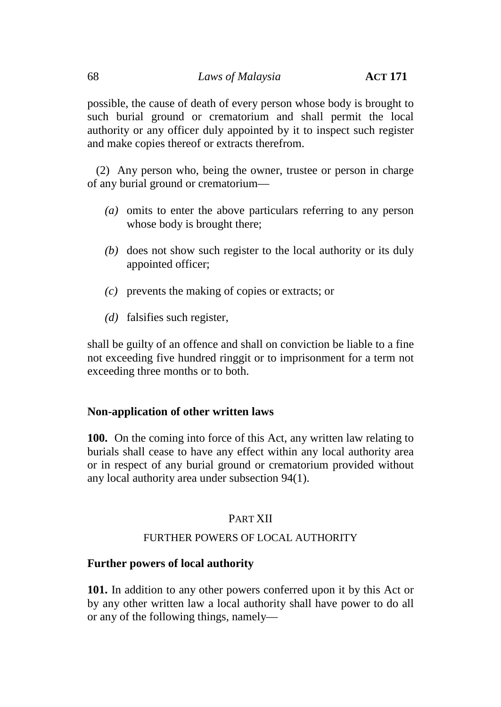possible, the cause of death of every person whose body is brought to such burial ground or crematorium and shall permit the local authority or any officer duly appointed by it to inspect such register and make copies thereof or extracts therefrom.

(2) Any person who, being the owner, trustee or person in charge of any burial ground or crematorium—

- *(a)* omits to enter the above particulars referring to any person whose body is brought there;
- *(b)* does not show such register to the local authority or its duly appointed officer;
- *(c)* prevents the making of copies or extracts; or
- *(d)* falsifies such register,

shall be guilty of an offence and shall on conviction be liable to a fine not exceeding five hundred ringgit or to imprisonment for a term not exceeding three months or to both.

## **Non-application of other written laws**

**100.** On the coming into force of this Act, any written law relating to burials shall cease to have any effect within any local authority area or in respect of any burial ground or crematorium provided without any local authority area under subsection 94(1).

# PART XII

## FURTHER POWERS OF LOCAL AUTHORITY

## **Further powers of local authority**

**101.** In addition to any other powers conferred upon it by this Act or by any other written law a local authority shall have power to do all or any of the following things, namely—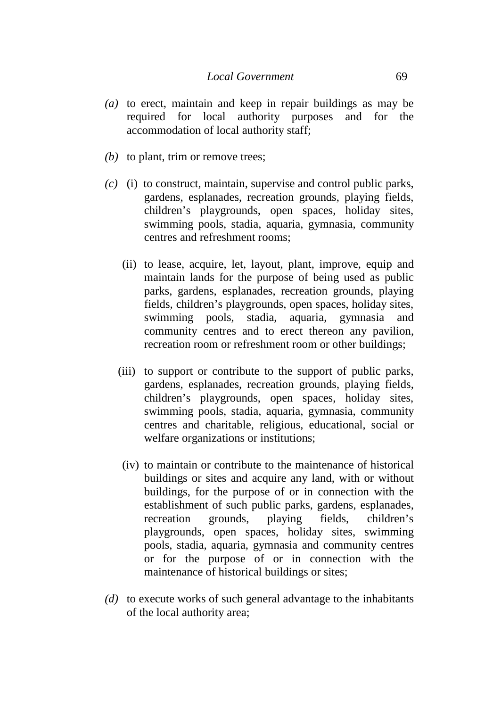- *(a)* to erect, maintain and keep in repair buildings as may be required for local authority purposes and for the accommodation of local authority staff;
- *(b)* to plant, trim or remove trees;
- *(c)* (i) to construct, maintain, supervise and control public parks, gardens, esplanades, recreation grounds, playing fields, children's playgrounds, open spaces, holiday sites, swimming pools, stadia, aquaria, gymnasia, community centres and refreshment rooms;
	- (ii) to lease, acquire, let, layout, plant, improve, equip and maintain lands for the purpose of being used as public parks, gardens, esplanades, recreation grounds, playing fields, children's playgrounds, open spaces, holiday sites, swimming pools, stadia, aquaria, gymnasia and community centres and to erect thereon any pavilion, recreation room or refreshment room or other buildings;
	- (iii) to support or contribute to the support of public parks, gardens, esplanades, recreation grounds, playing fields, children's playgrounds, open spaces, holiday sites, swimming pools, stadia, aquaria, gymnasia, community centres and charitable, religious, educational, social or welfare organizations or institutions;
	- (iv) to maintain or contribute to the maintenance of historical buildings or sites and acquire any land, with or without buildings, for the purpose of or in connection with the establishment of such public parks, gardens, esplanades, recreation grounds, playing fields, children's playgrounds, open spaces, holiday sites, swimming pools, stadia, aquaria, gymnasia and community centres or for the purpose of or in connection with the maintenance of historical buildings or sites;
- *(d)* to execute works of such general advantage to the inhabitants of the local authority area;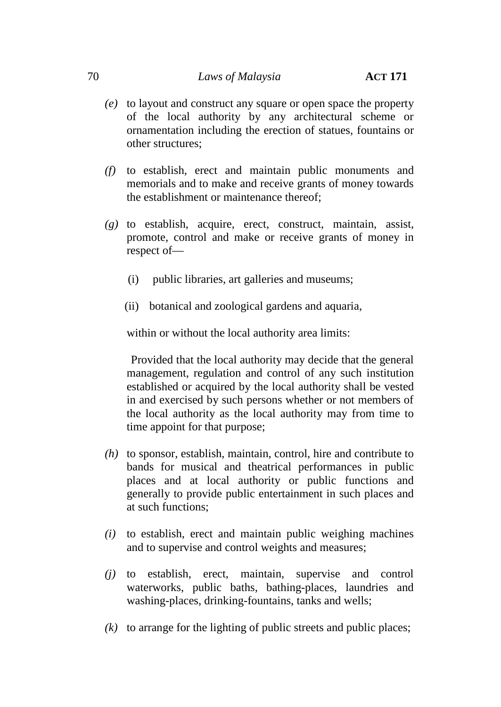- *(e)* to layout and construct any square or open space the property of the local authority by any architectural scheme or ornamentation including the erection of statues, fountains or other structures;
- *(f)* to establish, erect and maintain public monuments and memorials and to make and receive grants of money towards the establishment or maintenance thereof;
- *(g)* to establish, acquire, erect, construct, maintain, assist, promote, control and make or receive grants of money in respect of—
	- (i) public libraries, art galleries and museums;
	- (ii) botanical and zoological gardens and aquaria,

within or without the local authority area limits:

Provided that the local authority may decide that the general management, regulation and control of any such institution established or acquired by the local authority shall be vested in and exercised by such persons whether or not members of the local authority as the local authority may from time to time appoint for that purpose;

- *(h)* to sponsor, establish, maintain, control, hire and contribute to bands for musical and theatrical performances in public places and at local authority or public functions and generally to provide public entertainment in such places and at such functions;
- *(i)* to establish, erect and maintain public weighing machines and to supervise and control weights and measures;
- *(j)* to establish, erect, maintain, supervise and control waterworks, public baths, bathing-places, laundries and washing-places, drinking-fountains, tanks and wells;
- *(k)* to arrange for the lighting of public streets and public places;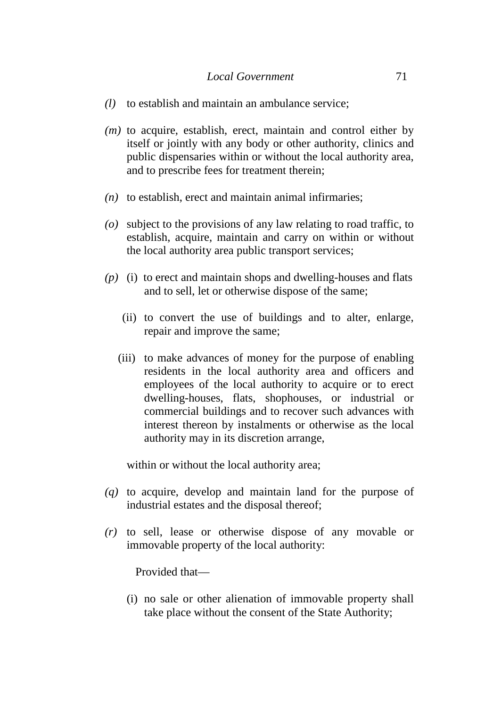- *(l)* to establish and maintain an ambulance service;
- *(m)* to acquire, establish, erect, maintain and control either by itself or jointly with any body or other authority, clinics and public dispensaries within or without the local authority area, and to prescribe fees for treatment therein;
- *(n)* to establish, erect and maintain animal infirmaries;
- *(o)* subject to the provisions of any law relating to road traffic, to establish, acquire, maintain and carry on within or without the local authority area public transport services;
- *(p)* (i) to erect and maintain shops and dwelling-houses and flats and to sell, let or otherwise dispose of the same;
	- (ii) to convert the use of buildings and to alter, enlarge, repair and improve the same;
	- (iii) to make advances of money for the purpose of enabling residents in the local authority area and officers and employees of the local authority to acquire or to erect dwelling-houses, flats, shophouses, or industrial or commercial buildings and to recover such advances with interest thereon by instalments or otherwise as the local authority may in its discretion arrange,

within or without the local authority area;

- *(q)* to acquire, develop and maintain land for the purpose of industrial estates and the disposal thereof;
- *(r)* to sell, lease or otherwise dispose of any movable or immovable property of the local authority:

Provided that—

(i) no sale or other alienation of immovable property shall take place without the consent of the State Authority;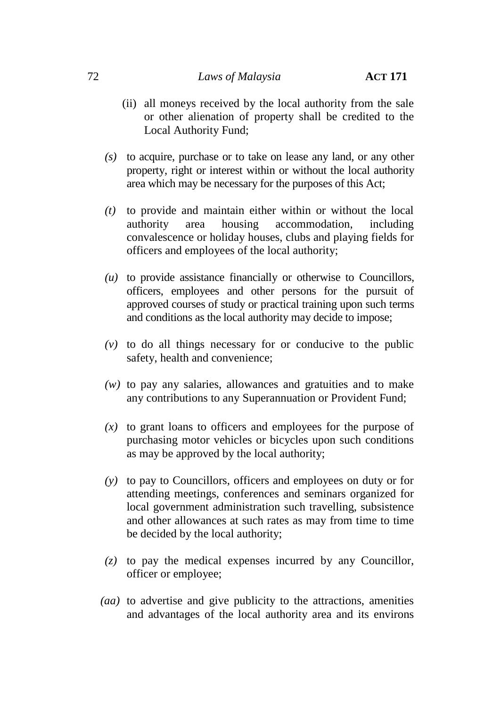- (ii) all moneys received by the local authority from the sale or other alienation of property shall be credited to the Local Authority Fund;
- *(s)* to acquire, purchase or to take on lease any land, or any other property, right or interest within or without the local authority area which may be necessary for the purposes of this Act;
- *(t)* to provide and maintain either within or without the local authority area housing accommodation, including convalescence or holiday houses, clubs and playing fields for officers and employees of the local authority;
- *(u)* to provide assistance financially or otherwise to Councillors, officers, employees and other persons for the pursuit of approved courses of study or practical training upon such terms and conditions as the local authority may decide to impose;
- *(v)* to do all things necessary for or conducive to the public safety, health and convenience;
- *(w)* to pay any salaries, allowances and gratuities and to make any contributions to any Superannuation or Provident Fund;
- *(x)* to grant loans to officers and employees for the purpose of purchasing motor vehicles or bicycles upon such conditions as may be approved by the local authority;
- *(y)* to pay to Councillors, officers and employees on duty or for attending meetings, conferences and seminars organized for local government administration such travelling, subsistence and other allowances at such rates as may from time to time be decided by the local authority;
- *(z)* to pay the medical expenses incurred by any Councillor, officer or employee;
- *(aa)* to advertise and give publicity to the attractions, amenities and advantages of the local authority area and its environs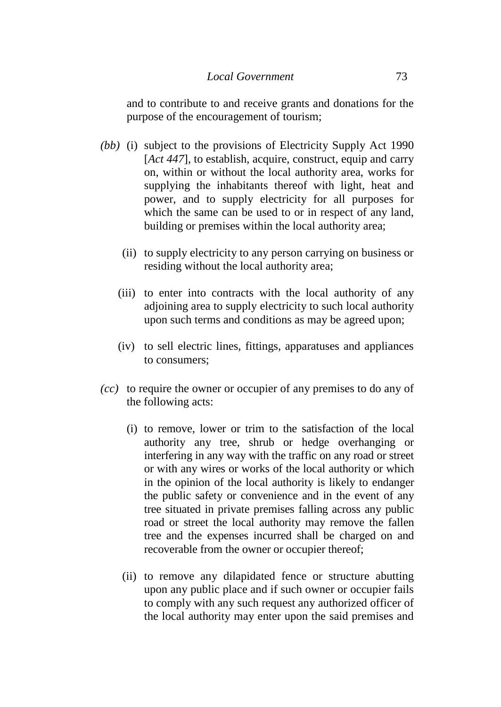and to contribute to and receive grants and donations for the purpose of the encouragement of tourism;

- *(bb)* (i) subject to the provisions of Electricity Supply Act 1990 [*Act 447*], to establish, acquire, construct, equip and carry on, within or without the local authority area, works for supplying the inhabitants thereof with light, heat and power, and to supply electricity for all purposes for which the same can be used to or in respect of any land, building or premises within the local authority area;
	- (ii) to supply electricity to any person carrying on business or residing without the local authority area;
	- (iii) to enter into contracts with the local authority of any adjoining area to supply electricity to such local authority upon such terms and conditions as may be agreed upon;
	- (iv) to sell electric lines, fittings, apparatuses and appliances to consumers;
- *(cc)* to require the owner or occupier of any premises to do any of the following acts:
	- (i) to remove, lower or trim to the satisfaction of the local authority any tree, shrub or hedge overhanging or interfering in any way with the traffic on any road or street or with any wires or works of the local authority or which in the opinion of the local authority is likely to endanger the public safety or convenience and in the event of any tree situated in private premises falling across any public road or street the local authority may remove the fallen tree and the expenses incurred shall be charged on and recoverable from the owner or occupier thereof;
	- (ii) to remove any dilapidated fence or structure abutting upon any public place and if such owner or occupier fails to comply with any such request any authorized officer of the local authority may enter upon the said premises and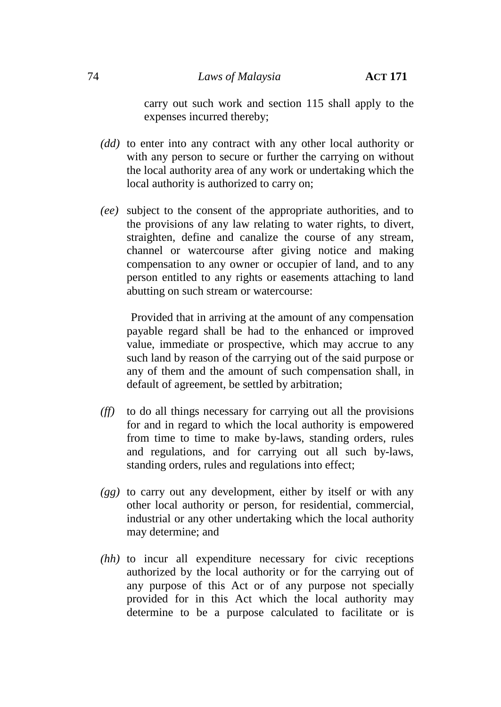carry out such work and section 115 shall apply to the expenses incurred thereby;

- *(dd)* to enter into any contract with any other local authority or with any person to secure or further the carrying on without the local authority area of any work or undertaking which the local authority is authorized to carry on;
- *(ee)* subject to the consent of the appropriate authorities, and to the provisions of any law relating to water rights, to divert, straighten, define and canalize the course of any stream, channel or watercourse after giving notice and making compensation to any owner or occupier of land, and to any person entitled to any rights or easements attaching to land abutting on such stream or watercourse:

Provided that in arriving at the amount of any compensation payable regard shall be had to the enhanced or improved value, immediate or prospective, which may accrue to any such land by reason of the carrying out of the said purpose or any of them and the amount of such compensation shall, in default of agreement, be settled by arbitration;

- *(ff)* to do all things necessary for carrying out all the provisions for and in regard to which the local authority is empowered from time to time to make by-laws, standing orders, rules and regulations, and for carrying out all such by-laws, standing orders, rules and regulations into effect;
- *(gg)* to carry out any development, either by itself or with any other local authority or person, for residential, commercial, industrial or any other undertaking which the local authority may determine; and
- *(hh)* to incur all expenditure necessary for civic receptions authorized by the local authority or for the carrying out of any purpose of this Act or of any purpose not specially provided for in this Act which the local authority may determine to be a purpose calculated to facilitate or is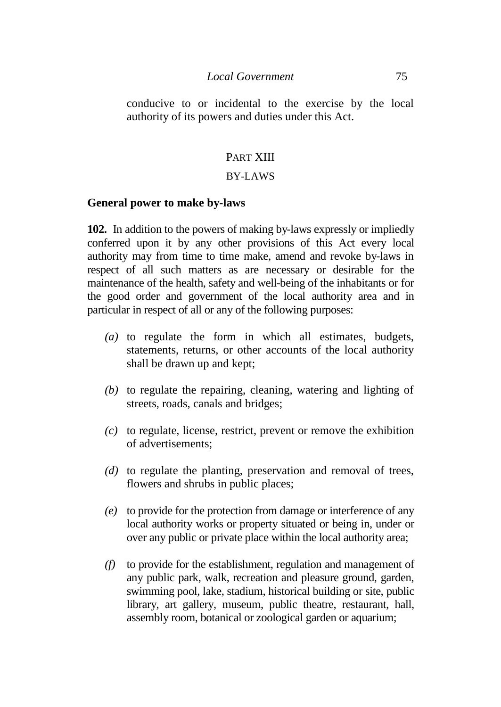#### *Local Government* 75

conducive to or incidental to the exercise by the local authority of its powers and duties under this Act.

# PART XIII

#### BY-LAWS

#### **General power to make by-laws**

**102.** In addition to the powers of making by-laws expressly or impliedly conferred upon it by any other provisions of this Act every local authority may from time to time make, amend and revoke by-laws in respect of all such matters as are necessary or desirable for the maintenance of the health, safety and well-being of the inhabitants or for the good order and government of the local authority area and in particular in respect of all or any of the following purposes:

- *(a)* to regulate the form in which all estimates, budgets, statements, returns, or other accounts of the local authority shall be drawn up and kept;
- *(b)* to regulate the repairing, cleaning, watering and lighting of streets, roads, canals and bridges;
- *(c)* to regulate, license, restrict, prevent or remove the exhibition of advertisements;
- *(d)* to regulate the planting, preservation and removal of trees, flowers and shrubs in public places;
- *(e)* to provide for the protection from damage or interference of any local authority works or property situated or being in, under or over any public or private place within the local authority area;
- *(f)* to provide for the establishment, regulation and management of any public park, walk, recreation and pleasure ground, garden, swimming pool, lake, stadium, historical building or site, public library, art gallery, museum, public theatre, restaurant, hall, assembly room, botanical or zoological garden or aquarium;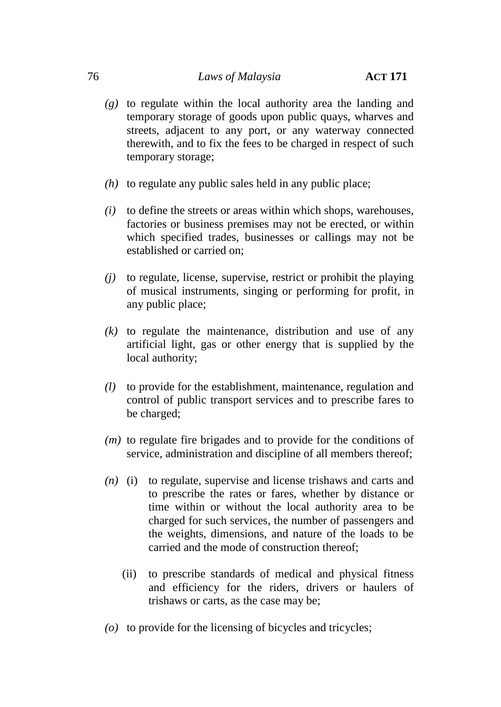## 76 *Laws of Malaysia* **ACT 171**

- *(g)* to regulate within the local authority area the landing and temporary storage of goods upon public quays, wharves and streets, adjacent to any port, or any waterway connected therewith, and to fix the fees to be charged in respect of such temporary storage;
- *(h)* to regulate any public sales held in any public place;
- *(i)* to define the streets or areas within which shops, warehouses, factories or business premises may not be erected, or within which specified trades, businesses or callings may not be established or carried on;
- *(j)* to regulate, license, supervise, restrict or prohibit the playing of musical instruments, singing or performing for profit, in any public place;
- *(k)* to regulate the maintenance, distribution and use of any artificial light, gas or other energy that is supplied by the local authority;
- *(l)* to provide for the establishment, maintenance, regulation and control of public transport services and to prescribe fares to be charged;
- *(m)* to regulate fire brigades and to provide for the conditions of service, administration and discipline of all members thereof;
- *(n)* (i) to regulate, supervise and license trishaws and carts and to prescribe the rates or fares, whether by distance or time within or without the local authority area to be charged for such services, the number of passengers and the weights, dimensions, and nature of the loads to be carried and the mode of construction thereof;
	- (ii) to prescribe standards of medical and physical fitness and efficiency for the riders, drivers or haulers of trishaws or carts, as the case may be;
- *(o)* to provide for the licensing of bicycles and tricycles;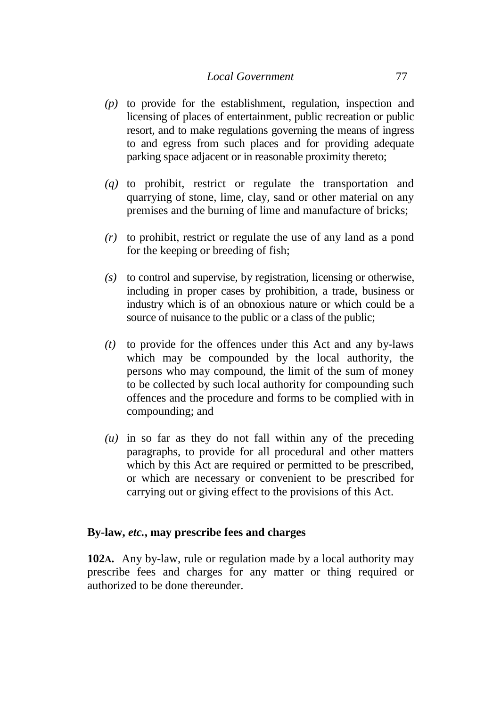- *(p)* to provide for the establishment, regulation, inspection and licensing of places of entertainment, public recreation or public resort, and to make regulations governing the means of ingress to and egress from such places and for providing adequate parking space adjacent or in reasonable proximity thereto;
- *(q)* to prohibit, restrict or regulate the transportation and quarrying of stone, lime, clay, sand or other material on any premises and the burning of lime and manufacture of bricks;
- *(r)* to prohibit, restrict or regulate the use of any land as a pond for the keeping or breeding of fish;
- *(s)* to control and supervise, by registration, licensing or otherwise, including in proper cases by prohibition, a trade, business or industry which is of an obnoxious nature or which could be a source of nuisance to the public or a class of the public;
- *(t)* to provide for the offences under this Act and any by-laws which may be compounded by the local authority, the persons who may compound, the limit of the sum of money to be collected by such local authority for compounding such offences and the procedure and forms to be complied with in compounding; and
- *(u)* in so far as they do not fall within any of the preceding paragraphs, to provide for all procedural and other matters which by this Act are required or permitted to be prescribed, or which are necessary or convenient to be prescribed for carrying out or giving effect to the provisions of this Act.

## **By-law,** *etc.***, may prescribe fees and charges**

**102A.** Any by-law, rule or regulation made by a local authority may prescribe fees and charges for any matter or thing required or authorized to be done thereunder.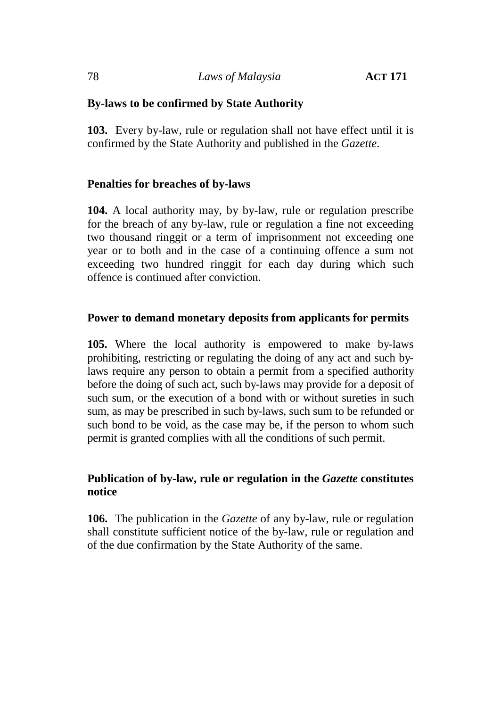# **By-laws to be confirmed by State Authority**

**103.** Every by-law, rule or regulation shall not have effect until it is confirmed by the State Authority and published in the *Gazette*.

# **Penalties for breaches of by-laws**

**104.** A local authority may, by by-law, rule or regulation prescribe for the breach of any by-law, rule or regulation a fine not exceeding two thousand ringgit or a term of imprisonment not exceeding one year or to both and in the case of a continuing offence a sum not exceeding two hundred ringgit for each day during which such offence is continued after conviction.

# **Power to demand monetary deposits from applicants for permits**

**105.** Where the local authority is empowered to make by-laws prohibiting, restricting or regulating the doing of any act and such bylaws require any person to obtain a permit from a specified authority before the doing of such act, such by-laws may provide for a deposit of such sum, or the execution of a bond with or without sureties in such sum, as may be prescribed in such by-laws, such sum to be refunded or such bond to be void, as the case may be, if the person to whom such permit is granted complies with all the conditions of such permit.

# **Publication of by-law, rule or regulation in the** *Gazette* **constitutes notice**

**106.** The publication in the *Gazette* of any by-law, rule or regulation shall constitute sufficient notice of the by-law, rule or regulation and of the due confirmation by the State Authority of the same.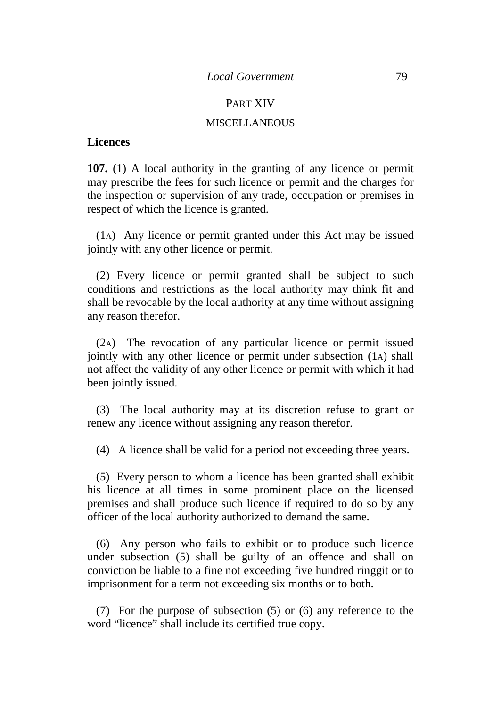#### PART XIV

#### **MISCELLANEOUS**

#### **Licences**

**107.** (1) A local authority in the granting of any licence or permit may prescribe the fees for such licence or permit and the charges for the inspection or supervision of any trade, occupation or premises in respect of which the licence is granted.

(1A) Any licence or permit granted under this Act may be issued jointly with any other licence or permit.

(2) Every licence or permit granted shall be subject to such conditions and restrictions as the local authority may think fit and shall be revocable by the local authority at any time without assigning any reason therefor.

(2A) The revocation of any particular licence or permit issued jointly with any other licence or permit under subsection (1A) shall not affect the validity of any other licence or permit with which it had been jointly issued.

(3) The local authority may at its discretion refuse to grant or renew any licence without assigning any reason therefor.

(4) A licence shall be valid for a period not exceeding three years.

(5) Every person to whom a licence has been granted shall exhibit his licence at all times in some prominent place on the licensed premises and shall produce such licence if required to do so by any officer of the local authority authorized to demand the same.

(6) Any person who fails to exhibit or to produce such licence under subsection (5) shall be guilty of an offence and shall on conviction be liable to a fine not exceeding five hundred ringgit or to imprisonment for a term not exceeding six months or to both.

(7) For the purpose of subsection (5) or (6) any reference to the word "licence" shall include its certified true copy.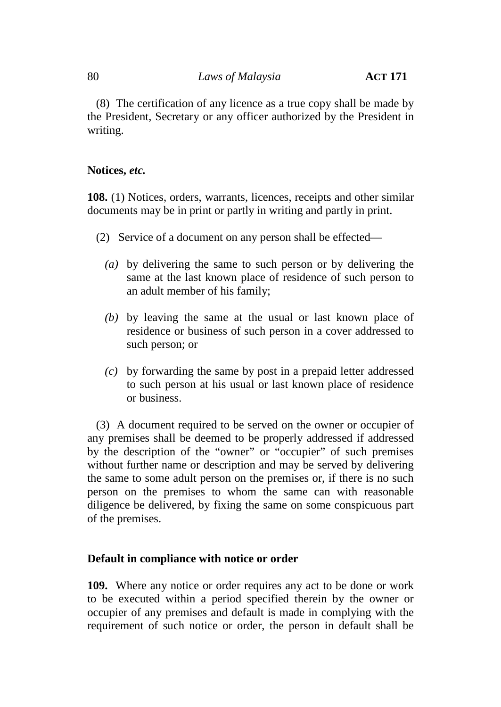(8) The certification of any licence as a true copy shall be made by the President, Secretary or any officer authorized by the President in writing.

## **Notices,** *etc.*

**108.** (1) Notices, orders, warrants, licences, receipts and other similar documents may be in print or partly in writing and partly in print.

- (2) Service of a document on any person shall be effected—
	- *(a)* by delivering the same to such person or by delivering the same at the last known place of residence of such person to an adult member of his family;
	- *(b)* by leaving the same at the usual or last known place of residence or business of such person in a cover addressed to such person; or
	- *(c)* by forwarding the same by post in a prepaid letter addressed to such person at his usual or last known place of residence or business.

(3) A document required to be served on the owner or occupier of any premises shall be deemed to be properly addressed if addressed by the description of the "owner" or "occupier" of such premises without further name or description and may be served by delivering the same to some adult person on the premises or, if there is no such person on the premises to whom the same can with reasonable diligence be delivered, by fixing the same on some conspicuous part of the premises.

## **Default in compliance with notice or order**

**109.** Where any notice or order requires any act to be done or work to be executed within a period specified therein by the owner or occupier of any premises and default is made in complying with the requirement of such notice or order, the person in default shall be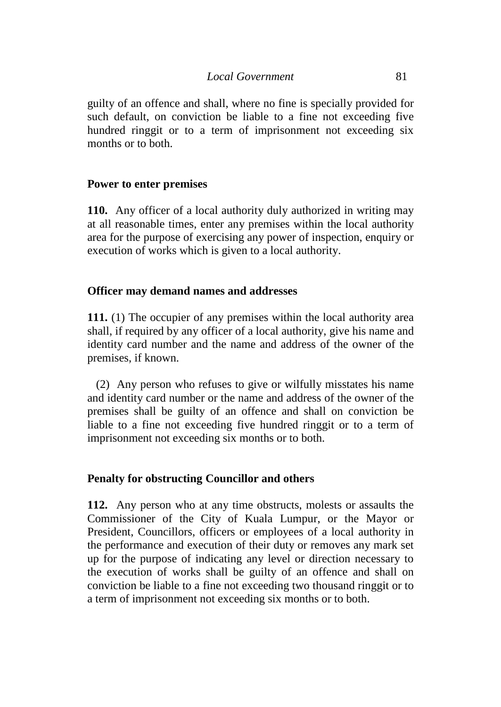guilty of an offence and shall, where no fine is specially provided for such default, on conviction be liable to a fine not exceeding five hundred ringgit or to a term of imprisonment not exceeding six months or to both.

# **Power to enter premises**

**110.** Any officer of a local authority duly authorized in writing may at all reasonable times, enter any premises within the local authority area for the purpose of exercising any power of inspection, enquiry or execution of works which is given to a local authority.

# **Officer may demand names and addresses**

**111.** (1) The occupier of any premises within the local authority area shall, if required by any officer of a local authority, give his name and identity card number and the name and address of the owner of the premises, if known.

(2) Any person who refuses to give or wilfully misstates his name and identity card number or the name and address of the owner of the premises shall be guilty of an offence and shall on conviction be liable to a fine not exceeding five hundred ringgit or to a term of imprisonment not exceeding six months or to both.

# **Penalty for obstructing Councillor and others**

**112.** Any person who at any time obstructs, molests or assaults the Commissioner of the City of Kuala Lumpur, or the Mayor or President, Councillors, officers or employees of a local authority in the performance and execution of their duty or removes any mark set up for the purpose of indicating any level or direction necessary to the execution of works shall be guilty of an offence and shall on conviction be liable to a fine not exceeding two thousand ringgit or to a term of imprisonment not exceeding six months or to both.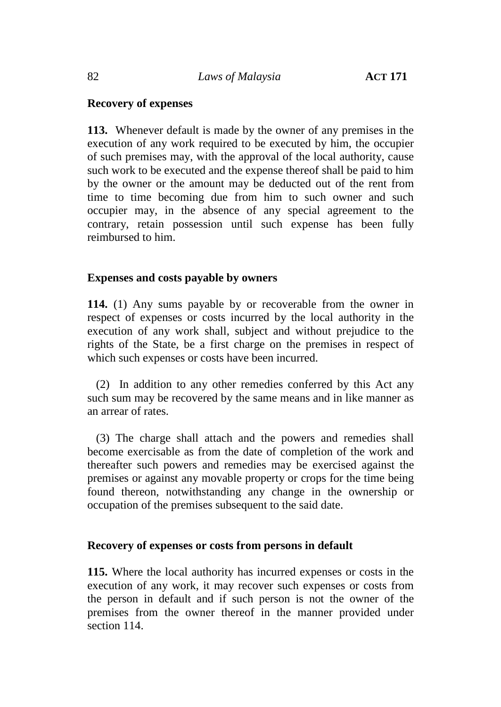## **Recovery of expenses**

**113.** Whenever default is made by the owner of any premises in the execution of any work required to be executed by him, the occupier of such premises may, with the approval of the local authority, cause such work to be executed and the expense thereof shall be paid to him by the owner or the amount may be deducted out of the rent from time to time becoming due from him to such owner and such occupier may, in the absence of any special agreement to the contrary, retain possession until such expense has been fully reimbursed to him.

## **Expenses and costs payable by owners**

**114.** (1) Any sums payable by or recoverable from the owner in respect of expenses or costs incurred by the local authority in the execution of any work shall, subject and without prejudice to the rights of the State, be a first charge on the premises in respect of which such expenses or costs have been incurred.

(2) In addition to any other remedies conferred by this Act any such sum may be recovered by the same means and in like manner as an arrear of rates.

(3) The charge shall attach and the powers and remedies shall become exercisable as from the date of completion of the work and thereafter such powers and remedies may be exercised against the premises or against any movable property or crops for the time being found thereon, notwithstanding any change in the ownership or occupation of the premises subsequent to the said date.

## **Recovery of expenses or costs from persons in default**

**115.** Where the local authority has incurred expenses or costs in the execution of any work, it may recover such expenses or costs from the person in default and if such person is not the owner of the premises from the owner thereof in the manner provided under section 114.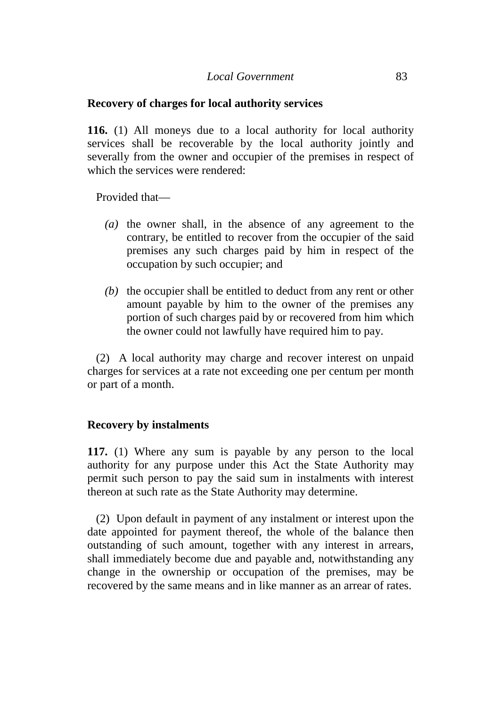#### **Recovery of charges for local authority services**

**116.** (1) All moneys due to a local authority for local authority services shall be recoverable by the local authority jointly and severally from the owner and occupier of the premises in respect of which the services were rendered:

Provided that—

- *(a)* the owner shall, in the absence of any agreement to the contrary, be entitled to recover from the occupier of the said premises any such charges paid by him in respect of the occupation by such occupier; and
- *(b)* the occupier shall be entitled to deduct from any rent or other amount payable by him to the owner of the premises any portion of such charges paid by or recovered from him which the owner could not lawfully have required him to pay.

(2) A local authority may charge and recover interest on unpaid charges for services at a rate not exceeding one per centum per month or part of a month.

## **Recovery by instalments**

**117.** (1) Where any sum is payable by any person to the local authority for any purpose under this Act the State Authority may permit such person to pay the said sum in instalments with interest thereon at such rate as the State Authority may determine.

(2) Upon default in payment of any instalment or interest upon the date appointed for payment thereof, the whole of the balance then outstanding of such amount, together with any interest in arrears, shall immediately become due and payable and, notwithstanding any change in the ownership or occupation of the premises, may be recovered by the same means and in like manner as an arrear of rates.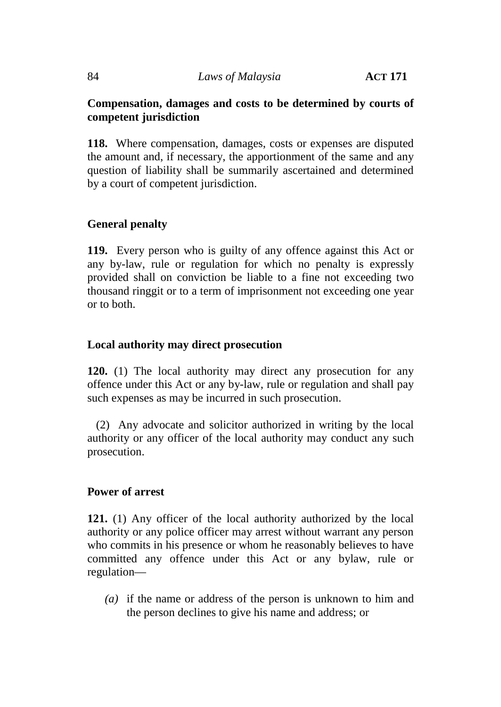#### 84 *Laws of Malaysia* **ACT 171**

# **Compensation, damages and costs to be determined by courts of competent jurisdiction**

**118.** Where compensation, damages, costs or expenses are disputed the amount and, if necessary, the apportionment of the same and any question of liability shall be summarily ascertained and determined by a court of competent jurisdiction.

# **General penalty**

**119.** Every person who is guilty of any offence against this Act or any by-law, rule or regulation for which no penalty is expressly provided shall on conviction be liable to a fine not exceeding two thousand ringgit or to a term of imprisonment not exceeding one year or to both.

## **Local authority may direct prosecution**

**120.** (1) The local authority may direct any prosecution for any offence under this Act or any by-law, rule or regulation and shall pay such expenses as may be incurred in such prosecution.

(2) Any advocate and solicitor authorized in writing by the local authority or any officer of the local authority may conduct any such prosecution.

## **Power of arrest**

**121.** (1) Any officer of the local authority authorized by the local authority or any police officer may arrest without warrant any person who commits in his presence or whom he reasonably believes to have committed any offence under this Act or any bylaw, rule or regulation—

*(a)* if the name or address of the person is unknown to him and the person declines to give his name and address; or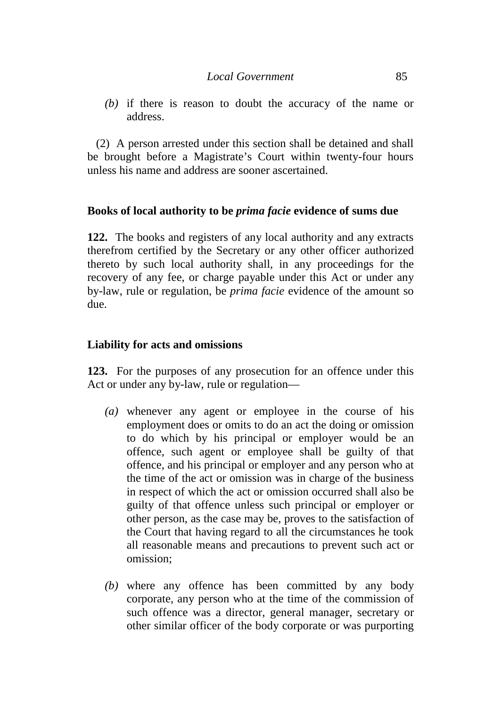*(b)* if there is reason to doubt the accuracy of the name or address.

(2) A person arrested under this section shall be detained and shall be brought before a Magistrate's Court within twenty-four hours unless his name and address are sooner ascertained.

# **Books of local authority to be** *prima facie* **evidence of sums due**

**122.** The books and registers of any local authority and any extracts therefrom certified by the Secretary or any other officer authorized thereto by such local authority shall, in any proceedings for the recovery of any fee, or charge payable under this Act or under any by-law, rule or regulation, be *prima facie* evidence of the amount so due.

## **Liability for acts and omissions**

**123.** For the purposes of any prosecution for an offence under this Act or under any by-law, rule or regulation—

- *(a)* whenever any agent or employee in the course of his employment does or omits to do an act the doing or omission to do which by his principal or employer would be an offence, such agent or employee shall be guilty of that offence, and his principal or employer and any person who at the time of the act or omission was in charge of the business in respect of which the act or omission occurred shall also be guilty of that offence unless such principal or employer or other person, as the case may be, proves to the satisfaction of the Court that having regard to all the circumstances he took all reasonable means and precautions to prevent such act or omission;
- *(b)* where any offence has been committed by any body corporate, any person who at the time of the commission of such offence was a director, general manager, secretary or other similar officer of the body corporate or was purporting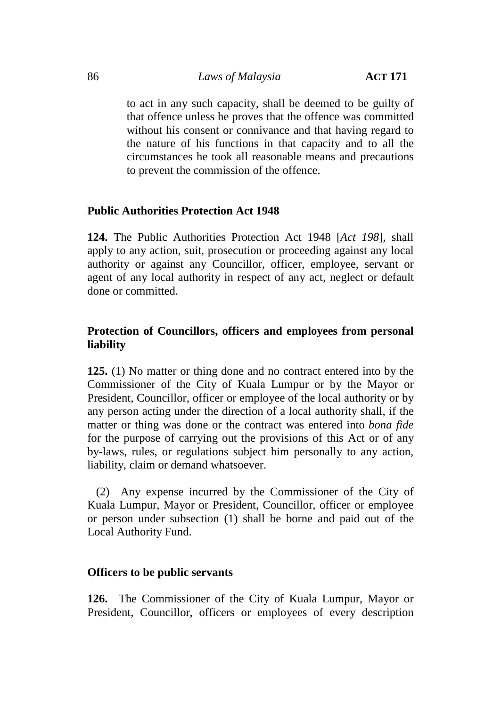## 86 *Laws of Malaysia* **ACT 171**

to act in any such capacity, shall be deemed to be guilty of that offence unless he proves that the offence was committed without his consent or connivance and that having regard to the nature of his functions in that capacity and to all the circumstances he took all reasonable means and precautions to prevent the commission of the offence.

## **Public Authorities Protection Act 1948**

**124.** The Public Authorities Protection Act 1948 [*Act 198*], shall apply to any action, suit, prosecution or proceeding against any local authority or against any Councillor, officer, employee, servant or agent of any local authority in respect of any act, neglect or default done or committed.

# **Protection of Councillors, officers and employees from personal liability**

**125.** (1) No matter or thing done and no contract entered into by the Commissioner of the City of Kuala Lumpur or by the Mayor or President, Councillor, officer or employee of the local authority or by any person acting under the direction of a local authority shall, if the matter or thing was done or the contract was entered into *bona fide* for the purpose of carrying out the provisions of this Act or of any by-laws, rules, or regulations subject him personally to any action, liability, claim or demand whatsoever.

(2) Any expense incurred by the Commissioner of the City of Kuala Lumpur, Mayor or President, Councillor, officer or employee or person under subsection (1) shall be borne and paid out of the Local Authority Fund.

## **Officers to be public servants**

**126.** The Commissioner of the City of Kuala Lumpur, Mayor or President, Councillor, officers or employees of every description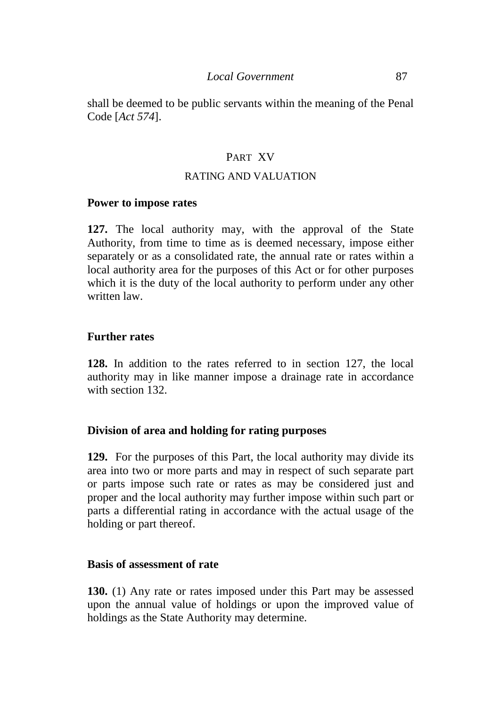shall be deemed to be public servants within the meaning of the Penal Code [*Act 574*].

# PART XV

#### RATING AND VALUATION

#### **Power to impose rates**

**127.** The local authority may, with the approval of the State Authority, from time to time as is deemed necessary, impose either separately or as a consolidated rate, the annual rate or rates within a local authority area for the purposes of this Act or for other purposes which it is the duty of the local authority to perform under any other written law.

## **Further rates**

**128.** In addition to the rates referred to in section 127, the local authority may in like manner impose a drainage rate in accordance with section 132.

## **Division of area and holding for rating purposes**

**129.** For the purposes of this Part, the local authority may divide its area into two or more parts and may in respect of such separate part or parts impose such rate or rates as may be considered just and proper and the local authority may further impose within such part or parts a differential rating in accordance with the actual usage of the holding or part thereof.

#### **Basis of assessment of rate**

**130.** (1) Any rate or rates imposed under this Part may be assessed upon the annual value of holdings or upon the improved value of holdings as the State Authority may determine.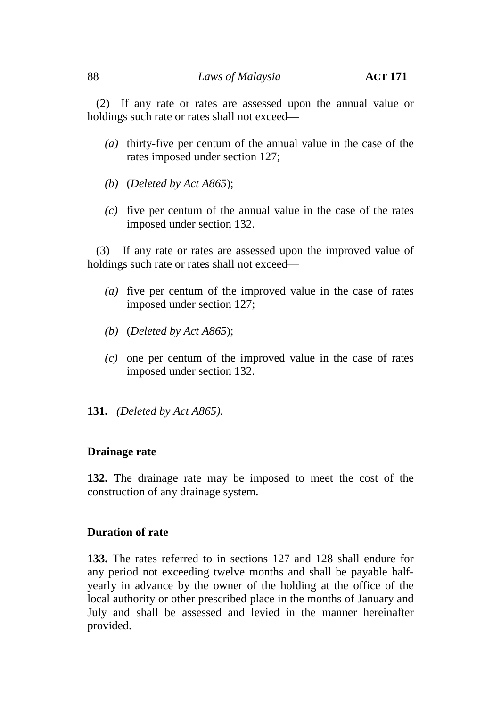(2) If any rate or rates are assessed upon the annual value or holdings such rate or rates shall not exceed—

- *(a)* thirty-five per centum of the annual value in the case of the rates imposed under section 127;
- *(b)* (*Deleted by Act A865*);
- *(c)* five per centum of the annual value in the case of the rates imposed under section 132.

(3) If any rate or rates are assessed upon the improved value of holdings such rate or rates shall not exceed—

- *(a)* five per centum of the improved value in the case of rates imposed under section 127;
- *(b)* (*Deleted by Act A865*);
- *(c)* one per centum of the improved value in the case of rates imposed under section 132.
- **131.** *(Deleted by Act A865)*.

## **Drainage rate**

**132.** The drainage rate may be imposed to meet the cost of the construction of any drainage system.

## **Duration of rate**

**133.** The rates referred to in sections 127 and 128 shall endure for any period not exceeding twelve months and shall be payable half yearly in advance by the owner of the holding at the office of the local authority or other prescribed place in the months of January and July and shall be assessed and levied in the manner hereinafter provided.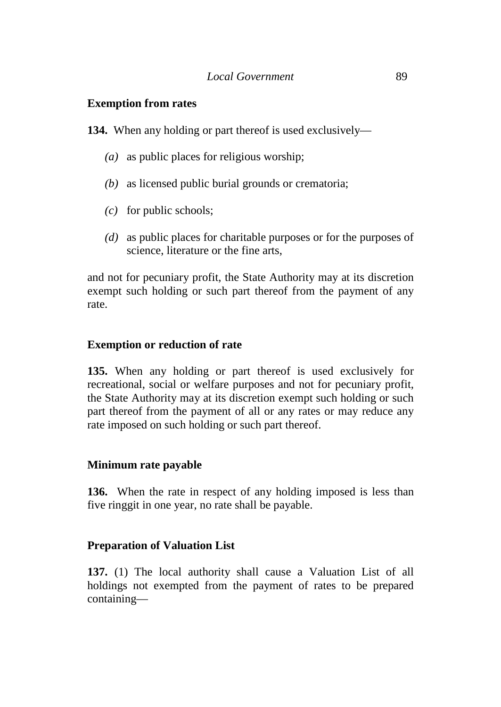# **Exemption from rates**

**134.** When any holding or part thereof is used exclusively—

- *(a)* as public places for religious worship;
- *(b)* as licensed public burial grounds or crematoria;
- *(c)* for public schools;
- *(d)* as public places for charitable purposes or for the purposes of science, literature or the fine arts,

and not for pecuniary profit, the State Authority may at its discretion exempt such holding or such part thereof from the payment of any rate.

# **Exemption or reduction of rate**

**135.** When any holding or part thereof is used exclusively for recreational, social or welfare purposes and not for pecuniary profit, the State Authority may at its discretion exempt such holding or such part thereof from the payment of all or any rates or may reduce any rate imposed on such holding or such part thereof.

# **Minimum rate payable**

**136.** When the rate in respect of any holding imposed is less than five ringgit in one year, no rate shall be payable.

# **Preparation of Valuation List**

**137.** (1) The local authority shall cause a Valuation List of all holdings not exempted from the payment of rates to be prepared containing—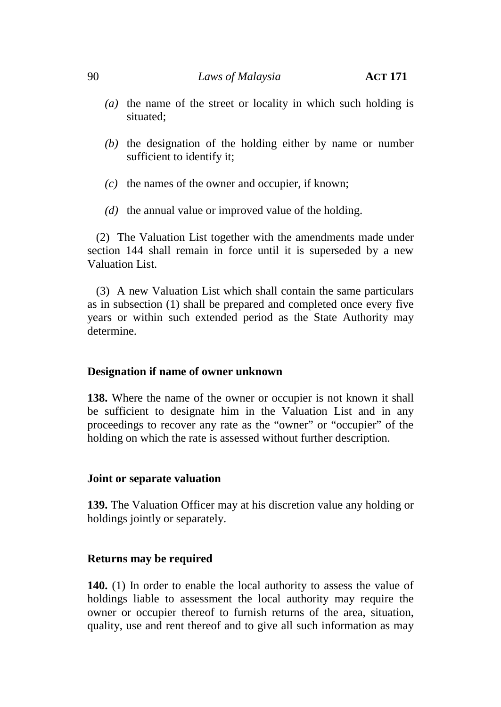- *(a)* the name of the street or locality in which such holding is situated;
- *(b)* the designation of the holding either by name or number sufficient to identify it;
- *(c)* the names of the owner and occupier, if known;
- *(d)* the annual value or improved value of the holding.

(2) The Valuation List together with the amendments made under section 144 shall remain in force until it is superseded by a new Valuation List.

(3) A new Valuation List which shall contain the same particulars as in subsection (1) shall be prepared and completed once every five years or within such extended period as the State Authority may determine.

## **Designation if name of owner unknown**

**138.** Where the name of the owner or occupier is not known it shall be sufficient to designate him in the Valuation List and in any proceedings to recover any rate as the "owner" or "occupier" of the holding on which the rate is assessed without further description.

#### **Joint or separate valuation**

**139.** The Valuation Officer may at his discretion value any holding or holdings jointly or separately.

## **Returns may be required**

**140.** (1) In order to enable the local authority to assess the value of holdings liable to assessment the local authority may require the owner or occupier thereof to furnish returns of the area, situation, quality, use and rent thereof and to give all such information as may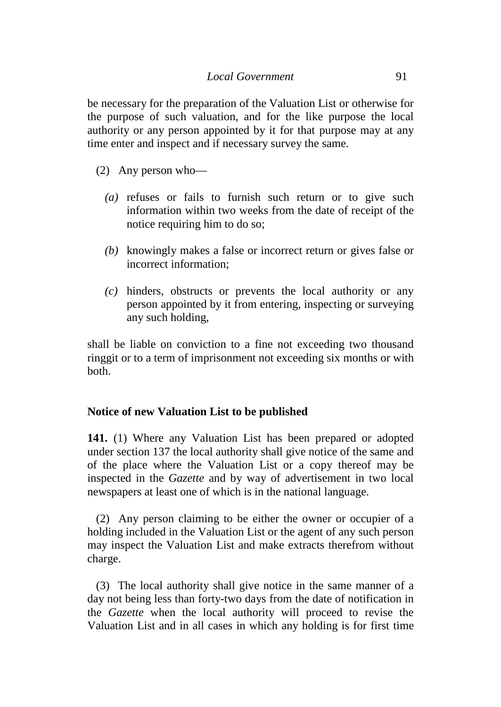be necessary for the preparation of the Valuation List or otherwise for the purpose of such valuation, and for the like purpose the local authority or any person appointed by it for that purpose may at any time enter and inspect and if necessary survey the same.

- (2) Any person who—
	- *(a)* refuses or fails to furnish such return or to give such information within two weeks from the date of receipt of the notice requiring him to do so;
	- *(b)* knowingly makes a false or incorrect return or gives false or incorrect information;
	- *(c)* hinders, obstructs or prevents the local authority or any person appointed by it from entering, inspecting or surveying any such holding,

shall be liable on conviction to a fine not exceeding two thousand ringgit or to a term of imprisonment not exceeding six months or with both.

## **Notice of new Valuation List to be published**

**141.** (1) Where any Valuation List has been prepared or adopted under section 137 the local authority shall give notice of the same and of the place where the Valuation List or a copy thereof may be inspected in the *Gazette* and by way of advertisement in two local newspapers at least one of which is in the national language.

(2) Any person claiming to be either the owner or occupier of a holding included in the Valuation List or the agent of any such person may inspect the Valuation List and make extracts therefrom without charge.

(3) The local authority shall give notice in the same manner of a day not being less than forty-two days from the date of notification in the *Gazette* when the local authority will proceed to revise the Valuation List and in all cases in which any holding is for first time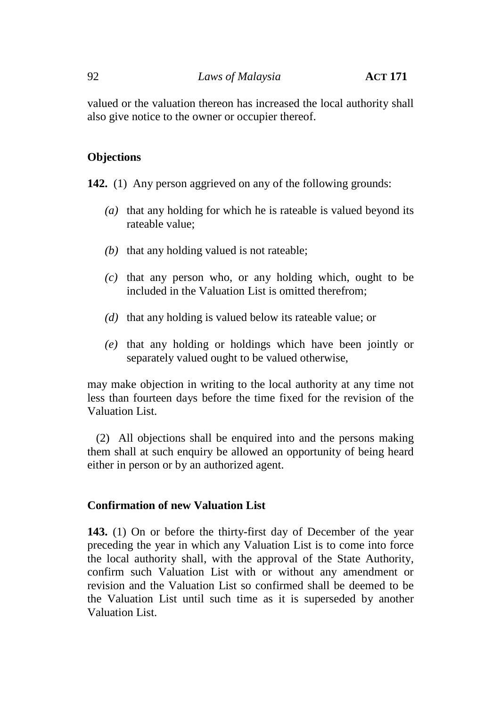valued or the valuation thereon has increased the local authority shall also give notice to the owner or occupier thereof.

# **Objections**

**142.** (1) Any person aggrieved on any of the following grounds:

- *(a)* that any holding for which he is rateable is valued beyond its rateable value;
- *(b)* that any holding valued is not rateable;
- *(c)* that any person who, or any holding which, ought to be included in the Valuation List is omitted therefrom;
- *(d)* that any holding is valued below its rateable value; or
- *(e)* that any holding or holdings which have been jointly or separately valued ought to be valued otherwise,

may make objection in writing to the local authority at any time not less than fourteen days before the time fixed for the revision of the Valuation List.

(2) All objections shall be enquired into and the persons making them shall at such enquiry be allowed an opportunity of being heard either in person or by an authorized agent.

## **Confirmation of new Valuation List**

**143.** (1) On or before the thirty-first day of December of the year preceding the year in which any Valuation List is to come into force the local authority shall, with the approval of the State Authority, confirm such Valuation List with or without any amendment or revision and the Valuation List so confirmed shall be deemed to be the Valuation List until such time as it is superseded by another Valuation List.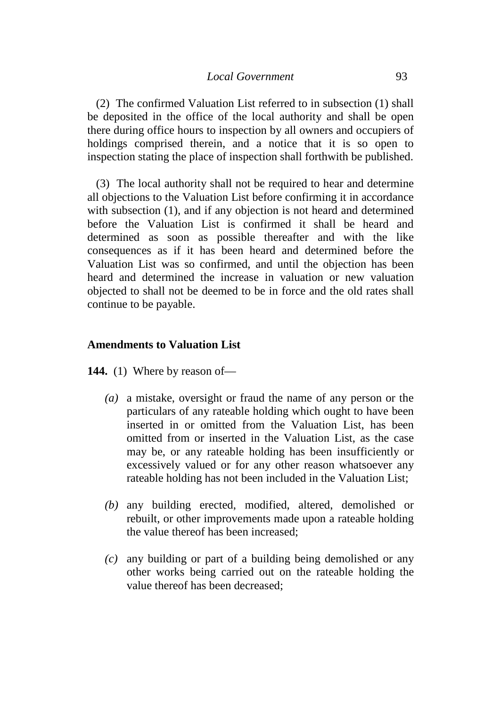(2) The confirmed Valuation List referred to in subsection (1) shall be deposited in the office of the local authority and shall be open there during office hours to inspection by all owners and occupiers of holdings comprised therein, and a notice that it is so open to inspection stating the place of inspection shall forthwith be published.

(3) The local authority shall not be required to hear and determine all objections to the Valuation List before confirming it in accordance with subsection (1), and if any objection is not heard and determined before the Valuation List is confirmed it shall be heard and determined as soon as possible thereafter and with the like consequences as if it has been heard and determined before the Valuation List was so confirmed, and until the objection has been heard and determined the increase in valuation or new valuation objected to shall not be deemed to be in force and the old rates shall continue to be payable.

#### **Amendments to Valuation List**

**144.** (1) Where by reason of—

- *(a)* a mistake, oversight or fraud the name of any person or the particulars of any rateable holding which ought to have been inserted in or omitted from the Valuation List, has been omitted from or inserted in the Valuation List, as the case may be, or any rateable holding has been insufficiently or excessively valued or for any other reason whatsoever any rateable holding has not been included in the Valuation List;
- *(b)* any building erected, modified, altered, demolished or rebuilt, or other improvements made upon a rateable holding the value thereof has been increased;
- *(c)* any building or part of a building being demolished or any other works being carried out on the rateable holding the value thereof has been decreased;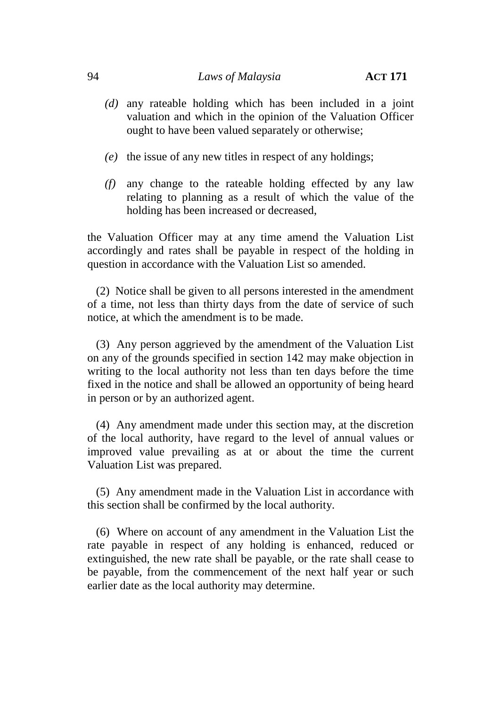- *(d)* any rateable holding which has been included in a joint valuation and which in the opinion of the Valuation Officer ought to have been valued separately or otherwise;
- *(e)* the issue of any new titles in respect of any holdings;
- *(f)* any change to the rateable holding effected by any law relating to planning as a result of which the value of the holding has been increased or decreased,

the Valuation Officer may at any time amend the Valuation List accordingly and rates shall be payable in respect of the holding in question in accordance with the Valuation List so amended.

(2) Notice shall be given to all persons interested in the amendment of a time, not less than thirty days from the date of service of such notice, at which the amendment is to be made.

(3) Any person aggrieved by the amendment of the Valuation List on any of the grounds specified in section 142 may make objection in writing to the local authority not less than ten days before the time fixed in the notice and shall be allowed an opportunity of being heard in person or by an authorized agent.

(4) Any amendment made under this section may, at the discretion of the local authority, have regard to the level of annual values or improved value prevailing as at or about the time the current Valuation List was prepared.

(5) Any amendment made in the Valuation List in accordance with this section shall be confirmed by the local authority.

(6) Where on account of any amendment in the Valuation List the rate payable in respect of any holding is enhanced, reduced or extinguished, the new rate shall be payable, or the rate shall cease to be payable, from the commencement of the next half year or such earlier date as the local authority may determine.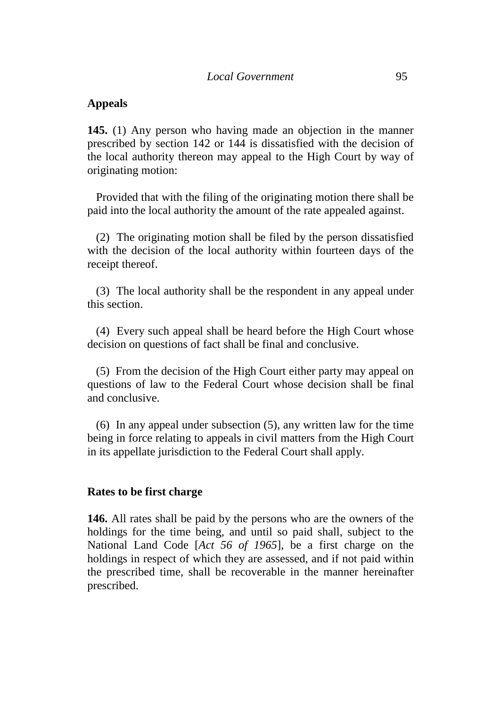#### **Appeals**

**145.** (1) Any person who having made an objection in the manner prescribed by section 142 or 144 is dissatisfied with the decision of the local authority thereon may appeal to the High Court by way of originating motion:

Provided that with the filing of the originating motion there shall be paid into the local authority the amount of the rate appealed against.

(2) The originating motion shall be filed by the person dissatisfied with the decision of the local authority within fourteen days of the receipt thereof.

(3) The local authority shall be the respondent in any appeal under this section.

(4) Every such appeal shall be heard before the High Court whose decision on questions of fact shall be final and conclusive.

(5) From the decision of the High Court either party may appeal on questions of law to the Federal Court whose decision shall be final and conclusive.

(6) In any appeal under subsection (5), any written law for the time being in force relating to appeals in civil matters from the High Court in its appellate jurisdiction to the Federal Court shall apply.

#### **Rates to be first charge**

**146.** All rates shall be paid by the persons who are the owners of the holdings for the time being, and until so paid shall, subject to the National Land Code [*Act 56 of 1965*], be a first charge on the holdings in respect of which they are assessed, and if not paid within the prescribed time, shall be recoverable in the manner hereinafter prescribed.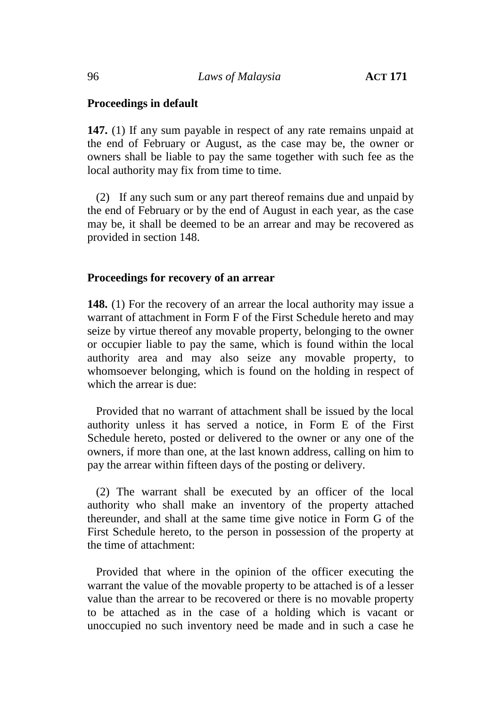## **Proceedings in default**

**147.** (1) If any sum payable in respect of any rate remains unpaid at the end of February or August, as the case may be, the owner or owners shall be liable to pay the same together with such fee as the local authority may fix from time to time.

(2) If any such sum or any part thereof remains due and unpaid by the end of February or by the end of August in each year, as the case may be, it shall be deemed to be an arrear and may be recovered as provided in section 148.

#### **Proceedings for recovery of an arrear**

**148.** (1) For the recovery of an arrear the local authority may issue a warrant of attachment in Form F of the First Schedule hereto and may seize by virtue thereof any movable property, belonging to the owner or occupier liable to pay the same, which is found within the local authority area and may also seize any movable property, to whomsoever belonging, which is found on the holding in respect of which the arrear is due:

Provided that no warrant of attachment shall be issued by the local authority unless it has served a notice, in Form E of the First Schedule hereto, posted or delivered to the owner or any one of the owners, if more than one, at the last known address, calling on him to pay the arrear within fifteen days of the posting or delivery.

(2) The warrant shall be executed by an officer of the local authority who shall make an inventory of the property attached thereunder, and shall at the same time give notice in Form G of the First Schedule hereto, to the person in possession of the property at the time of attachment:

Provided that where in the opinion of the officer executing the warrant the value of the movable property to be attached is of a lesser value than the arrear to be recovered or there is no movable property to be attached as in the case of a holding which is vacant or unoccupied no such inventory need be made and in such a case he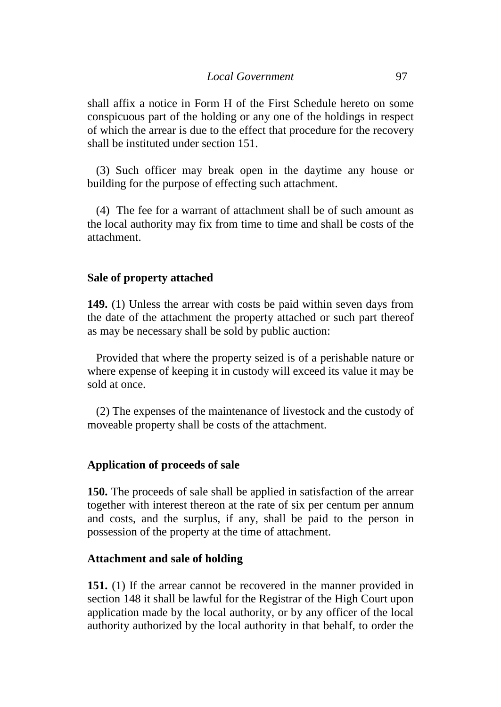shall affix a notice in Form H of the First Schedule hereto on some conspicuous part of the holding or any one of the holdings in respect of which the arrear is due to the effect that procedure for the recovery shall be instituted under section 151.

(3) Such officer may break open in the daytime any house or building for the purpose of effecting such attachment.

(4) The fee for a warrant of attachment shall be of such amount as the local authority may fix from time to time and shall be costs of the attachment.

# **Sale of property attached**

**149.** (1) Unless the arrear with costs be paid within seven days from the date of the attachment the property attached or such part thereof as may be necessary shall be sold by public auction:

Provided that where the property seized is of a perishable nature or where expense of keeping it in custody will exceed its value it may be sold at once.

(2) The expenses of the maintenance of livestock and the custody of moveable property shall be costs of the attachment.

## **Application of proceeds of sale**

**150.** The proceeds of sale shall be applied in satisfaction of the arrear together with interest thereon at the rate of six per centum per annum and costs, and the surplus, if any, shall be paid to the person in possession of the property at the time of attachment.

## **Attachment and sale of holding**

**151.** (1) If the arrear cannot be recovered in the manner provided in section 148 it shall be lawful for the Registrar of the High Court upon application made by the local authority, or by any officer of the local authority authorized by the local authority in that behalf, to order the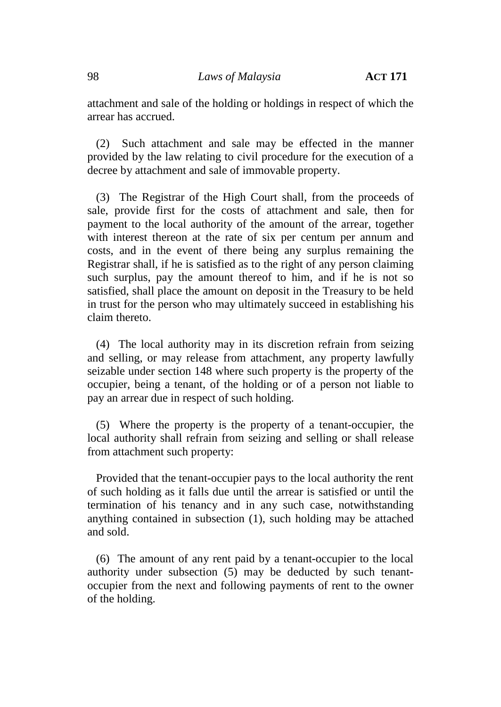attachment and sale of the holding or holdings in respect of which the arrear has accrued.

(2) Such attachment and sale may be effected in the manner provided by the law relating to civil procedure for the execution of a decree by attachment and sale of immovable property.

(3) The Registrar of the High Court shall, from the proceeds of sale, provide first for the costs of attachment and sale, then for payment to the local authority of the amount of the arrear, together with interest thereon at the rate of six per centum per annum and costs, and in the event of there being any surplus remaining the Registrar shall, if he is satisfied as to the right of any person claiming such surplus, pay the amount thereof to him, and if he is not so satisfied, shall place the amount on deposit in the Treasury to be held in trust for the person who may ultimately succeed in establishing his claim thereto.

(4) The local authority may in its discretion refrain from seizing and selling, or may release from attachment, any property lawfully seizable under section 148 where such property is the property of the occupier, being a tenant, of the holding or of a person not liable to pay an arrear due in respect of such holding.

(5) Where the property is the property of a tenant-occupier, the local authority shall refrain from seizing and selling or shall release from attachment such property:

Provided that the tenant-occupier pays to the local authority the rent of such holding as it falls due until the arrear is satisfied or until the termination of his tenancy and in any such case, notwithstanding anything contained in subsection (1), such holding may be attached and sold.

(6) The amount of any rent paid by a tenant-occupier to the local authority under subsection (5) may be deducted by such tenant occupier from the next and following payments of rent to the owner of the holding.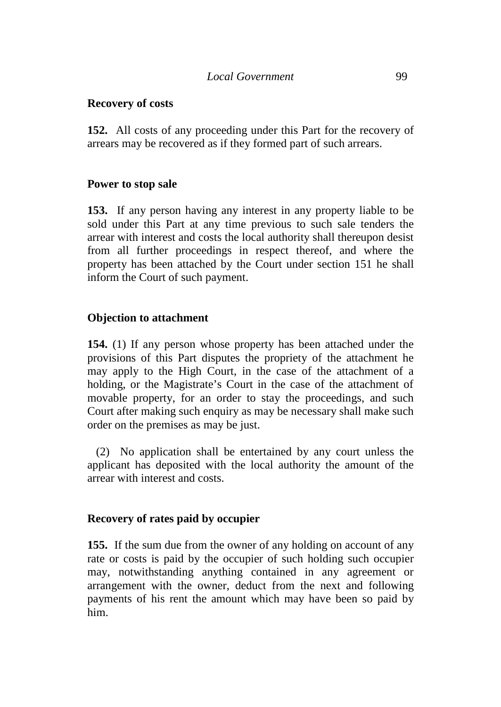## **Recovery of costs**

**152.** All costs of any proceeding under this Part for the recovery of arrears may be recovered as if they formed part of such arrears.

# **Power to stop sale**

**153.** If any person having any interest in any property liable to be sold under this Part at any time previous to such sale tenders the arrear with interest and costs the local authority shall thereupon desist from all further proceedings in respect thereof, and where the property has been attached by the Court under section 151 he shall inform the Court of such payment.

# **Objection to attachment**

**154.** (1) If any person whose property has been attached under the provisions of this Part disputes the propriety of the attachment he may apply to the High Court, in the case of the attachment of a holding, or the Magistrate's Court in the case of the attachment of movable property, for an order to stay the proceedings, and such Court after making such enquiry as may be necessary shall make such order on the premises as may be just.

(2) No application shall be entertained by any court unless the applicant has deposited with the local authority the amount of the arrear with interest and costs.

## **Recovery of rates paid by occupier**

**155.** If the sum due from the owner of any holding on account of any rate or costs is paid by the occupier of such holding such occupier may, notwithstanding anything contained in any agreement or arrangement with the owner, deduct from the next and following payments of his rent the amount which may have been so paid by him.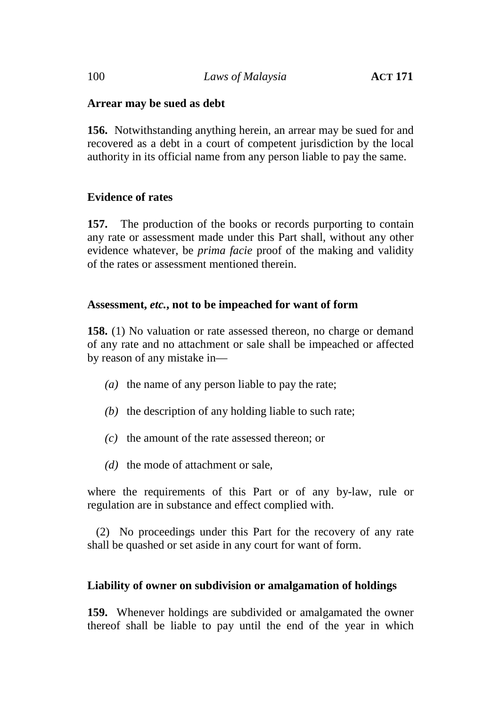# **Arrear may be sued as debt**

**156.** Notwithstanding anything herein, an arrear may be sued for and recovered as a debt in a court of competent jurisdiction by the local authority in its official name from any person liable to pay the same.

# **Evidence of rates**

**157.** The production of the books or records purporting to contain any rate or assessment made under this Part shall, without any other evidence whatever, be *prima facie* proof of the making and validity of the rates or assessment mentioned therein.

## **Assessment,** *etc.***, not to be impeached for want of form**

**158.** (1) No valuation or rate assessed thereon, no charge or demand of any rate and no attachment or sale shall be impeached or affected by reason of any mistake in—

- *(a)* the name of any person liable to pay the rate;
- *(b)* the description of any holding liable to such rate;
- *(c)* the amount of the rate assessed thereon; or
- *(d)* the mode of attachment or sale,

where the requirements of this Part or of any by-law, rule or regulation are in substance and effect complied with.

(2) No proceedings under this Part for the recovery of any rate shall be quashed or set aside in any court for want of form.

## **Liability of owner on subdivision or amalgamation of holdings**

**159.** Whenever holdings are subdivided or amalgamated the owner thereof shall be liable to pay until the end of the year in which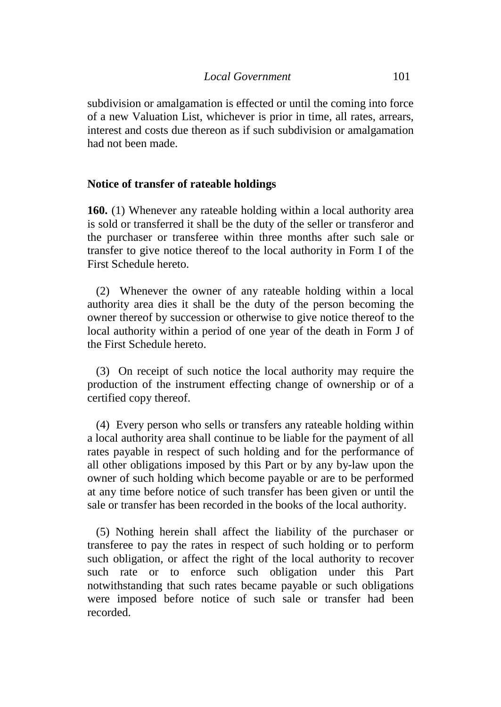subdivision or amalgamation is effected or until the coming into force of a new Valuation List, whichever is prior in time, all rates, arrears, interest and costs due thereon as if such subdivision or amalgamation had not been made.

#### **Notice of transfer of rateable holdings**

**160.** (1) Whenever any rateable holding within a local authority area is sold or transferred it shall be the duty of the seller or transferor and the purchaser or transferee within three months after such sale or transfer to give notice thereof to the local authority in Form I of the First Schedule hereto.

(2) Whenever the owner of any rateable holding within a local authority area dies it shall be the duty of the person becoming the owner thereof by succession or otherwise to give notice thereof to the local authority within a period of one year of the death in Form J of the First Schedule hereto.

(3) On receipt of such notice the local authority may require the production of the instrument effecting change of ownership or of a certified copy thereof.

(4) Every person who sells or transfers any rateable holding within a local authority area shall continue to be liable for the payment of all rates payable in respect of such holding and for the performance of all other obligations imposed by this Part or by any by-law upon the owner of such holding which become payable or are to be performed at any time before notice of such transfer has been given or until the sale or transfer has been recorded in the books of the local authority.

(5) Nothing herein shall affect the liability of the purchaser or transferee to pay the rates in respect of such holding or to perform such obligation, or affect the right of the local authority to recover such rate or to enforce such obligation under this Part notwithstanding that such rates became payable or such obligations were imposed before notice of such sale or transfer had been recorded.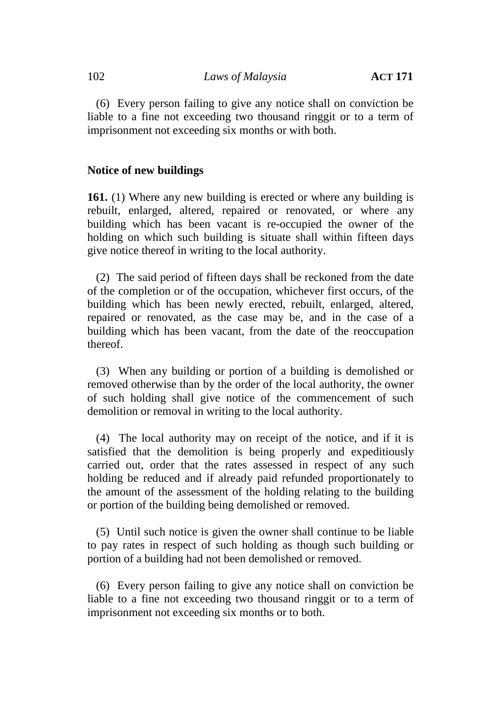(6) Every person failing to give any notice shall on conviction be liable to a fine not exceeding two thousand ringgit or to a term of imprisonment not exceeding six months or with both.

#### **Notice of new buildings**

**161.** (1) Where any new building is erected or where any building is rebuilt, enlarged, altered, repaired or renovated, or where any building which has been vacant is re-occupied the owner of the holding on which such building is situate shall within fifteen days give notice thereof in writing to the local authority.

(2) The said period of fifteen days shall be reckoned from the date of the completion or of the occupation, whichever first occurs, of the building which has been newly erected, rebuilt, enlarged, altered, repaired or renovated, as the case may be, and in the case of a building which has been vacant, from the date of the reoccupation thereof.

(3) When any building or portion of a building is demolished or removed otherwise than by the order of the local authority, the owner of such holding shall give notice of the commencement of such demolition or removal in writing to the local authority.

(4) The local authority may on receipt of the notice, and if it is satisfied that the demolition is being properly and expeditiously carried out, order that the rates assessed in respect of any such holding be reduced and if already paid refunded proportionately to the amount of the assessment of the holding relating to the building or portion of the building being demolished or removed.

(5) Until such notice is given the owner shall continue to be liable to pay rates in respect of such holding as though such building or portion of a building had not been demolished or removed.

(6) Every person failing to give any notice shall on conviction be liable to a fine not exceeding two thousand ringgit or to a term of imprisonment not exceeding six months or to both.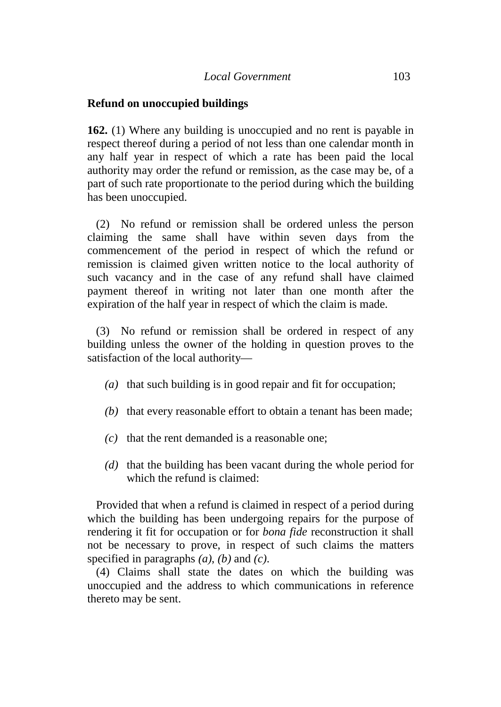#### **Refund on unoccupied buildings**

**162.** (1) Where any building is unoccupied and no rent is payable in respect thereof during a period of not less than one calendar month in any half year in respect of which a rate has been paid the local authority may order the refund or remission, as the case may be, of a part of such rate proportionate to the period during which the building has been unoccupied.

(2) No refund or remission shall be ordered unless the person claiming the same shall have within seven days from the commencement of the period in respect of which the refund or remission is claimed given written notice to the local authority of such vacancy and in the case of any refund shall have claimed payment thereof in writing not later than one month after the expiration of the half year in respect of which the claim is made.

(3) No refund or remission shall be ordered in respect of any building unless the owner of the holding in question proves to the satisfaction of the local authority—

- *(a)* that such building is in good repair and fit for occupation;
- *(b)* that every reasonable effort to obtain a tenant has been made;
- *(c)* that the rent demanded is a reasonable one;
- *(d)* that the building has been vacant during the whole period for which the refund is claimed:

Provided that when a refund is claimed in respect of a period during which the building has been undergoing repairs for the purpose of rendering it fit for occupation or for *bona fide* reconstruction it shall not be necessary to prove, in respect of such claims the matters specified in paragraphs *(a)*, *(b)* and *(c)*.

(4) Claims shall state the dates on which the building was unoccupied and the address to which communications in reference thereto may be sent.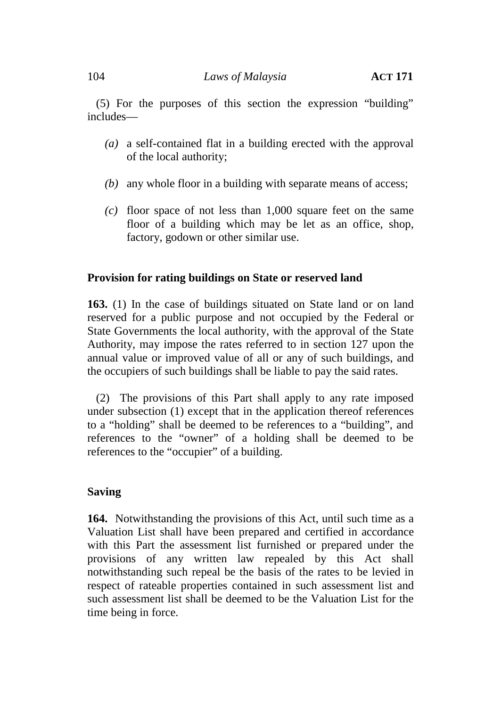(5) For the purposes of this section the expression "building" includes—

- *(a)* a self-contained flat in a building erected with the approval of the local authority;
- *(b)* any whole floor in a building with separate means of access;
- *(c)* floor space of not less than 1,000 square feet on the same floor of a building which may be let as an office, shop, factory, godown or other similar use.

## **Provision for rating buildings on State or reserved land**

**163.** (1) In the case of buildings situated on State land or on land reserved for a public purpose and not occupied by the Federal or State Governments the local authority, with the approval of the State Authority, may impose the rates referred to in section 127 upon the annual value or improved value of all or any of such buildings, and the occupiers of such buildings shall be liable to pay the said rates.

(2) The provisions of this Part shall apply to any rate imposed under subsection (1) except that in the application thereof references to a "holding" shall be deemed to be references to a "building", and references to the "owner" of a holding shall be deemed to be references to the "occupier" of a building.

# **Saving**

**164.** Notwithstanding the provisions of this Act, until such time as a Valuation List shall have been prepared and certified in accordance with this Part the assessment list furnished or prepared under the provisions of any written law repealed by this Act shall notwithstanding such repeal be the basis of the rates to be levied in respect of rateable properties contained in such assessment list and such assessment list shall be deemed to be the Valuation List for the time being in force.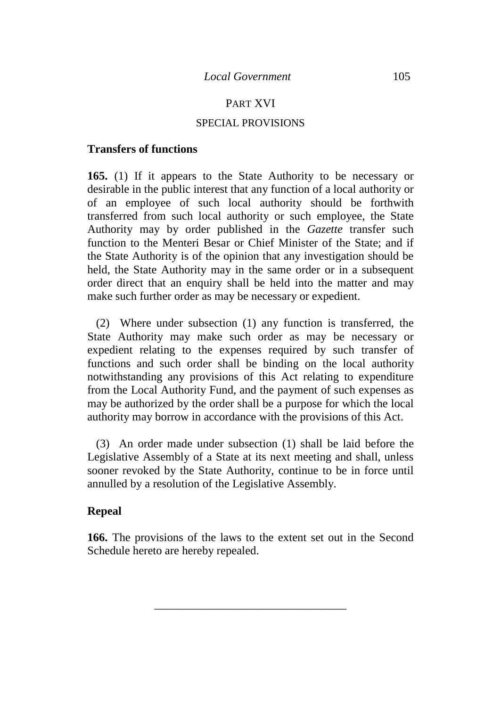## PART XVI

#### SPECIAL PROVISIONS

#### **Transfers of functions**

**165.** (1) If it appears to the State Authority to be necessary or desirable in the public interest that any function of a local authority or of an employee of such local authority should be forthwith transferred from such local authority or such employee, the State Authority may by order published in the *Gazette* transfer such function to the Menteri Besar or Chief Minister of the State; and if the State Authority is of the opinion that any investigation should be held, the State Authority may in the same order or in a subsequent order direct that an enquiry shall be held into the matter and may make such further order as may be necessary or expedient.

(2) Where under subsection (1) any function is transferred, the State Authority may make such order as may be necessary or expedient relating to the expenses required by such transfer of functions and such order shall be binding on the local authority notwithstanding any provisions of this Act relating to expenditure from the Local Authority Fund, and the payment of such expenses as may be authorized by the order shall be a purpose for which the local authority may borrow in accordance with the provisions of this Act.

(3) An order made under subsection (1) shall be laid before the Legislative Assembly of a State at its next meeting and shall, unless sooner revoked by the State Authority, continue to be in force until annulled by a resolution of the Legislative Assembly.

#### **Repeal**

**166.** The provisions of the laws to the extent set out in the Second Schedule hereto are hereby repealed.

\_\_\_\_\_\_\_\_\_\_\_\_\_\_\_\_\_\_\_\_\_\_\_\_\_\_\_\_\_\_\_\_\_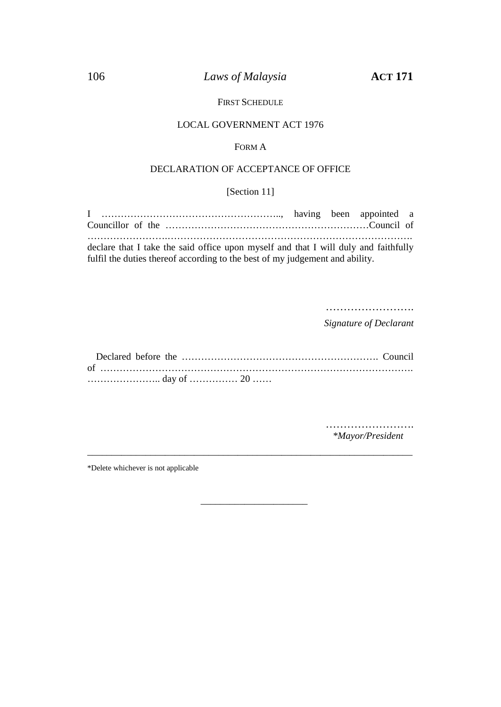# 106 *Laws of Malaysia* **ACT 171**

#### FIRST SCHEDULE

#### LOCAL GOVERNMENT ACT 1976

#### FORM A

#### DECLARATION OF ACCEPTANCE OF OFFICE

## [Section 11]

| declare that I take the said office upon myself and that I will duly and faithfully |  |  |
|-------------------------------------------------------------------------------------|--|--|
| fulfil the duties thereof according to the best of my judgement and ability.        |  |  |

………………………

*Signature of Declarant*

\_\_\_\_\_\_\_\_\_\_\_\_\_\_\_\_\_\_\_\_\_\_\_\_\_\_\_\_\_\_\_\_\_\_\_\_\_\_\_\_\_\_\_\_\_\_\_\_\_\_\_\_\_\_\_\_\_\_\_\_\_\_\_\_\_\_\_

\_\_\_\_\_\_\_\_\_\_\_\_\_\_\_\_\_\_\_\_\_\_

……………………… *\*Mayor/President*

\*Delete whichever is not applicable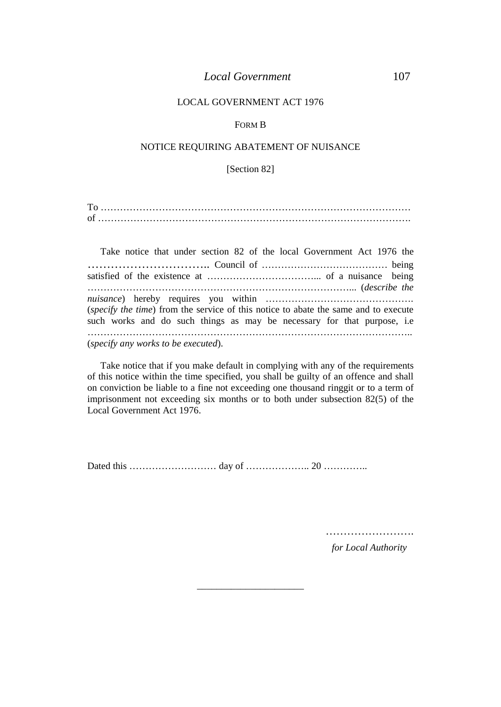#### *Local Government* 107

#### LOCAL GOVERNMENT ACT 1976

#### FORM B

#### NOTICE REQUIRING ABATEMENT OF NUISANCE

[Section 82]

| m |  |
|---|--|
|   |  |

| Take notice that under section 82 of the local Government Act 1976 the                                                                                         |  |
|----------------------------------------------------------------------------------------------------------------------------------------------------------------|--|
|                                                                                                                                                                |  |
|                                                                                                                                                                |  |
|                                                                                                                                                                |  |
| (specify the time) from the service of this notice to abate the same and to execute<br>such works and do such things as may be necessary for that purpose, i.e |  |
| (specify any works to be executed).                                                                                                                            |  |

Take notice that if you make default in complying with any of the requirements of this notice within the time specified, you shall be guilty of an offence and shall on conviction be liable to a fine not exceeding one thousand ringgit or to a term of imprisonment not exceeding six months or to both under subsection 82(5) of the Local Government Act 1976.

\_\_\_\_\_\_\_\_\_\_\_\_\_\_\_\_\_\_\_\_\_\_

Dated this ……………………… day of ……………….. 20 …………..

………………………

*for Local Authority*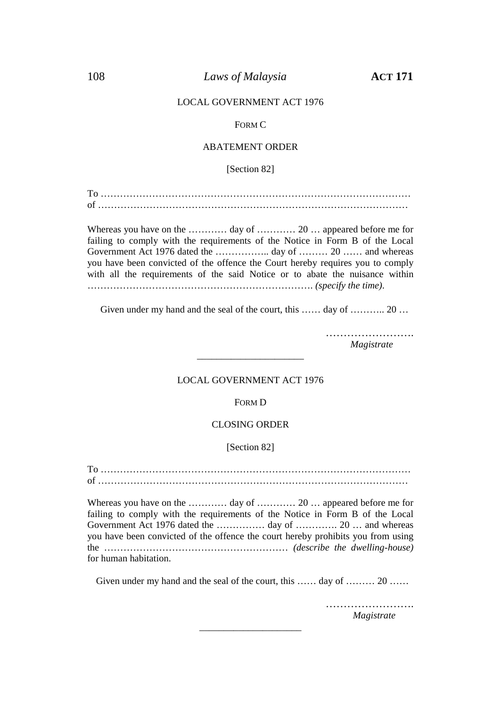#### 108 *Laws of Malaysia* **ACT 171**

#### LOCAL GOVERNMENT ACT 1976

#### FORM C

#### ABATEMENT ORDER

[Section 82]

To …………………………………………………………………………………… of ……………………………………………………………………………………

Whereas you have on the ………… day of ………… 20 … appeared before me for failing to comply with the requirements of the Notice in Form B of the Local Government Act 1976 dated the ………………. day of ………. 20 …… and whereas you have been convicted of the offence the Court hereby requires you to comply with all the requirements of the said Notice or to abate the nuisance within ……………………………………………………………. *(specify the time)*.

Given under my hand and the seal of the court, this …… day of ……….. 20 …

………………………

*Magistrate*

#### LOCAL GOVERNMENT ACT 1976

\_\_\_\_\_\_\_\_\_\_\_\_\_\_\_\_\_\_\_\_\_\_

FORM D

#### CLOSING ORDER

#### [Section 82]

To …………………………………………………………………………………… of ……………………………………………………………………………………

Whereas you have on the ………… day of ………… 20 … appeared before me for failing to comply with the requirements of the Notice in Form B of the Local Government Act 1976 dated the …………… day of …………. 20 … and whereas you have been convicted of the offence the court hereby prohibits you from using the ………………………………………………… *(describe the dwelling-house)* for human habitation.

Given under my hand and the seal of the court, this …… day of ……… 20 ……

\_\_\_\_\_\_\_\_\_\_\_\_\_\_\_\_\_\_\_\_\_

…………………………… *Magistrate*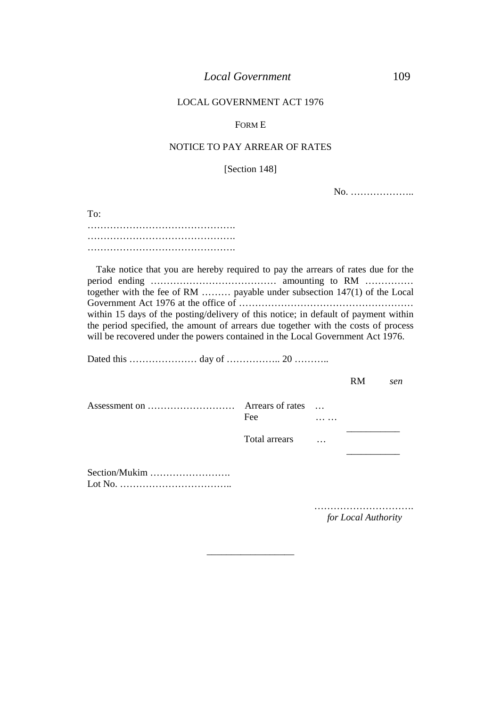#### FORM E

#### NOTICE TO PAY ARREAR OF RATES

[Section 148]

No. ………………..

To: ……………………………………………… ………………………………………. ……………………………………….

Take notice that you are hereby required to pay the arrears of rates due for the period ending ………………………………… amounting to RM …………… together with the fee of RM ……… payable under subsection 147(1) of the Local Government Act 1976 at the office of ……………………………………………… within 15 days of the posting/delivery of this notice; in default of payment within the period specified, the amount of arrears due together with the costs of process will be recovered under the powers contained in the Local Government Act 1976.

Dated this ………………… day of …………….. 20 ………..

|               |                                          |                    | <b>RM</b> | sen |
|---------------|------------------------------------------|--------------------|-----------|-----|
|               | Arrears of rates<br>Fee<br>Total arrears | $\sim$<br>$\cdots$ |           |     |
| Section/Mukim |                                          |                    |           |     |
|               |                                          |                    |           |     |

\_\_\_\_\_\_\_\_\_\_\_\_\_\_\_\_\_\_

…………………………. *for Local Authority*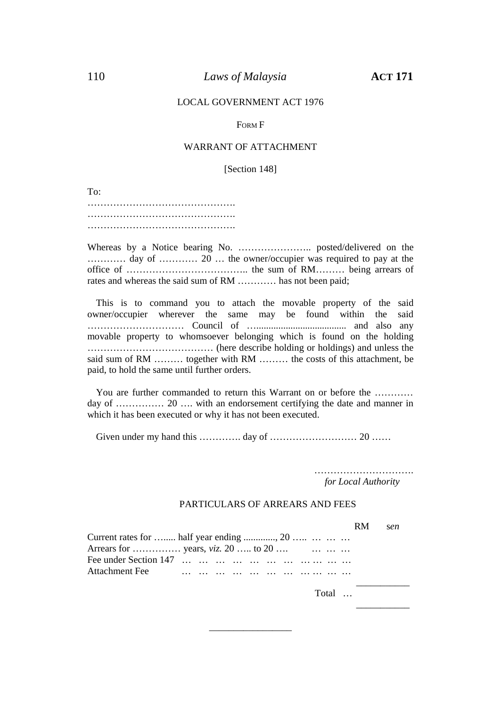#### FORM F

#### WARRANT OF ATTACHMENT

[Section 148]

To:

………………………………………. ………………………………………. ……………………………………….

Whereas by a Notice bearing No. ………………….. posted/delivered on the ………… day of ………… 20 … the owner/occupier was required to pay at the office of ……………………………….. the sum of RM……… being arrears of rates and whereas the said sum of RM ………… has not been paid;

This is to command you to attach the movable property of the said owner/occupier wherever the same may be found within the said ………………………… Council of …..................................... and also any movable property to whomsoever belonging which is found on the holding ………………………………… (here describe holding or holdings) and unless the said sum of RM ……… together with RM ……… the costs of this attachment, be paid, to hold the same until further orders.

You are further commanded to return this Warrant on or before the ………… day of …………… 20 …. with an endorsement certifying the date and manner in which it has been executed or why it has not been executed.

Given under my hand this …………. day of ……………………… 20 ……

………………………………… *for Local Authority*

#### PARTICULARS OF ARREARS AND FEES

RM s*en*

 $\overline{\phantom{a}}$  , we can assume that  $\overline{\phantom{a}}$ 

| Current rates for  half year ending , 20 |  |  |  |  |  |  |
|------------------------------------------|--|--|--|--|--|--|
|                                          |  |  |  |  |  |  |
|                                          |  |  |  |  |  |  |
|                                          |  |  |  |  |  |  |
|                                          |  |  |  |  |  |  |

\_\_\_\_\_\_\_\_\_\_\_\_\_\_\_\_\_

Total …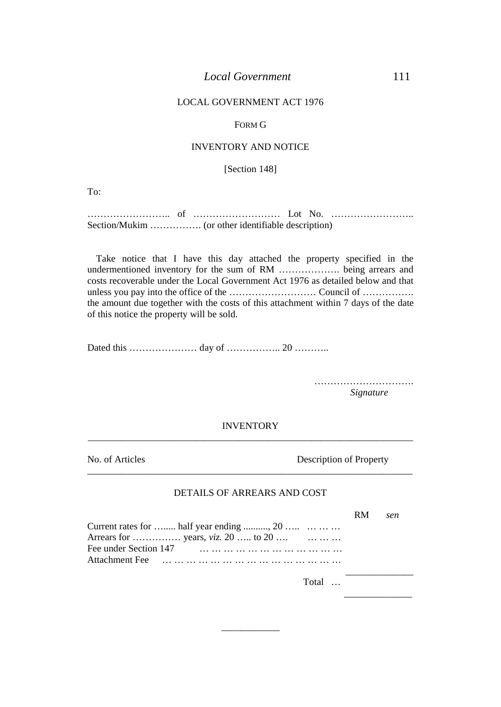#### FORM G

#### INVENTORY AND NOTICE

[Section 148]

To:

…………………….. of ……………………… Lot No. …………………….. Section/Mukim ……………. (or other identifiable description)

Take notice that I have this day attached the property specified in the undermentioned inventory for the sum of RM ………………. being arrears and costs recoverable under the Local Government Act 1976 as detailed below and that unless you pay into the office of the ……………………… Council of ……………. the amount due together with the costs of this attachment within 7 days of the date of this notice the property will be sold.

Dated this ………………… day of …………….. 20 ………..

*Signature*

\_\_\_\_\_\_\_\_\_\_\_\_\_\_

#### INVENTORY

\_\_\_\_\_\_\_\_\_\_\_\_\_\_\_\_\_\_\_\_\_\_\_\_\_\_\_\_\_\_\_\_\_\_\_\_\_\_\_\_\_\_\_\_\_\_\_\_\_\_\_\_\_\_\_\_\_\_\_\_\_\_\_\_\_\_\_

 $\overline{\phantom{a}}$  , and the contribution of the contribution of the contribution of the contribution of the contribution of  $\overline{\phantom{a}}$ 

No. of Articles Description of Property

#### DETAILS OF ARREARS AND COST

|                                          | RM. | sen. |  |
|------------------------------------------|-----|------|--|
| Current rates for  half year ending , 20 |     |      |  |
|                                          |     |      |  |
|                                          |     |      |  |
|                                          |     |      |  |
| Total                                    |     |      |  |
|                                          |     |      |  |

\_\_\_\_\_\_\_\_\_\_\_\_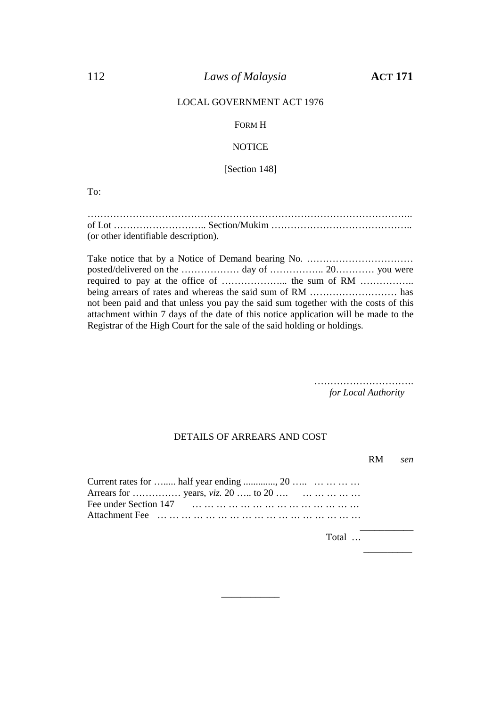### 112 *Laws of Malaysia* **ACT 171**

#### LOCAL GOVERNMENT ACT 1976

#### FORM H

#### **NOTICE**

[Section 148]

To:

|                                      | of Lot $\dots \dots \dots \dots \dots \dots$ Section/Mukim $\dots \dots \dots \dots \dots \dots \dots \dots \dots \dots \dots \dots$ |
|--------------------------------------|--------------------------------------------------------------------------------------------------------------------------------------|
| (or other identifiable description). |                                                                                                                                      |

Take notice that by a Notice of Demand bearing No. ……………………………………………………………………………… posted/delivered on the ……………… day of …………….. 20………… you were required to pay at the office of ………………... the sum of RM …………….. being arrears of rates and whereas the said sum of RM ……………………… has not been paid and that unless you pay the said sum together with the costs of this attachment within 7 days of the date of this notice application will be made to the Registrar of the High Court for the sale of the said holding or holdings.

> …………………………. *for Local Authority*

#### DETAILS OF ARREARS AND COST

|                                                                                       | RM. | sen |
|---------------------------------------------------------------------------------------|-----|-----|
| Current rates for  half year ending , 20<br>Arrears for  years, <i>viz.</i> 20  to 20 |     |     |
|                                                                                       |     |     |
|                                                                                       |     |     |

\_\_\_\_\_\_\_\_\_\_\_\_

Total ...

 $\overline{\phantom{a}}$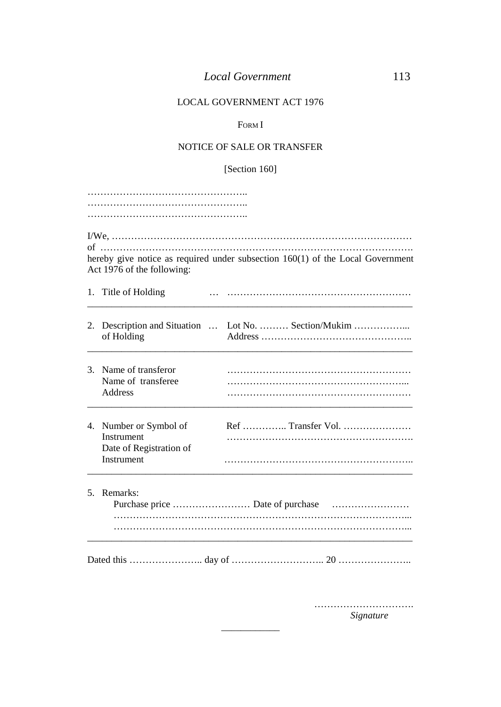### FORM I

## NOTICE OF SALE OR TRANSFER

## [Section 160]

|                                                     | hereby give notice as required under subsection $160(1)$ of the Local Government                                    |
|-----------------------------------------------------|---------------------------------------------------------------------------------------------------------------------|
|                                                     |                                                                                                                     |
| of Holding                                          | 2. Description and Situation  Lot No.  Section/Mukim                                                                |
| Name of transferee<br>Address                       |                                                                                                                     |
| Instrument<br>Date of Registration of<br>Instrument |                                                                                                                     |
|                                                     |                                                                                                                     |
|                                                     | Act 1976 of the following:<br>1. Title of Holding<br>3. Name of transferor<br>4. Number or Symbol of<br>5. Remarks: |

\_\_\_\_\_\_\_\_\_\_\_\_

…………………………… *Signature*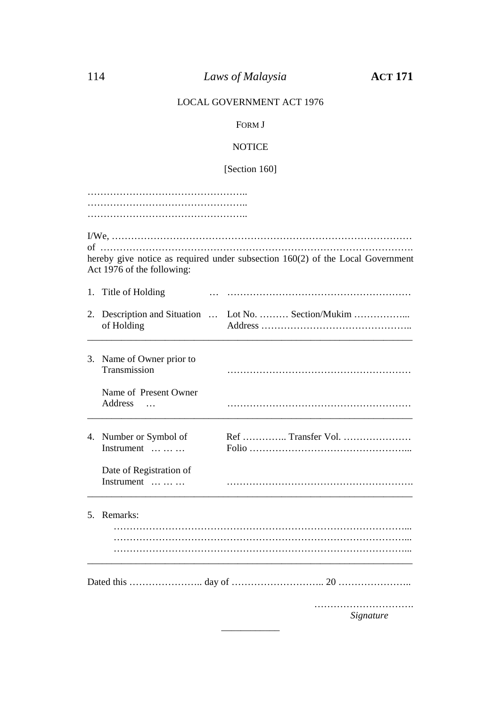## FORM J

## **NOTICE**

# [Section 160]

| .                                                   |                                                                                |  |  |  |  |  |  |
|-----------------------------------------------------|--------------------------------------------------------------------------------|--|--|--|--|--|--|
|                                                     |                                                                                |  |  |  |  |  |  |
|                                                     |                                                                                |  |  |  |  |  |  |
| Act 1976 of the following:                          | hereby give notice as required under subsection 160(2) of the Local Government |  |  |  |  |  |  |
| 1. Title of Holding                                 |                                                                                |  |  |  |  |  |  |
| of Holding                                          | 2. Description and Situation  Lot No.  Section/Mukim                           |  |  |  |  |  |  |
| 3. Name of Owner prior to<br>Transmission           |                                                                                |  |  |  |  |  |  |
| Name of Present Owner<br>Address<br>$\ddotsc$       |                                                                                |  |  |  |  |  |  |
| 4. Number or Symbol of<br>Instrument $\dots \dots$  |                                                                                |  |  |  |  |  |  |
| Date of Registration of<br>Instrument $\dots \dots$ |                                                                                |  |  |  |  |  |  |
| 5. Remarks:                                         |                                                                                |  |  |  |  |  |  |
|                                                     |                                                                                |  |  |  |  |  |  |
|                                                     | Signature                                                                      |  |  |  |  |  |  |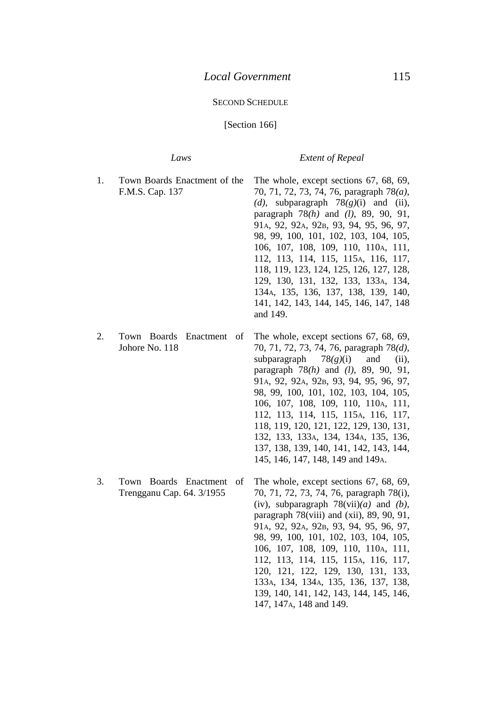#### SECOND SCHEDULE

#### [Section 166]

#### *Laws Extent of Repeal*

132, 133, 133A, 134, 134A, 135, 136, 137, 138, 139, 140, 141, 142, 143, 144, 145, 146, 147, 148, 149 and 149A.

- 1. Town Boards Enactment of the F.M.S. Cap. 137 The whole, except sections 67, 68, 69, 70, 71, 72, 73, 74, 76, paragraph 78*(a)*, *(d)*, subparagraph 78*(g)*(i) and (ii), paragraph 78*(h)* and *(l)*, 89, 90, 91, 91A, 92, 92A, 92B, 93, 94, 95, 96, 97, 98, 99, 100, 101, 102, 103, 104, 105, 106, 107, 108, 109, 110, 110A, 111, 112, 113, 114, 115, 115A, 116, 117, 118, 119, 123, 124, 125, 126, 127, 128, 129, 130, 131, 132, 133, 133A, 134, 134A, 135, 136, 137, 138, 139, 140, 141, 142, 143, 144, 145, 146, 147, 148 and 149.
- 2. Town Boards Enactment of Johore No. 118 The whole, except sections 67, 68, 69, 70, 71, 72, 73, 74, 76, paragraph 78*(d)*, subparagraph  $78(g)(i)$  and (ii), paragraph 78*(h)* and *(l)*, 89, 90, 91, 91A, 92, 92A, 92B, 93, 94, 95, 96, 97, 98, 99, 100, 101, 102, 103, 104, 105, 106, 107, 108, 109, 110, 110A, 111, 112, 113, 114, 115, 115A, 116, 117, 118, 119, 120, 121, 122, 129, 130, 131,
- 3. Town Boards Enactment of Trengganu Cap. 64. 3/1955 The whole, except sections 67, 68, 69, 70, 71, 72, 73, 74, 76, paragraph 78(i), (iv), subparagraph 78(vii)*(a)* and *(b)*, paragraph  $78(viii)$  and  $(xii)$ ,  $89, 90, 91$ , 91A, 92, 92A, 92B, 93, 94, 95, 96, 97, 98, 99, 100, 101, 102, 103, 104, 105, 106, 107, 108, 109, 110, 110<sub>A</sub>, 111, 112, 113, 114, 115, 115A, 116, 117, 120, 121, 122, 129, 130, 131, 133, 133A, 134, 134A, 135, 136, 137, 138, 139, 140, 141, 142, 143, 144, 145, 146, 147, 147A, 148 and 149.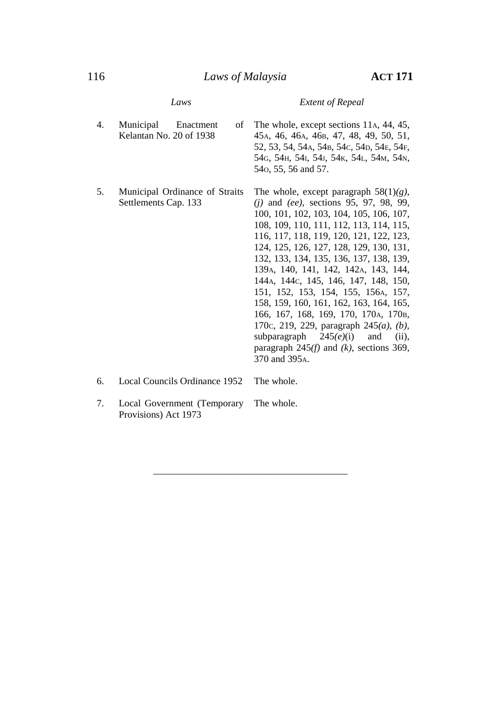4. Municipal Enactment of Kelantan No. 20 of 1938 The whole, except sections 11A, 44, 45, 45A, 46, 46A, 46B, 47, 48, 49, 50, 51, 52, 53, 54, 54A, 54B, 54C, 54D, 54E, 54F, 54G, 54H, 54I, 54J, 54K, 54L, 54M, 54N, 54O, 55, 56 and 57. 5. Municipal Ordinance of Straits Settlements Cap. 133 The whole, except paragraph 58(1)*(g)*, *(j)* and *(ee)*, sections 95, 97, 98, 99, 100, 101, 102, 103, 104, 105, 106, 107, 108, 109, 110, 111, 112, 113, 114, 115, 116, 117, 118, 119, 120, 121, 122, 123, 124, 125, 126, 127, 128, 129, 130, 131, 132, 133, 134, 135, 136, 137, 138, 139, 139A, 140, 141, 142, 142A, 143, 144, 144A, 144C, 145, 146, 147, 148, 150, 151, 152, 153, 154, 155, 156A, 157, 158, 159, 160, 161, 162, 163, 164, 165, 166, 167, 168, 169, 170, 170A, 170B, 170C, 219, 229, paragraph 245*(a)*, *(b)*, subparagraph  $245(e)(i)$  and (ii), paragraph 245*(f)* and *(k)*, sections 369, 370 and 395A. 6. Local Councils Ordinance 1952 The whole.

\_\_\_\_\_\_\_\_\_\_\_\_\_\_\_\_\_\_\_\_\_\_\_\_\_\_\_\_\_\_\_\_\_\_\_\_\_\_\_\_

7. Local Government (Temporary Provisions) Act 1973 The whole.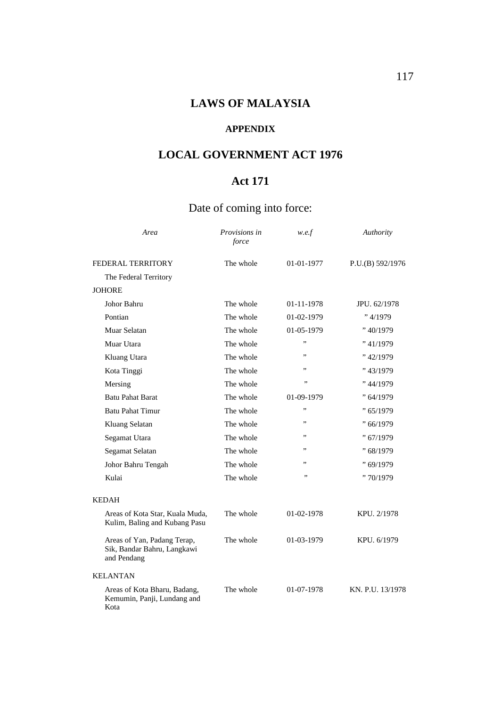# **LAWS OF MALAYSIA**

### **APPENDIX**

# **LOCAL GOVERNMENT ACT 1976**

# **Act 171**

# Date of coming into force:

| Area                                                                      | Provisions in<br>force | w.e.f      | Authority        |
|---------------------------------------------------------------------------|------------------------|------------|------------------|
| FEDERAL TERRITORY                                                         | The whole              | 01-01-1977 | P.U.(B) 592/1976 |
| The Federal Territory                                                     |                        |            |                  |
| <b>JOHORE</b>                                                             |                        |            |                  |
| Johor Bahru                                                               | The whole              | 01-11-1978 | JPU, 62/1978     |
| Pontian                                                                   | The whole              | 01-02-1979 | "4/1979          |
| Muar Selatan                                                              | The whole              | 01-05-1979 | " 40/1979        |
| Muar Utara                                                                | The whole              | ,,         | " 41/1979        |
| Kluang Utara                                                              | The whole              | ,,         | "42/1979         |
| Kota Tinggi                                                               | The whole              | ,,         | "43/1979"        |
| Mersing                                                                   | The whole              | ,,         | " 44/1979        |
| <b>Batu Pahat Barat</b>                                                   | The whole              | 01-09-1979 | " 64/1979        |
| <b>Batu Pahat Timur</b>                                                   | The whole              | ,,         | "65/1979         |
| Kluang Selatan                                                            | The whole              | ,,         | " 66/1979        |
| Segamat Utara                                                             | The whole              | ,,         | "67/1979         |
| Segamat Selatan                                                           | The whole              | ,,         | "68/1979         |
| Johor Bahru Tengah                                                        | The whole              | ,,         | "69/1979         |
| Kulai                                                                     | The whole              | ,,         | "70/1979         |
| <b>KEDAH</b>                                                              |                        |            |                  |
| Areas of Kota Star, Kuala Muda,<br>Kulim, Baling and Kubang Pasu          | The whole              | 01-02-1978 | KPU. 2/1978      |
| Areas of Yan, Padang Terap,<br>Sik, Bandar Bahru, Langkawi<br>and Pendang | The whole              | 01-03-1979 | KPU. 6/1979      |
| <b>KELANTAN</b>                                                           |                        |            |                  |
| Areas of Kota Bharu, Badang,<br>Kemumin, Panji, Lundang and<br>Kota       | The whole              | 01-07-1978 | KN. P.U. 13/1978 |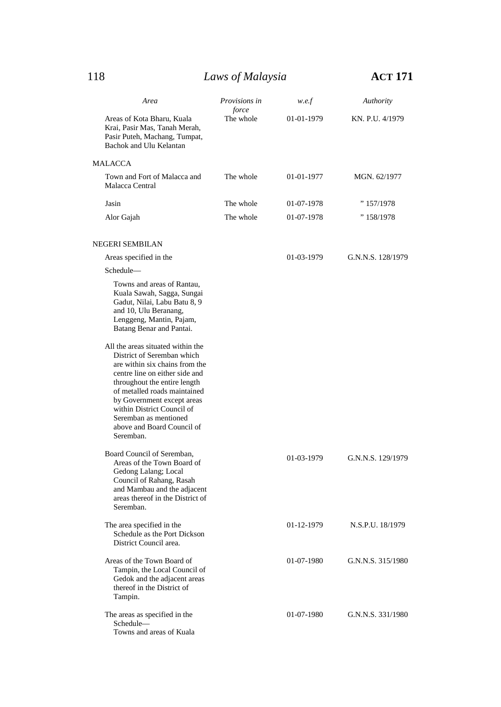118 *Laws of Malaysia* **ACT 171**

| Area                                                                                                                                                                                                                                                                                                                                | <i>Provisions in</i> | w.e.f      | Authority         |  |
|-------------------------------------------------------------------------------------------------------------------------------------------------------------------------------------------------------------------------------------------------------------------------------------------------------------------------------------|----------------------|------------|-------------------|--|
| Areas of Kota Bharu, Kuala<br>Krai, Pasir Mas, Tanah Merah,<br>Pasir Puteh, Machang, Tumpat,<br>Bachok and Ulu Kelantan                                                                                                                                                                                                             | force<br>The whole   | 01-01-1979 | KN. P.U. 4/1979   |  |
| MALACCA                                                                                                                                                                                                                                                                                                                             |                      |            |                   |  |
| Town and Fort of Malacca and<br>Malacca Central                                                                                                                                                                                                                                                                                     | The whole            | 01-01-1977 | MGN. 62/1977      |  |
| Jasin                                                                                                                                                                                                                                                                                                                               | The whole            | 01-07-1978 | " 157/1978        |  |
| Alor Gajah                                                                                                                                                                                                                                                                                                                          | The whole            | 01-07-1978 | " 158/1978        |  |
| NEGERI SEMBILAN                                                                                                                                                                                                                                                                                                                     |                      |            |                   |  |
| Areas specified in the                                                                                                                                                                                                                                                                                                              |                      | 01-03-1979 | G.N.N.S. 128/1979 |  |
| Schedule-                                                                                                                                                                                                                                                                                                                           |                      |            |                   |  |
| Towns and areas of Rantau,<br>Kuala Sawah, Sagga, Sungai<br>Gadut, Nilai, Labu Batu 8, 9<br>and 10, Ulu Beranang,<br>Lenggeng, Mantin, Pajam,<br>Batang Benar and Pantai.                                                                                                                                                           |                      |            |                   |  |
| All the areas situated within the<br>District of Seremban which<br>are within six chains from the<br>centre line on either side and<br>throughout the entire length<br>of metalled roads maintained<br>by Government except areas<br>within District Council of<br>Seremban as mentioned<br>above and Board Council of<br>Seremban. |                      |            |                   |  |
| Board Council of Seremban,<br>Areas of the Town Board of<br>Gedong Lalang; Local<br>Council of Rahang, Rasah<br>and Mambau and the adjacent<br>areas thereof in the District of<br>Seremban.                                                                                                                                        |                      | 01-03-1979 | G.N.N.S. 129/1979 |  |
| The area specified in the<br>Schedule as the Port Dickson<br>District Council area.                                                                                                                                                                                                                                                 |                      | 01-12-1979 | N.S.P.U. 18/1979  |  |
| Areas of the Town Board of<br>Tampin, the Local Council of<br>Gedok and the adjacent areas<br>thereof in the District of<br>Tampin.                                                                                                                                                                                                 |                      | 01-07-1980 | G.N.N.S. 315/1980 |  |
| The areas as specified in the<br>Schedule-<br>Towns and areas of Kuala                                                                                                                                                                                                                                                              |                      | 01-07-1980 | G.N.N.S. 331/1980 |  |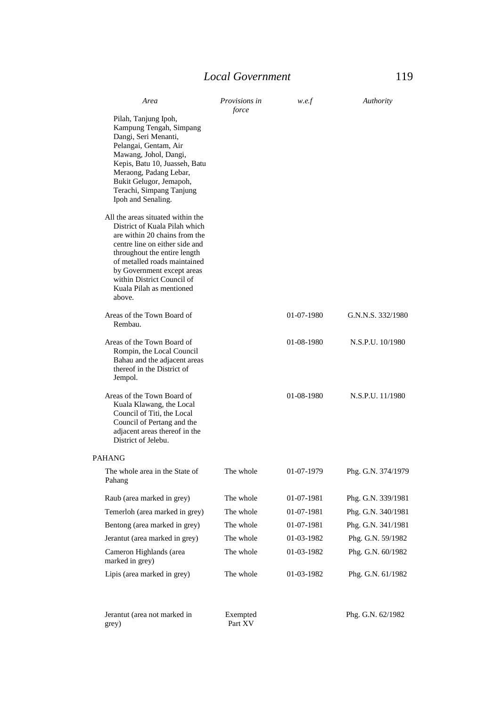| Area                                                                                                                                                                                                                                                                                                    | Provisions in<br>force | w.e.f      | Authority          |  |
|---------------------------------------------------------------------------------------------------------------------------------------------------------------------------------------------------------------------------------------------------------------------------------------------------------|------------------------|------------|--------------------|--|
| Pilah, Tanjung Ipoh,<br>Kampung Tengah, Simpang<br>Dangi, Seri Menanti,<br>Pelangai, Gentam, Air<br>Mawang, Johol, Dangi,<br>Kepis, Batu 10, Juasseh, Batu<br>Meraong, Padang Lebar,<br>Bukit Gelugor, Jemapoh,<br>Terachi, Simpang Tanjung<br>Ipoh and Senaling.                                       |                        |            |                    |  |
| All the areas situated within the<br>District of Kuala Pilah which<br>are within 20 chains from the<br>centre line on either side and<br>throughout the entire length<br>of metalled roads maintained<br>by Government except areas<br>within District Council of<br>Kuala Pilah as mentioned<br>above. |                        |            |                    |  |
| Areas of the Town Board of<br>Rembau.                                                                                                                                                                                                                                                                   |                        | 01-07-1980 | G.N.N.S. 332/1980  |  |
| Areas of the Town Board of<br>Rompin, the Local Council<br>Bahau and the adjacent areas<br>thereof in the District of<br>Jempol.                                                                                                                                                                        |                        | 01-08-1980 | N.S.P.U. 10/1980   |  |
| Areas of the Town Board of<br>Kuala Klawang, the Local<br>Council of Titi, the Local<br>Council of Pertang and the<br>adjacent areas thereof in the<br>District of Jelebu.                                                                                                                              |                        | 01-08-1980 | N.S.P.U. 11/1980   |  |
| <b>PAHANG</b>                                                                                                                                                                                                                                                                                           |                        |            |                    |  |
| The whole area in the State of<br>Pahang                                                                                                                                                                                                                                                                | The whole              | 01-07-1979 | Phg. G.N. 374/1979 |  |
| Raub (area marked in grey)                                                                                                                                                                                                                                                                              | The whole              | 01-07-1981 | Phg. G.N. 339/1981 |  |
| Temerloh (area marked in grey)                                                                                                                                                                                                                                                                          | The whole              | 01-07-1981 | Phg. G.N. 340/1981 |  |
| Bentong (area marked in grey)                                                                                                                                                                                                                                                                           | The whole              | 01-07-1981 | Phg. G.N. 341/1981 |  |
| Jerantut (area marked in grey)                                                                                                                                                                                                                                                                          | The whole              | 01-03-1982 | Phg. G.N. 59/1982  |  |
| Cameron Highlands (area<br>marked in grey)                                                                                                                                                                                                                                                              | The whole              | 01-03-1982 | Phg. G.N. 60/1982  |  |
| Lipis (area marked in grey)                                                                                                                                                                                                                                                                             | The whole              | 01-03-1982 | Phg. G.N. 61/1982  |  |
| Jerantut (area not marked in<br>grey)                                                                                                                                                                                                                                                                   | Exempted<br>Part XV    |            | Phg. G.N. 62/1982  |  |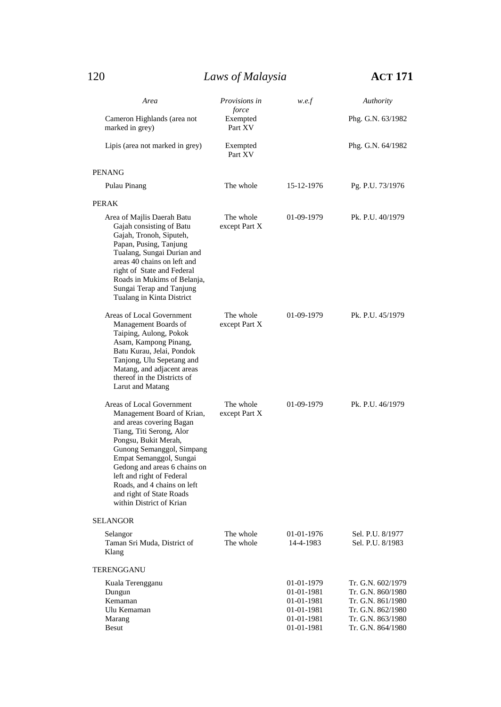| Area                                                                                                                                                                                                                                                                                                                                                | Provisions in<br>force     | w.e.f                                                                            | Authority                                                                                                                  |
|-----------------------------------------------------------------------------------------------------------------------------------------------------------------------------------------------------------------------------------------------------------------------------------------------------------------------------------------------------|----------------------------|----------------------------------------------------------------------------------|----------------------------------------------------------------------------------------------------------------------------|
| Cameron Highlands (area not<br>marked in grey)                                                                                                                                                                                                                                                                                                      | Exempted<br>Part XV        |                                                                                  | Phg. G.N. 63/1982                                                                                                          |
| Lipis (area not marked in grey)                                                                                                                                                                                                                                                                                                                     | Exempted<br>Part XV        |                                                                                  | Phg. G.N. 64/1982                                                                                                          |
| <b>PENANG</b>                                                                                                                                                                                                                                                                                                                                       |                            |                                                                                  |                                                                                                                            |
| Pulau Pinang                                                                                                                                                                                                                                                                                                                                        | The whole                  | 15-12-1976                                                                       | Pg. P.U. 73/1976                                                                                                           |
| PERAK                                                                                                                                                                                                                                                                                                                                               |                            |                                                                                  |                                                                                                                            |
| Area of Majlis Daerah Batu<br>Gajah consisting of Batu<br>Gajah, Tronoh, Siputeh,<br>Papan, Pusing, Tanjung<br>Tualang, Sungai Durian and<br>areas 40 chains on left and<br>right of State and Federal<br>Roads in Mukims of Belanja,<br>Sungai Terap and Tanjung<br>Tualang in Kinta District                                                      | The whole<br>except Part X | 01-09-1979                                                                       | Pk. P.U. 40/1979                                                                                                           |
| Areas of Local Government<br>Management Boards of<br>Taiping, Aulong, Pokok<br>Asam, Kampong Pinang,<br>Batu Kurau, Jelai, Pondok<br>Tanjong, Ulu Sepetang and<br>Matang, and adjacent areas<br>thereof in the Districts of<br>Larut and Matang                                                                                                     | The whole<br>except Part X | 01-09-1979                                                                       | Pk. P.U. 45/1979                                                                                                           |
| Areas of Local Government<br>Management Board of Krian,<br>and areas covering Bagan<br>Tiang, Titi Serong, Alor<br>Pongsu, Bukit Merah,<br>Gunong Semanggol, Simpang<br>Empat Semanggol, Sungai<br>Gedong and areas 6 chains on<br>left and right of Federal<br>Roads, and 4 chains on left<br>and right of State Roads<br>within District of Krian | The whole<br>except Part X | 01-09-1979                                                                       | Pk. P.U. 46/1979                                                                                                           |
| <b>SELANGOR</b>                                                                                                                                                                                                                                                                                                                                     |                            |                                                                                  |                                                                                                                            |
| Selangor<br>Taman Sri Muda, District of<br>Klang                                                                                                                                                                                                                                                                                                    | The whole<br>The whole     | 01-01-1976<br>14-4-1983                                                          | Sel. P.U. 8/1977<br>Sel. P.U. 8/1983                                                                                       |
| TERENGGANU                                                                                                                                                                                                                                                                                                                                          |                            |                                                                                  |                                                                                                                            |
| Kuala Terengganu<br>Dungun<br>Kemaman<br>Ulu Kemaman<br>Marang<br>Besut                                                                                                                                                                                                                                                                             |                            | 01-01-1979<br>01-01-1981<br>01-01-1981<br>01-01-1981<br>01-01-1981<br>01-01-1981 | Tr. G.N. 602/1979<br>Tr. G.N. 860/1980<br>Tr. G.N. 861/1980<br>Tr. G.N. 862/1980<br>Tr. G.N. 863/1980<br>Tr. G.N. 864/1980 |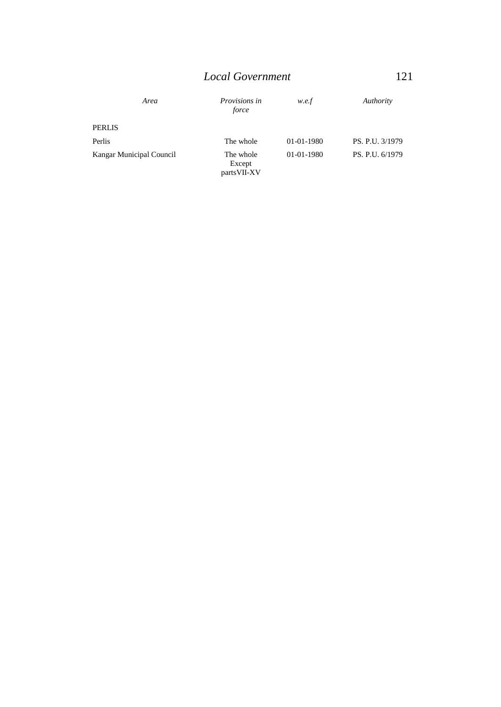| Area                     | Provisions in<br>force              | w.e.f      | Authority       |
|--------------------------|-------------------------------------|------------|-----------------|
| <b>PERLIS</b>            |                                     |            |                 |
| Perlis                   | The whole                           | 01-01-1980 | PS. P.U. 3/1979 |
| Kangar Municipal Council | The whole<br>Except<br>parts VII-XV | 01-01-1980 | PS. P.U. 6/1979 |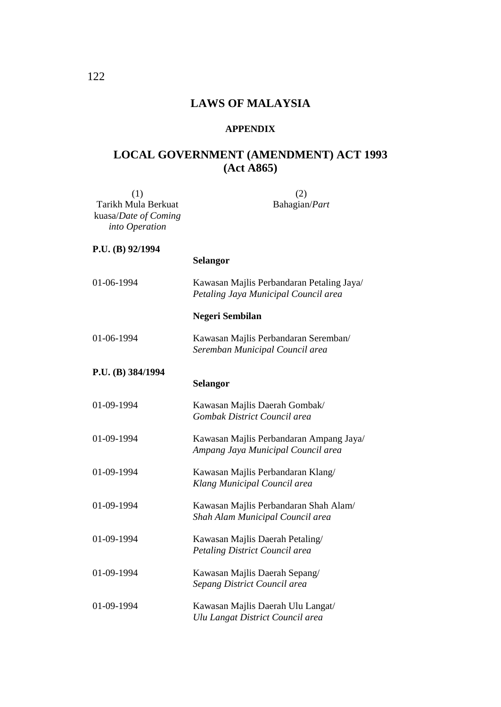# **LAWS OF MALAYSIA**

#### **APPENDIX**

# **LOCAL GOVERNMENT (AMENDMENT) ACT 1993 (Act A865)**

| (1)                  | (2)                                                                               |  |
|----------------------|-----------------------------------------------------------------------------------|--|
| Tarikh Mula Berkuat  | Bahagian/Part                                                                     |  |
| kuasa/Date of Coming |                                                                                   |  |
| into Operation       |                                                                                   |  |
| P.U. (B) 92/1994     |                                                                                   |  |
|                      | Selangor                                                                          |  |
| 01-06-1994           | Kawasan Majlis Perbandaran Petaling Jaya/<br>Petaling Jaya Municipal Council area |  |
|                      | Negeri Sembilan                                                                   |  |
| 01-06-1994           | Kawasan Majlis Perbandaran Seremban/<br>Seremban Municipal Council area           |  |
| P.U. (B) 384/1994    |                                                                                   |  |
|                      | Selangor                                                                          |  |
| 01-09-1994           | Kawasan Majlis Daerah Gombak/                                                     |  |
|                      | Gombak District Council area                                                      |  |
| 01-09-1994           | Kawasan Majlis Perbandaran Ampang Jaya/                                           |  |
|                      | Ampang Jaya Municipal Council area                                                |  |
| 01-09-1994           | Kawasan Majlis Perbandaran Klang/                                                 |  |
|                      | Klang Municipal Council area                                                      |  |
| 01-09-1994           | Kawasan Majlis Perbandaran Shah Alam/                                             |  |
|                      | Shah Alam Municipal Council area                                                  |  |
| 01-09-1994           | Kawasan Majlis Daerah Petaling/                                                   |  |
|                      | Petaling District Council area                                                    |  |
| 01-09-1994           | Kawasan Majlis Daerah Sepang/                                                     |  |
|                      | Sepang District Council area                                                      |  |
| 01-09-1994           | Kawasan Majlis Daerah Ulu Langat/                                                 |  |
|                      | Ulu Langat District Council area                                                  |  |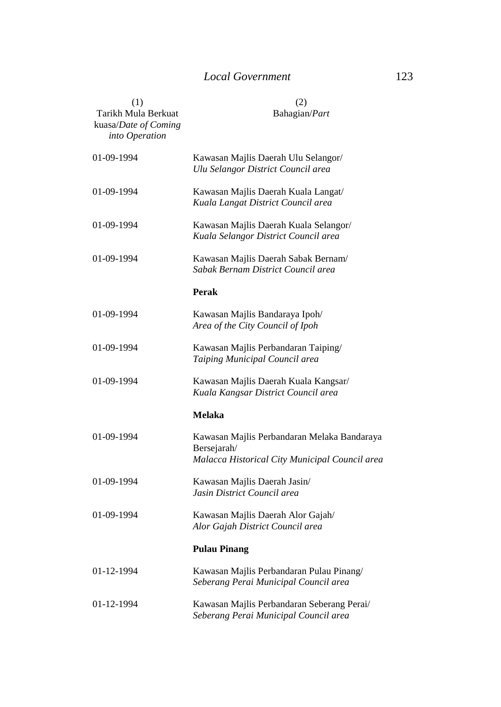| (1)<br>Tarikh Mula Berkuat<br>kuasa/Date of Coming<br>into Operation | (2)<br>Bahagian/Part                                                                                         |  |
|----------------------------------------------------------------------|--------------------------------------------------------------------------------------------------------------|--|
| 01-09-1994                                                           | Kawasan Majlis Daerah Ulu Selangor/<br>Ulu Selangor District Council area                                    |  |
| 01-09-1994                                                           | Kawasan Majlis Daerah Kuala Langat/<br>Kuala Langat District Council area                                    |  |
| 01-09-1994                                                           | Kawasan Majlis Daerah Kuala Selangor/<br>Kuala Selangor District Council area                                |  |
| 01-09-1994                                                           | Kawasan Majlis Daerah Sabak Bernam/<br>Sabak Bernam District Council area                                    |  |
|                                                                      | Perak                                                                                                        |  |
| 01-09-1994                                                           | Kawasan Majlis Bandaraya Ipoh/<br>Area of the City Council of Ipoh                                           |  |
| 01-09-1994                                                           | Kawasan Majlis Perbandaran Taiping/<br>Taiping Municipal Council area                                        |  |
| 01-09-1994                                                           | Kawasan Majlis Daerah Kuala Kangsar/<br>Kuala Kangsar District Council area                                  |  |
|                                                                      | <b>Melaka</b>                                                                                                |  |
| 01-09-1994                                                           | Kawasan Majlis Perbandaran Melaka Bandaraya<br>Bersejarah/<br>Malacca Historical City Municipal Council area |  |
| 01-09-1994                                                           | Kawasan Majlis Daerah Jasin/<br>Jasin District Council area                                                  |  |
| 01-09-1994                                                           | Kawasan Majlis Daerah Alor Gajah/<br>Alor Gajah District Council area                                        |  |
|                                                                      | <b>Pulau Pinang</b>                                                                                          |  |
| 01-12-1994                                                           | Kawasan Majlis Perbandaran Pulau Pinang/<br>Seberang Perai Municipal Council area                            |  |
| 01-12-1994                                                           | Kawasan Majlis Perbandaran Seberang Perai/<br>Seberang Perai Municipal Council area                          |  |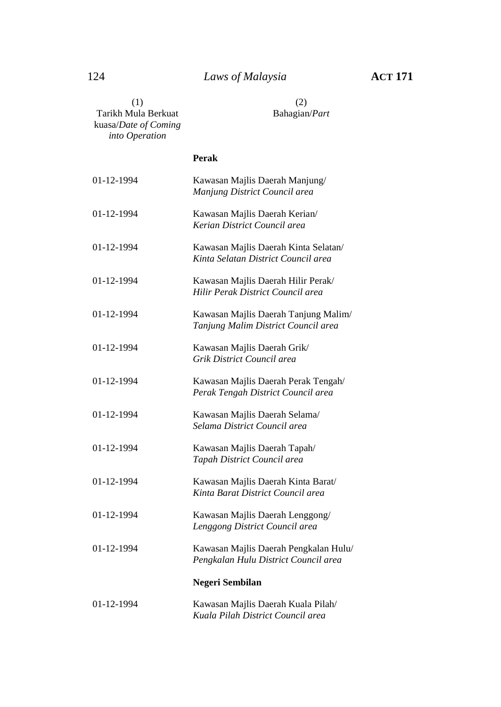| (1)<br>Tarikh Mula Berkuat<br>kuasa/Date of Coming<br>into Operation | (2)<br>Bahagian/Part                                                          |
|----------------------------------------------------------------------|-------------------------------------------------------------------------------|
|                                                                      | Perak                                                                         |
| 01-12-1994                                                           | Kawasan Majlis Daerah Manjung/<br>Manjung District Council area               |
| 01-12-1994                                                           | Kawasan Majlis Daerah Kerian/<br>Kerian District Council area                 |
| 01-12-1994                                                           | Kawasan Majlis Daerah Kinta Selatan/<br>Kinta Selatan District Council area   |
| 01-12-1994                                                           | Kawasan Majlis Daerah Hilir Perak/<br>Hilir Perak District Council area       |
| 01-12-1994                                                           | Kawasan Majlis Daerah Tanjung Malim/<br>Tanjung Malim District Council area   |
| 01-12-1994                                                           | Kawasan Majlis Daerah Grik/<br>Grik District Council area                     |
| 01-12-1994                                                           | Kawasan Majlis Daerah Perak Tengah/<br>Perak Tengah District Council area     |
| 01-12-1994                                                           | Kawasan Majlis Daerah Selama/<br>Selama District Council area                 |
| 01-12-1994                                                           | Kawasan Majlis Daerah Tapah/<br>Tapah District Council area                   |
| 01-12-1994                                                           | Kawasan Majlis Daerah Kinta Barat/<br>Kinta Barat District Council area       |
| 01-12-1994                                                           | Kawasan Majlis Daerah Lenggong/<br>Lenggong District Council area             |
| 01-12-1994                                                           | Kawasan Majlis Daerah Pengkalan Hulu/<br>Pengkalan Hulu District Council area |
|                                                                      | Negeri Sembilan                                                               |
| 01-12-1994                                                           | Kawasan Majlis Daerah Kuala Pilah/<br>Kuala Pilah District Council area       |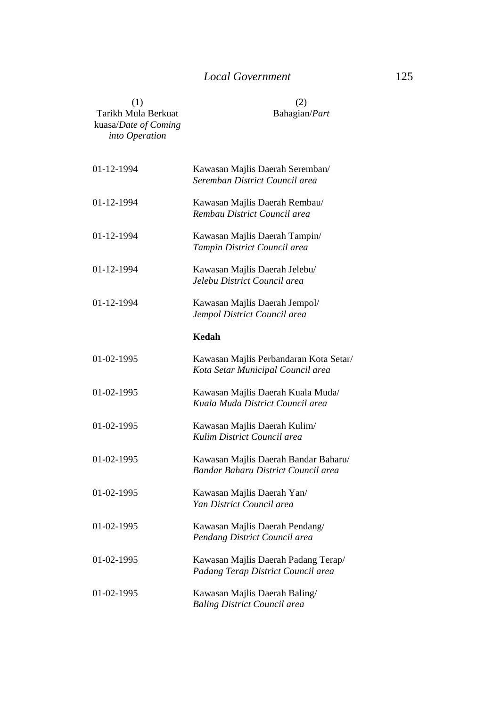| (1)<br>Tarikh Mula Berkuat<br>kuasa/Date of Coming<br>into Operation | (2)<br>Bahagian/Part                                                        |
|----------------------------------------------------------------------|-----------------------------------------------------------------------------|
| 01-12-1994                                                           | Kawasan Majlis Daerah Seremban/<br>Seremban District Council area           |
| 01-12-1994                                                           | Kawasan Majlis Daerah Rembau/<br>Rembau District Council area               |
| 01-12-1994                                                           | Kawasan Majlis Daerah Tampin/<br>Tampin District Council area               |
| 01-12-1994                                                           | Kawasan Majlis Daerah Jelebu/<br>Jelebu District Council area               |
| 01-12-1994                                                           | Kawasan Majlis Daerah Jempol/<br>Jempol District Council area               |
|                                                                      | Kedah                                                                       |
| 01-02-1995                                                           | Kawasan Majlis Perbandaran Kota Setar/<br>Kota Setar Municipal Council area |
| 01-02-1995                                                           | Kawasan Majlis Daerah Kuala Muda/<br>Kuala Muda District Council area       |
| 01-02-1995                                                           | Kawasan Majlis Daerah Kulim/<br>Kulim District Council area                 |
| 01-02-1995                                                           | Kawasan Majlis Daerah Bandar Baharu/<br>Bandar Baharu District Council area |
| 01-02-1995                                                           | Kawasan Majlis Daerah Yan/<br>Yan District Council area                     |
| 01-02-1995                                                           | Kawasan Majlis Daerah Pendang/<br>Pendang District Council area             |
| 01-02-1995                                                           | Kawasan Majlis Daerah Padang Terap/<br>Padang Terap District Council area   |
| 01-02-1995                                                           | Kawasan Majlis Daerah Baling/<br><b>Baling District Council area</b>        |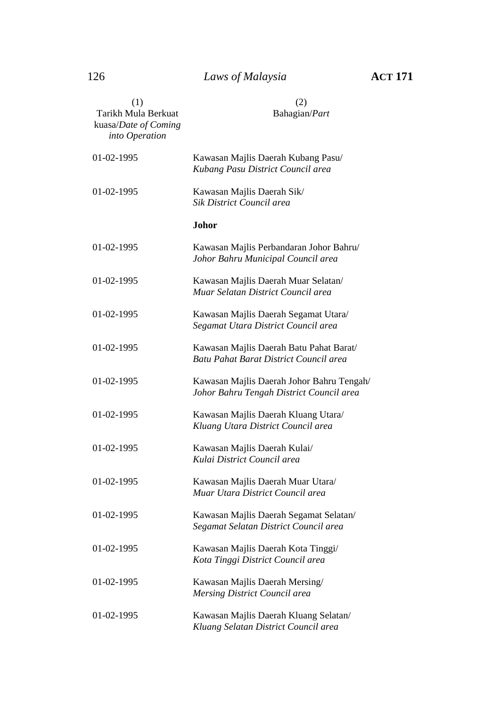# 126 *Laws of Malaysia* **ACT 171**

| (1)<br>Tarikh Mula Berkuat<br>kuasa/Date of Coming<br>into Operation | (2)<br>Bahagian/Part                                                                  |
|----------------------------------------------------------------------|---------------------------------------------------------------------------------------|
| 01-02-1995                                                           | Kawasan Majlis Daerah Kubang Pasu/<br>Kubang Pasu District Council area               |
| 01-02-1995                                                           | Kawasan Majlis Daerah Sik/<br>Sik District Council area                               |
|                                                                      | Johor                                                                                 |
| 01-02-1995                                                           | Kawasan Majlis Perbandaran Johor Bahru/<br>Johor Bahru Municipal Council area         |
| 01-02-1995                                                           | Kawasan Majlis Daerah Muar Selatan/<br>Muar Selatan District Council area             |
| 01-02-1995                                                           | Kawasan Majlis Daerah Segamat Utara/<br>Segamat Utara District Council area           |
| 01-02-1995                                                           | Kawasan Majlis Daerah Batu Pahat Barat/<br>Batu Pahat Barat District Council area     |
| 01-02-1995                                                           | Kawasan Majlis Daerah Johor Bahru Tengah/<br>Johor Bahru Tengah District Council area |
| 01-02-1995                                                           | Kawasan Majlis Daerah Kluang Utara/<br>Kluang Utara District Council area             |
| 01-02-1995                                                           | Kawasan Majlis Daerah Kulai/<br>Kulai District Council area                           |
| 01-02-1995                                                           | Kawasan Majlis Daerah Muar Utara/<br>Muar Utara District Council area                 |
| 01-02-1995                                                           | Kawasan Majlis Daerah Segamat Selatan/<br>Segamat Selatan District Council area       |
| 01-02-1995                                                           | Kawasan Majlis Daerah Kota Tinggi/<br>Kota Tinggi District Council area               |
| 01-02-1995                                                           | Kawasan Majlis Daerah Mersing/<br>Mersing District Council area                       |
| 01-02-1995                                                           | Kawasan Majlis Daerah Kluang Selatan/<br>Kluang Selatan District Council area         |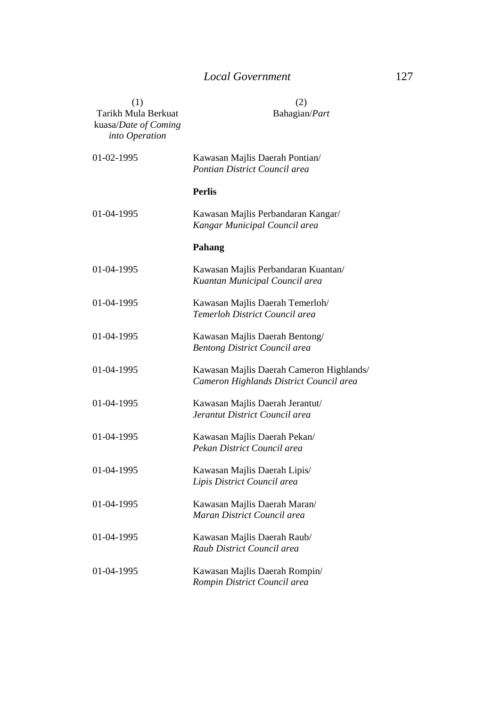| (1)<br>Tarikh Mula Berkuat<br>kuasa/Date of Coming<br>into Operation | (2)<br>Bahagian/Part                                                                |
|----------------------------------------------------------------------|-------------------------------------------------------------------------------------|
| 01-02-1995                                                           | Kawasan Majlis Daerah Pontian/<br>Pontian District Council area                     |
|                                                                      | <b>Perlis</b>                                                                       |
| 01-04-1995                                                           | Kawasan Majlis Perbandaran Kangar/<br>Kangar Municipal Council area                 |
|                                                                      | Pahang                                                                              |
| 01-04-1995                                                           | Kawasan Majlis Perbandaran Kuantan/<br>Kuantan Municipal Council area               |
| 01-04-1995                                                           | Kawasan Majlis Daerah Temerloh/<br>Temerloh District Council area                   |
| 01-04-1995                                                           | Kawasan Majlis Daerah Bentong/<br><b>Bentong District Council area</b>              |
| 01-04-1995                                                           | Kawasan Majlis Daerah Cameron Highlands/<br>Cameron Highlands District Council area |
| 01-04-1995                                                           | Kawasan Majlis Daerah Jerantut/<br>Jerantut District Council area                   |
| 01-04-1995                                                           | Kawasan Majlis Daerah Pekan/<br>Pekan District Council area                         |
| 01-04-1995                                                           | Kawasan Majlis Daerah Lipis/<br>Lipis District Council area                         |
| 01-04-1995                                                           | Kawasan Majlis Daerah Maran/<br>Maran District Council area                         |
| 01-04-1995                                                           | Kawasan Majlis Daerah Raub/<br>Raub District Council area                           |
| 01-04-1995                                                           | Kawasan Majlis Daerah Rompin/<br>Rompin District Council area                       |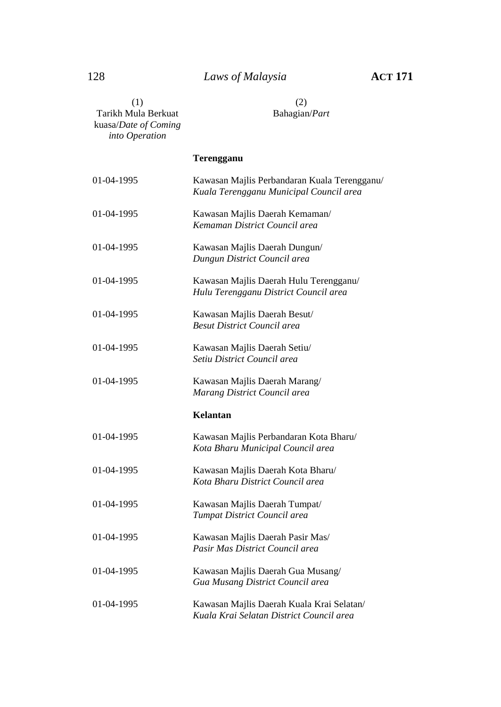| (1)<br>Tarikh Mula Berkuat<br>kuasa/Date of Coming<br>into Operation | (2)<br>Bahagian/Part                                                                    |  |
|----------------------------------------------------------------------|-----------------------------------------------------------------------------------------|--|
|                                                                      | Terengganu                                                                              |  |
| 01-04-1995                                                           | Kawasan Majlis Perbandaran Kuala Terengganu/<br>Kuala Terengganu Municipal Council area |  |
| 01-04-1995                                                           | Kawasan Majlis Daerah Kemaman/<br>Kemaman District Council area                         |  |
| 01-04-1995                                                           | Kawasan Majlis Daerah Dungun/<br>Dungun District Council area                           |  |
| 01-04-1995                                                           | Kawasan Majlis Daerah Hulu Terengganu/<br>Hulu Terengganu District Council area         |  |
| 01-04-1995                                                           | Kawasan Majlis Daerah Besut/<br><b>Besut District Council area</b>                      |  |
| 01-04-1995                                                           | Kawasan Majlis Daerah Setiu/<br>Setiu District Council area                             |  |
| 01-04-1995                                                           | Kawasan Majlis Daerah Marang/<br>Marang District Council area                           |  |
|                                                                      | Kelantan                                                                                |  |
| 01-04-1995                                                           | Kawasan Majlis Perbandaran Kota Bharu/<br>Kota Bharu Municipal Council area             |  |
| 01-04-1995                                                           | Kawasan Majlis Daerah Kota Bharu/<br>Kota Bharu District Council area                   |  |
| 01-04-1995                                                           | Kawasan Majlis Daerah Tumpat/<br>Tumpat District Council area                           |  |
| 01-04-1995                                                           | Kawasan Majlis Daerah Pasir Mas/<br>Pasir Mas District Council area                     |  |
| 01-04-1995                                                           | Kawasan Majlis Daerah Gua Musang/<br>Gua Musang District Council area                   |  |
| 01-04-1995                                                           | Kawasan Majlis Daerah Kuala Krai Selatan/<br>Kuala Krai Selatan District Council area   |  |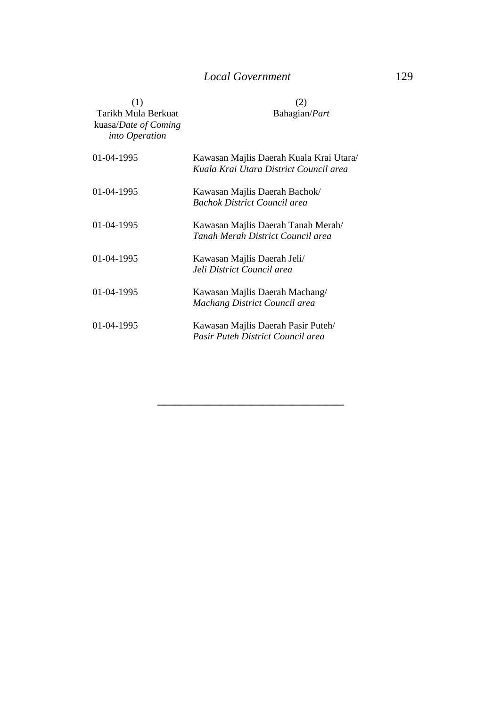| (1)<br>Tarikh Mula Berkuat<br>kuasa/Date of Coming<br>into Operation | (2)<br>Bahagian/Part                                                              |
|----------------------------------------------------------------------|-----------------------------------------------------------------------------------|
| 01-04-1995                                                           | Kawasan Majlis Daerah Kuala Krai Utara/<br>Kuala Krai Utara District Council area |
| 01-04-1995                                                           | Kawasan Majlis Daerah Bachok/<br><b>Bachok District Council area</b>              |
| 01-04-1995                                                           | Kawasan Majlis Daerah Tanah Merah/<br>Tanah Merah District Council area           |
| 01-04-1995                                                           | Kawasan Majlis Daerah Jeli/<br>Jeli District Council area                         |
| 01-04-1995                                                           | Kawasan Majlis Daerah Machang/<br>Machang District Council area                   |
| 01-04-1995                                                           | Kawasan Majlis Daerah Pasir Puteh/<br>Pasir Puteh District Council area           |

**\_\_\_\_\_\_\_\_\_\_\_\_\_\_\_\_\_\_\_\_\_\_\_\_\_\_\_\_\_\_\_\_**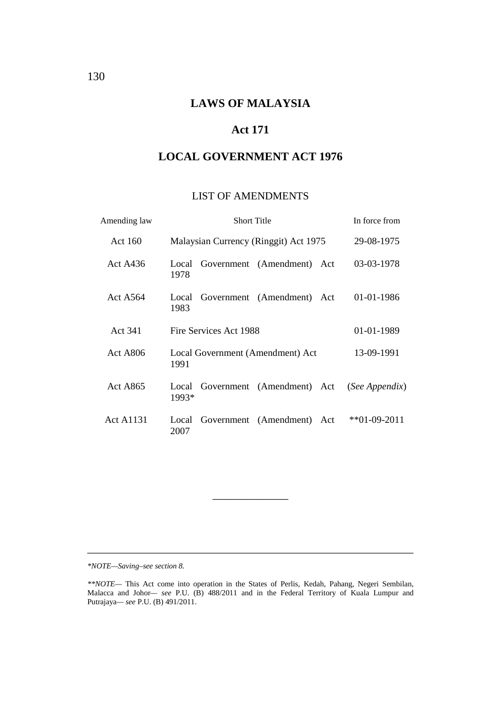# **LAWS OF MALAYSIA**

## **Act 171**

## **LOCAL GOVERNMENT ACT 1976**

#### LIST OF AMENDMENTS

| Amending law     | <b>Short Title</b>                           | In force from   |
|------------------|----------------------------------------------|-----------------|
| Act 160          | Malaysian Currency (Ringgit) Act 1975        | 29-08-1975      |
| Act A436         | Government (Amendment) Act<br>Local<br>1978  | 03-03-1978      |
| Act A564         | Government (Amendment) Act<br>Local<br>1983  | 01-01-1986      |
| Act 341          | Fire Services Act 1988                       | 01-01-1989      |
| Act A806         | Local Government (Amendment) Act<br>1991     | 13-09-1991      |
| <b>Act A865</b>  | Government (Amendment) Act<br>Local<br>1993* | (See Appendix)  |
| <b>Act A1131</b> | Government (Amendment) Act<br>Local<br>2007  | $*$ *01-09-2011 |

*\*NOTE—Saving–see section 8.*

\_\_\_\_\_\_\_\_\_\_\_\_\_

\_\_\_\_\_\_\_\_\_\_\_\_\_\_\_\_\_\_\_\_\_\_\_\_\_\_\_\_\_\_\_\_\_\_\_\_\_\_\_\_\_\_\_\_\_\_\_\_\_\_\_\_\_\_\_\_

*<sup>\*\*</sup>NOTE—* This Act come into operation in the States of Perlis, Kedah, Pahang, Negeri Sembilan, Malacca and Johor*— see* P.U. (B) 488/2011 and in the Federal Territory of Kuala Lumpur and Putrajaya*— see* P.U. (B) 491/2011.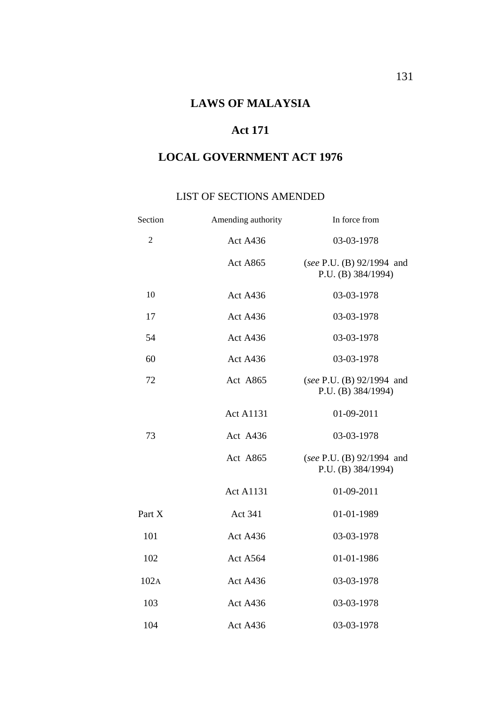# **Act 171**

# **LOCAL GOVERNMENT ACT 1976**

## LIST OF SECTIONS AMENDED

| Section      | Amending authority | In force from                                   |
|--------------|--------------------|-------------------------------------------------|
| $\mathbf{2}$ | Act A436           | 03-03-1978                                      |
|              | <b>Act A865</b>    | (see P.U. (B) 92/1994 and<br>P.U. (B) 384/1994) |
| 10           | Act A436           | 03-03-1978                                      |
| 17           | <b>Act A436</b>    | 03-03-1978                                      |
| 54           | Act A436           | 03-03-1978                                      |
| 60           | Act A436           | 03-03-1978                                      |
| 72           | Act A865           | (see P.U. (B) 92/1994 and<br>P.U. (B) 384/1994) |
|              | <b>Act A1131</b>   | 01-09-2011                                      |
| 73           | Act A436           | 03-03-1978                                      |
|              | Act A865           | (see P.U. (B) 92/1994 and<br>P.U. (B) 384/1994) |
|              | <b>Act A1131</b>   | 01-09-2011                                      |
| Part X       | Act 341            | 01-01-1989                                      |
| 101          | Act A436           | 03-03-1978                                      |
| 102          | Act A564           | 01-01-1986                                      |
| 102A         | Act A436           | 03-03-1978                                      |
| 103          | Act A436           | 03-03-1978                                      |
| 104          | Act A436           | 03-03-1978                                      |